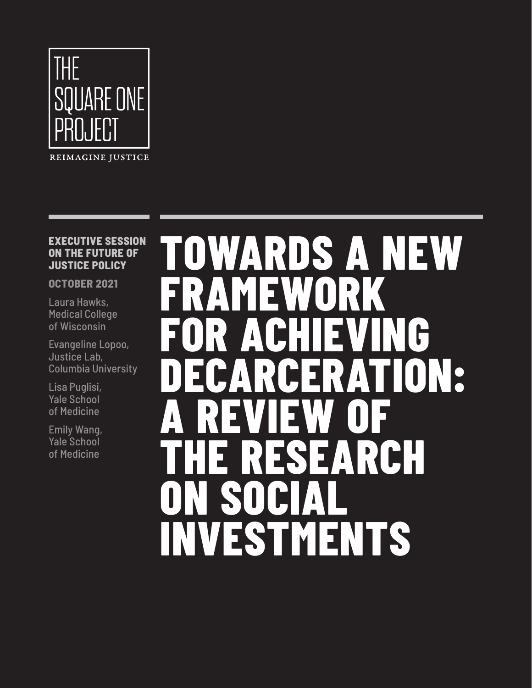

#### **EXECUTIVE SESSION ON THE FUTURE OF JUSTICE POLICY**

#### **OCTOBER 2021**

Laura Hawks, Medical College of Wisconsin

Evangeline Lopoo, Justice Lab, Columbia University

Lisa Puglisi, Yale School of Medicine

Emily Wang, Yale School of Medicine

## **TOWARDS A NEW FRAMEWORK FOR ACHIEVING DECARCERATION: A REVIEW OF RCH ON SOCIAL INVESTMENTS**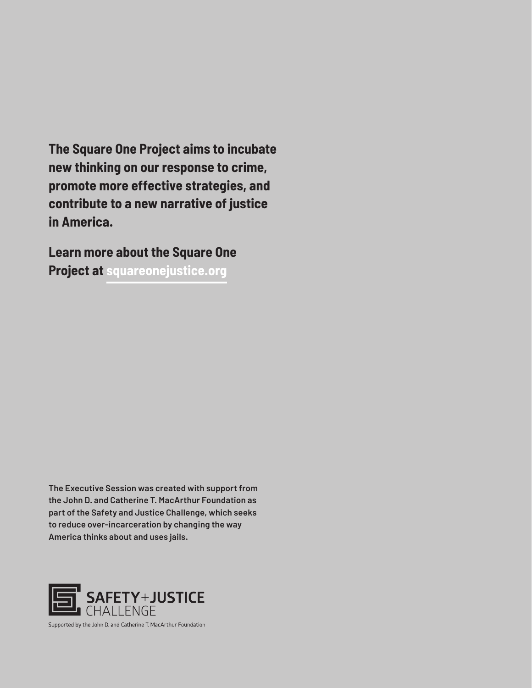**The Square One Project aims to incubate new thinking on our response to crime, promote more effective strategies, and contribute to a new narrative of justice in America.**

**Learn more about the Square One Project at [squareonejustice.org](http://squareonejustice.org)**

**The Executive Session was created with support from the John D. and Catherine T. MacArthur Foundation as part of the Safety and Justice Challenge, which seeks to reduce over-incarceration by changing the way America thinks about and uses jails.**



Supported by the John D. and Catherine T. MacArthur Foundation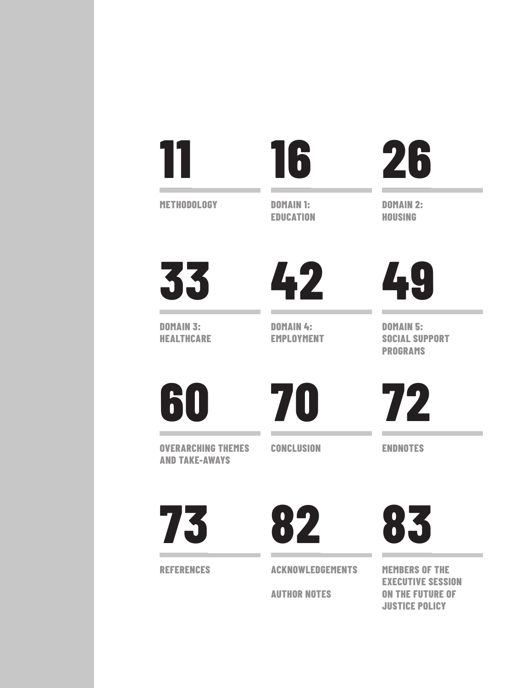

**[METHODOLOGY](#page-10-0)**

**[DOMAIN 1:](#page-15-0)  [EDUCATION](#page-15-0)**



**[DOMAIN 2:](#page-25-0)  [HOUSING](#page-25-0)**



**[DOMAIN 3:](#page-32-0)  [HEALTHCARE](#page-32-0)**



**[DOMAIN 4:](#page-41-0)  [EMPLOYMENT](#page-41-0)**



**[DOMAIN 5:](#page-48-0)  [SOCIAL SUPPORT](#page-48-0)  [PROGRAMS](#page-48-0)**





**[OVERARCHING THEMES](#page-59-0)  [AND TAKE-AWAYS](#page-59-0)**

**CONCLUSION**

**[ENDNOTES](#page-71-0)**

**[72](#page-71-0)**



**[REFERENCES](#page-72-0)**



**[ACKNOWLEDGEMENTS](#page-81-0)**

**AUTHOR NOTES**



**[MEMBERS OF THE](#page-82-0)  [EXECUTIVE SESSION](#page-82-0)  [ON THE FUTURE OF](#page-82-0)  [JUSTICE POLICY](#page-82-0)**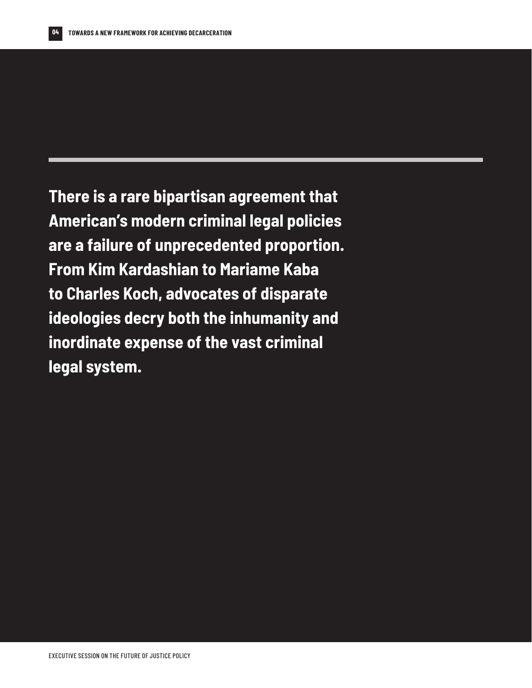**There is a rare bipartisan agreement that American's modern criminal legal policies are a failure of unprecedented proportion. From Kim Kardashian to Mariame Kaba to Charles Koch, advocates of disparate ideologies decry both the inhumanity and inordinate expense of the vast criminal legal system.**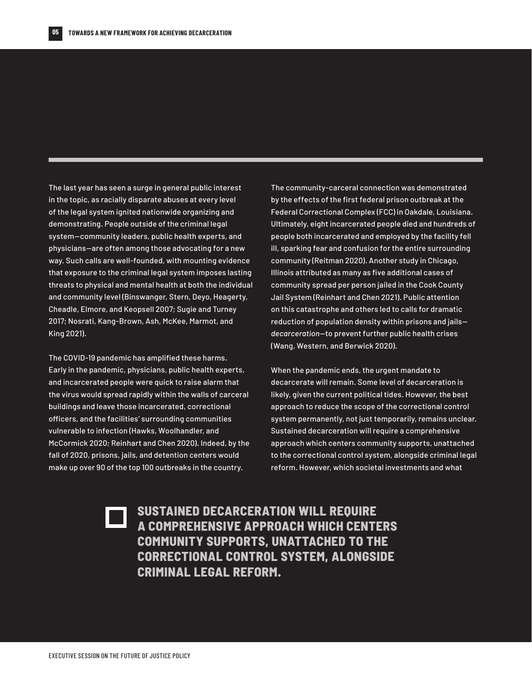The last year has seen a surge in general public interest in the topic, as racially disparate abuses at every level of the legal system ignited nationwide organizing and demonstrating. People outside of the criminal legal system—community leaders, public health experts, and physicians—are often among those advocating for a new way. Such calls are well-founded, with mounting evidence that exposure to the criminal legal system imposes lasting threats to physical and mental health at both the individual and community level (Binswanger, Stern, Deyo, Heagerty, Cheadle, Elmore, and Keopsell 2007; Sugie and Turney 2017; Nosrati, Kang-Brown, Ash, McKee, Marmot, and King 2021).

The COVID-19 pandemic has amplified these harms. Early in the pandemic, physicians, public health experts, and incarcerated people were quick to raise alarm that the virus would spread rapidly within the walls of carceral buildings and leave those incarcerated, correctional officers, and the facilities' surrounding communities vulnerable to infection (Hawks, Woolhandler, and McCormick 2020; Reinhart and Chen 2020). Indeed, by the fall of 2020, prisons, jails, and detention centers would make up over 90 of the top 100 outbreaks in the country.

The community-carceral connection was demonstrated by the effects of the first federal prison outbreak at the Federal Correctional Complex (FCC) in Oakdale, Louisiana. Ultimately, eight incarcerated people died and hundreds of people both incarcerated and employed by the facility fell ill, sparking fear and confusion for the entire surrounding community (Reitman 2020). Another study in Chicago, Illinois attributed as many as five additional cases of community spread per person jailed in the Cook County Jail System (Reinhart and Chen 2021). Public attention on this catastrophe and others led to calls for dramatic reduction of population density within prisons and jails *decarceration*—to prevent further public health crises (Wang, Western, and Berwick 2020).

When the pandemic ends, the urgent mandate to decarcerate will remain. Some level of decarceration is likely, given the current political tides. However, the best approach to reduce the scope of the correctional control system permanently, not just temporarily, remains unclear. Sustained decarceration will require a comprehensive approach which centers community supports, unattached to the correctional control system, alongside criminal legal reform. However, which societal investments and what

**SUSTAINED DECARCERATION WILL REQUIRE A COMPREHENSIVE APPROACH WHICH CENTERS COMMUNITY SUPPORTS, UNATTACHED TO THE CORRECTIONAL CONTROL SYSTEM, ALONGSIDE CRIMINAL LEGAL REFORM.**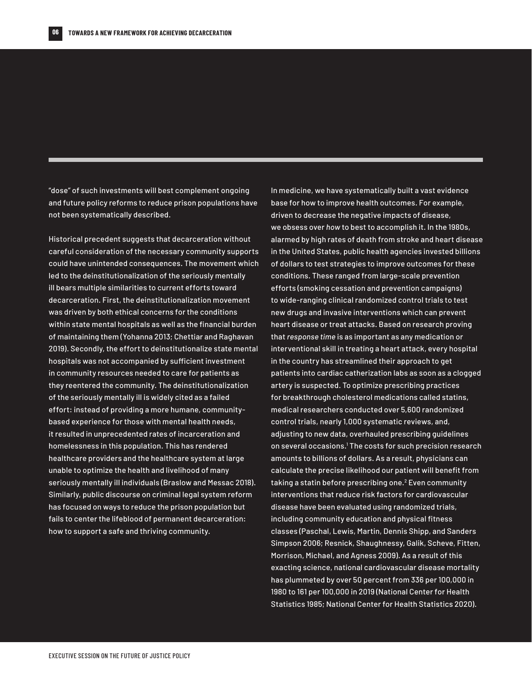"dose" of such investments will best complement ongoing and future policy reforms to reduce prison populations have not been systematically described.

Historical precedent suggests that decarceration without careful consideration of the necessary community supports could have unintended consequences. The movement which led to the deinstitutionalization of the seriously mentally ill bears multiple similarities to current efforts toward decarceration. First, the deinstitutionalization movement was driven by both ethical concerns for the conditions within state mental hospitals as well as the financial burden of maintaining them (Yohanna 2013; Chettiar and Raghavan 2019). Secondly, the effort to deinstitutionalize state mental hospitals was not accompanied by sufficient investment in community resources needed to care for patients as they reentered the community. The deinstitutionalization of the seriously mentally ill is widely cited as a failed effort: instead of providing a more humane, communitybased experience for those with mental health needs, it resulted in unprecedented rates of incarceration and homelessness in this population. This has rendered healthcare providers and the healthcare system at large unable to optimize the health and livelihood of many seriously mentally ill individuals (Braslow and Messac 2018). Similarly, public discourse on criminal legal system reform has focused on ways to reduce the prison population but fails to center the lifeblood of permanent decarceration: how to support a safe and thriving community.

In medicine, we have systematically built a vast evidence base for how to improve health outcomes. For example, driven to decrease the negative impacts of disease, we obsess over *how* to best to accomplish it. In the 1980s, alarmed by high rates of death from stroke and heart disease in the United States, public health agencies invested billions of dollars to test strategies to improve outcomes for these conditions. These ranged from large-scale prevention efforts (smoking cessation and prevention campaigns) to wide-ranging clinical randomized control trials to test new drugs and invasive interventions which can prevent heart disease or treat attacks. Based on research proving that *response time* is as important as any medication or interventional skill in treating a heart attack, every hospital in the country has streamlined their approach to get patients into cardiac catherization labs as soon as a clogged artery is suspected. To optimize prescribing practices for breakthrough cholesterol medications called statins, medical researchers conducted over 5,600 randomized control trials, nearly 1,000 systematic reviews, and, adjusting to new data, overhauled prescribing guidelines on several occasions.<sup>1</sup> The costs for such precision research amounts to billions of dollars. As a result, physicians can calculate the precise likelihood our patient will benefit from taking a statin before prescribing one.<sup>2</sup> Even community interventions that reduce risk factors for cardiovascular disease have been evaluated using randomized trials, including community education and physical fitness classes (Paschal, Lewis, Martin, Dennis Shipp, and Sanders Simpson 2006; Resnick, Shaughnessy, Galik, Scheve, Fitten, Morrison, Michael, and Agness 2009). As a result of this exacting science, national cardiovascular disease mortality has plummeted by over 50 percent from 336 per 100,000 in 1980 to 161 per 100,000 in 2019 (National Center for Health Statistics 1985; National Center for Health Statistics 2020).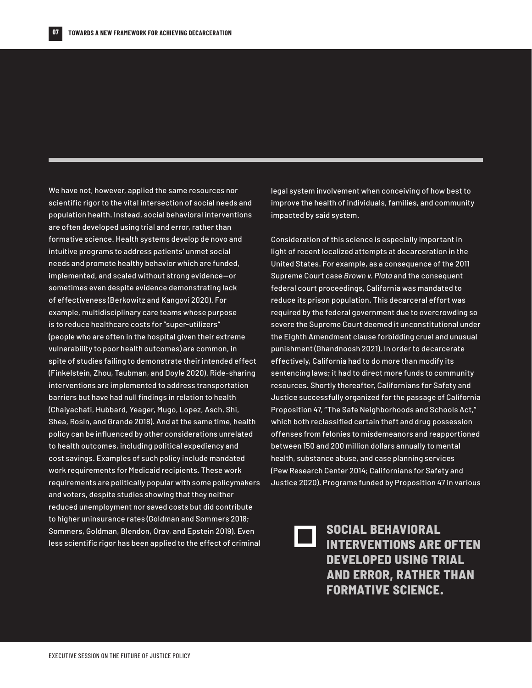We have not, however, applied the same resources nor scientific rigor to the vital intersection of social needs and population health. Instead, social behavioral interventions are often developed using trial and error, rather than formative science. Health systems develop de novo and intuitive programs to address patients' unmet social needs and promote healthy behavior which are funded, implemented, and scaled without strong evidence—or sometimes even despite evidence demonstrating lack of effectiveness (Berkowitz and Kangovi 2020). For example, multidisciplinary care teams whose purpose is to reduce healthcare costs for "super-utilizers" (people who are often in the hospital given their extreme vulnerability to poor health outcomes) are common, in spite of studies failing to demonstrate their intended effect (Finkelstein, Zhou, Taubman, and Doyle 2020). Ride-sharing interventions are implemented to address transportation barriers but have had null findings in relation to health (Chaiyachati, Hubbard, Yeager, Mugo, Lopez, Asch, Shi, Shea, Rosin, and Grande 2018). And at the same time, health policy can be influenced by other considerations unrelated to health outcomes, including political expediency and cost savings. Examples of such policy include mandated work requirements for Medicaid recipients. These work requirements are politically popular with some policymakers and voters, despite studies showing that they neither reduced unemployment nor saved costs but did contribute to higher uninsurance rates (Goldman and Sommers 2018; Sommers, Goldman, Blendon, Orav, and Epstein 2019). Even less scientific rigor has been applied to the effect of criminal legal system involvement when conceiving of how best to improve the health of individuals, families, and community impacted by said system.

Consideration of this science is especially important in light of recent localized attempts at decarceration in the United States. For example, as a consequence of the 2011 Supreme Court case *Brown v. Plata* and the consequent federal court proceedings, California was mandated to reduce its prison population. This decarceral effort was required by the federal government due to overcrowding so severe the Supreme Court deemed it unconstitutional under the Eighth Amendment clause forbidding cruel and unusual punishment (Ghandnoosh 2021). In order to decarcerate effectively, California had to do more than modify its sentencing laws; it had to direct more funds to community resources. Shortly thereafter, Californians for Safety and Justice successfully organized for the passage of California Proposition 47, "The Safe Neighborhoods and Schools Act," which both reclassified certain theft and drug possession offenses from felonies to misdemeanors and reapportioned between 150 and 200 million dollars annually to mental health, substance abuse, and case planning services (Pew Research Center 2014; Californians for Safety and Justice 2020). Programs funded by Proposition 47 in various

> **SOCIAL BEHAVIORAL INTERVENTIONS ARE OFTEN DEVELOPED USING TRIAL AND ERROR, RATHER THAN FORMATIVE SCIENCE.**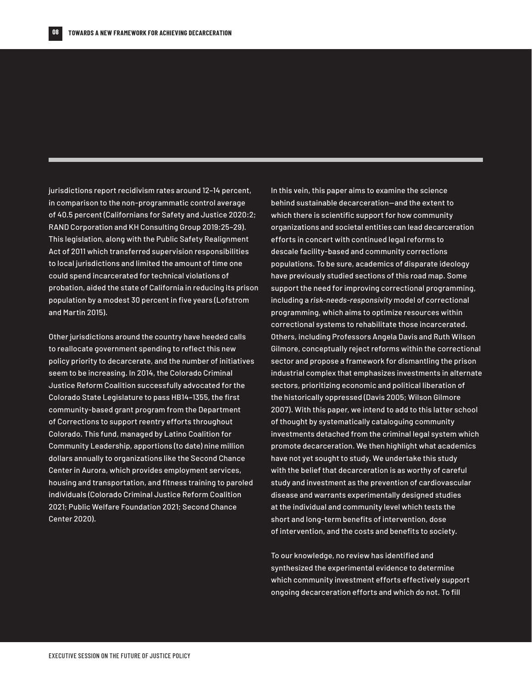jurisdictions report recidivism rates around 12–14 percent, in comparison to the non-programmatic control average of 40.5 percent (Californians for Safety and Justice 2020:2; RAND Corporation and KH Consulting Group 2019:25–29). This legislation, along with the Public Safety Realignment Act of 2011 which transferred supervision responsibilities to local jurisdictions and limited the amount of time one could spend incarcerated for technical violations of probation, aided the state of California in reducing its prison population by a modest 30 percent in five years (Lofstrom and Martin 2015).

Other jurisdictions around the country have heeded calls to reallocate government spending to reflect this new policy priority to decarcerate, and the number of initiatives seem to be increasing. In 2014, the Colorado Criminal Justice Reform Coalition successfully advocated for the Colorado State Legislature to pass HB14–1355, the first community-based grant program from the Department of Corrections to support reentry efforts throughout Colorado. This fund, managed by Latino Coalition for Community Leadership, apportions (to date) nine million dollars annually to organizations like the Second Chance Center in Aurora, which provides employment services, housing and transportation, and fitness training to paroled individuals (Colorado Criminal Justice Reform Coalition 2021; Public Welfare Foundation 2021; Second Chance Center 2020).

In this vein, this paper aims to examine the science behind sustainable decarceration—and the extent to which there is scientific support for how community organizations and societal entities can lead decarceration efforts in concert with continued legal reforms to descale facility-based and community corrections populations. To be sure, academics of disparate ideology have previously studied sections of this road map. Some support the need for improving correctional programming, including a *risk-needs-responsivity* model of correctional programming, which aims to optimize resources within correctional systems to rehabilitate those incarcerated. Others, including Professors Angela Davis and Ruth Wilson Gilmore, conceptually reject reforms within the correctional sector and propose a framework for dismantling the prison industrial complex that emphasizes investments in alternate sectors, prioritizing economic and political liberation of the historically oppressed (Davis 2005; Wilson Gilmore 2007). With this paper, we intend to add to this latter school of thought by systematically cataloguing community investments detached from the criminal legal system which promote decarceration. We then highlight what academics have not yet sought to study. We undertake this study with the belief that decarceration is as worthy of careful study and investment as the prevention of cardiovascular disease and warrants experimentally designed studies at the individual and community level which tests the short and long-term benefits of intervention, dose of intervention, and the costs and benefits to society.

To our knowledge, no review has identified and synthesized the experimental evidence to determine which community investment efforts effectively support ongoing decarceration efforts and which do not. To fill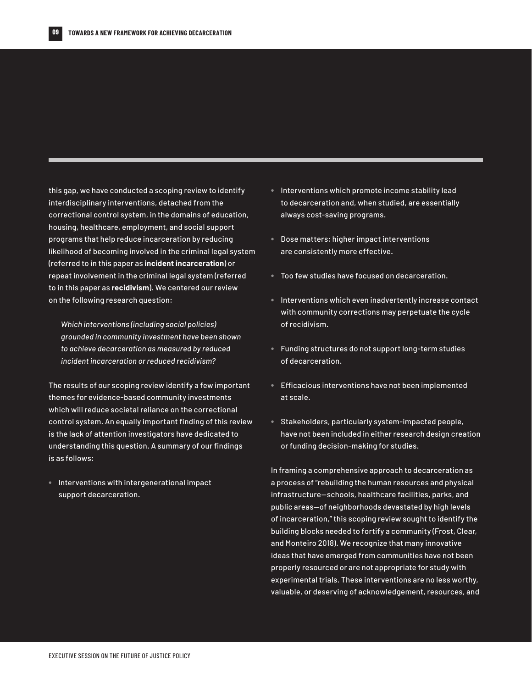this gap, we have conducted a scoping review to identify interdisciplinary interventions, detached from the correctional control system, in the domains of education, housing, healthcare, employment, and social support programs that help reduce incarceration by reducing likelihood of becoming involved in the criminal legal system (referred to in this paper as **incident incarceration**) or repeat involvement in the criminal legal system (referred to in this paper as **recidivism**). We centered our review on the following research question:

*Which interventions (including social policies) grounded in community investment have been shown to achieve decarceration as measured by reduced incident incarceration or reduced recidivism?*

The results of our scoping review identify a few important themes for evidence-based community investments which will reduce societal reliance on the correctional control system. An equally important finding of this review is the lack of attention investigators have dedicated to understanding this question. A summary of our findings is as follows:

**•** Interventions with intergenerational impact support decarceration.

- **•** Interventions which promote income stability lead to decarceration and, when studied, are essentially always cost-saving programs.
- **•** Dose matters: higher impact interventions are consistently more effective.
- **•** Too few studies have focused on decarceration.
- **•** Interventions which even inadvertently increase contact with community corrections may perpetuate the cycle of recidivism.
- **•** Funding structures do not support long-term studies of decarceration.
- **•** Efficacious interventions have not been implemented at scale.
- **•** Stakeholders, particularly system-impacted people, have not been included in either research design creation or funding decision-making for studies.

In framing a comprehensive approach to decarceration as a process of "rebuilding the human resources and physical infrastructure—schools, healthcare facilities, parks, and public areas—of neighborhoods devastated by high levels of incarceration," this scoping review sought to identify the building blocks needed to fortify a community (Frost, Clear, and Monteiro 2018). We recognize that many innovative ideas that have emerged from communities have not been properly resourced or are not appropriate for study with experimental trials. These interventions are no less worthy, valuable, or deserving of acknowledgement, resources, and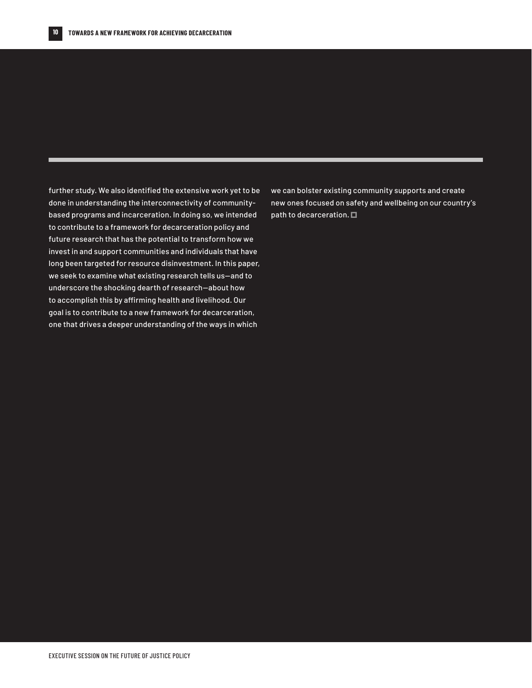further study. We also identified the extensive work yet to be done in understanding the interconnectivity of communitybased programs and incarceration. In doing so, we intended to contribute to a framework for decarceration policy and future research that has the potential to transform how we invest in and support communities and individuals that have long been targeted for resource disinvestment. In this paper, we seek to examine what existing research tells us—and to underscore the shocking dearth of research—about how to accomplish this by affirming health and livelihood. Our goal is to contribute to a new framework for decarceration, one that drives a deeper understanding of the ways in which

we can bolster existing community supports and create new ones focused on safety and wellbeing on our country's path to decarceration.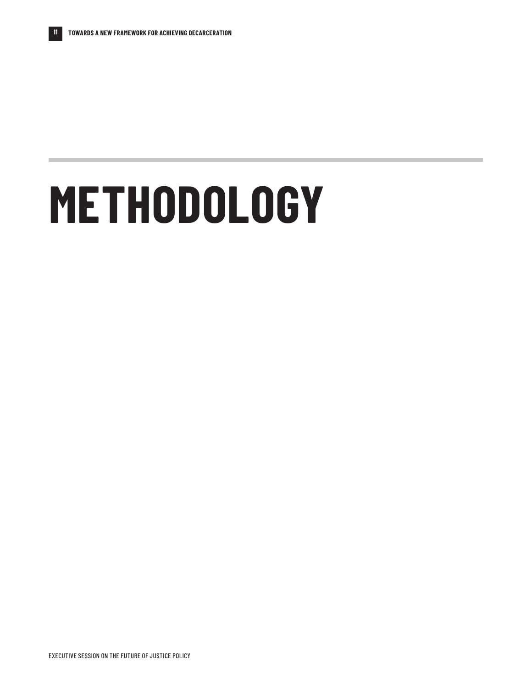# <span id="page-10-0"></span>**METHODOLOGY**

EXECUTIVE SESSION ON THE FUTURE OF JUSTICE POLICY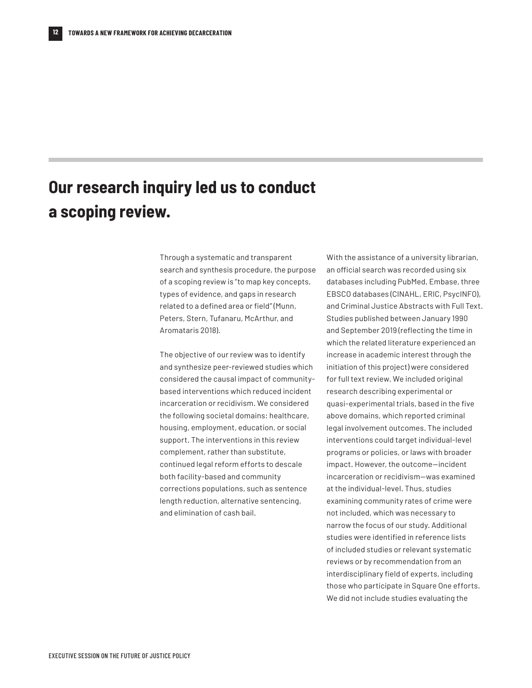### **Our research inquiry led us to conduct a scoping review.**

Through a systematic and transparent search and synthesis procedure, the purpose of a scoping review is "to map key concepts, types of evidence, and gaps in research related to a defined area or field" (Munn, Peters, Stern, Tufanaru, McArthur, and Aromataris 2018).

The objective of our review was to identify and synthesize peer-reviewed studies which considered the causal impact of communitybased interventions which reduced incident incarceration or recidivism. We considered the following societal domains: healthcare, housing, employment, education, or social support. The interventions in this review complement, rather than substitute, continued legal reform efforts to descale both facility-based and community corrections populations, such as sentence length reduction, alternative sentencing, and elimination of cash bail.

With the assistance of a university librarian, an official search was recorded using six databases including PubMed, Embase, three EBSCO databases (CINAHL, ERIC, PsycINFO), and Criminal Justice Abstracts with Full Text. Studies published between January 1990 and September 2019 (reflecting the time in which the related literature experienced an increase in academic interest through the initiation of this project) were considered for full text review. We included original research describing experimental or quasi-experimental trials, based in the five above domains, which reported criminal legal involvement outcomes. The included interventions could target individual-level programs or policies, or laws with broader impact. However, the outcome—incident incarceration or recidivism—was examined at the individual-level. Thus, studies examining community rates of crime were not included, which was necessary to narrow the focus of our study. Additional studies were identified in reference lists of included studies or relevant systematic reviews or by recommendation from an interdisciplinary field of experts, including those who participate in Square One efforts. We did not include studies evaluating the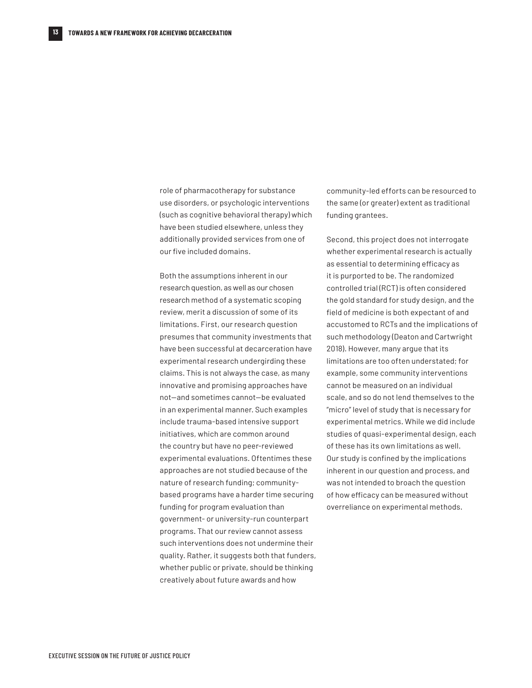role of pharmacotherapy for substance use disorders, or psychologic interventions (such as cognitive behavioral therapy) which have been studied elsewhere, unless they additionally provided services from one of our five included domains.

Both the assumptions inherent in our research question, as well as our chosen research method of a systematic scoping review, merit a discussion of some of its limitations. First, our research question presumes that community investments that have been successful at decarceration have experimental research undergirding these claims. This is not always the case, as many innovative and promising approaches have not—and sometimes cannot—be evaluated in an experimental manner. Such examples include trauma-based intensive support initiatives, which are common around the country but have no peer-reviewed experimental evaluations. Oftentimes these approaches are not studied because of the nature of research funding; communitybased programs have a harder time securing funding for program evaluation than government- or university-run counterpart programs. That our review cannot assess such interventions does not undermine their quality. Rather, it suggests both that funders, whether public or private, should be thinking creatively about future awards and how

community-led efforts can be resourced to the same (or greater) extent as traditional funding grantees.

Second, this project does not interrogate whether experimental research is actually as essential to determining efficacy as it is purported to be. The randomized controlled trial (RCT) is often considered the gold standard for study design, and the field of medicine is both expectant of and accustomed to RCTs and the implications of such methodology (Deaton and Cartwright 2018). However, many argue that its limitations are too often understated; for example, some community interventions cannot be measured on an individual scale, and so do not lend themselves to the "micro" level of study that is necessary for experimental metrics. While we did include studies of quasi-experimental design, each of these has its own limitations as well. Our study is confined by the implications inherent in our question and process, and was not intended to broach the question of how efficacy can be measured without overreliance on experimental methods.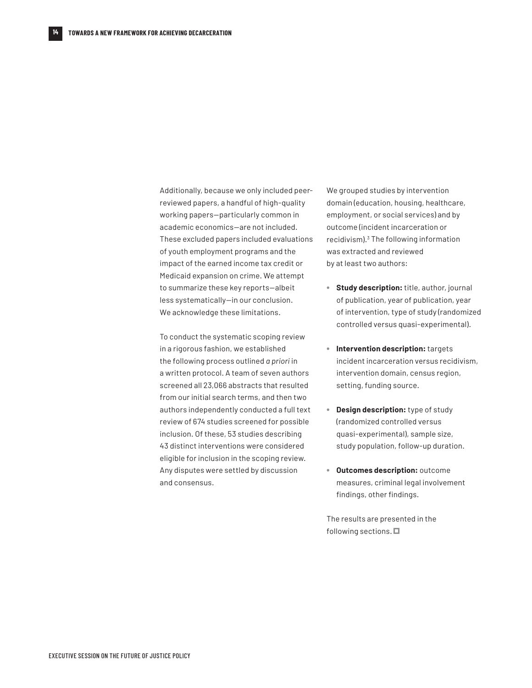Additionally, because we only included peerreviewed papers, a handful of high-quality working papers—particularly common in academic economics—are not included. These excluded papers included evaluations of youth employment programs and the impact of the earned income tax credit or Medicaid expansion on crime. We attempt to summarize these key reports—albeit less systematically—in our conclusion. We acknowledge these limitations.

To conduct the systematic scoping review in a rigorous fashion, we established the following process outlined *a priori* in a written protocol. A team of seven authors screened all 23,066 abstracts that resulted from our initial search terms, and then two authors independently conducted a full text review of 674 studies screened for possible inclusion. Of these, 53 studies describing 43 distinct interventions were considered eligible for inclusion in the scoping review. Any disputes were settled by discussion and consensus.

We grouped studies by intervention domain (education, housing, healthcare, employment, or social services) and by outcome (incident incarceration or recidivism).3 The following information was extracted and reviewed by at least two authors:

- **• Study description:** title, author, journal of publication, year of publication, year of intervention, type of study (randomized controlled versus quasi-experimental).
- **• Intervention description:** targets incident incarceration versus recidivism, intervention domain, census region, setting, funding source.
- **• Design description:** type of study (randomized controlled versus quasi-experimental), sample size, study population, follow-up duration.
- **• Outcomes description:** outcome measures, criminal legal involvement findings, other findings.

The results are presented in the following sections.  $\square$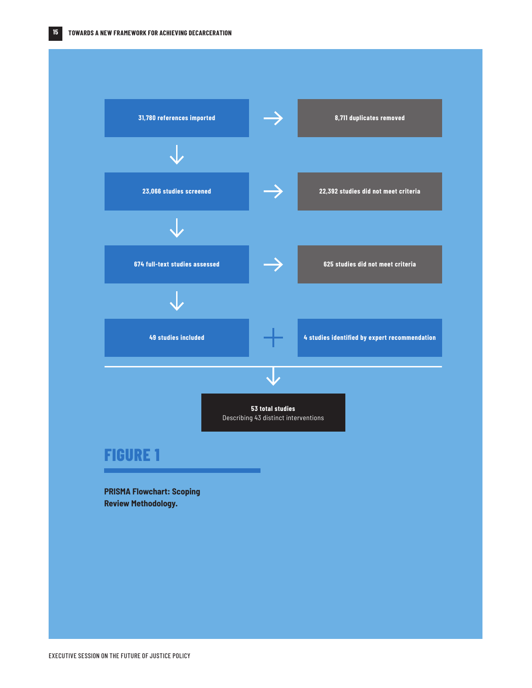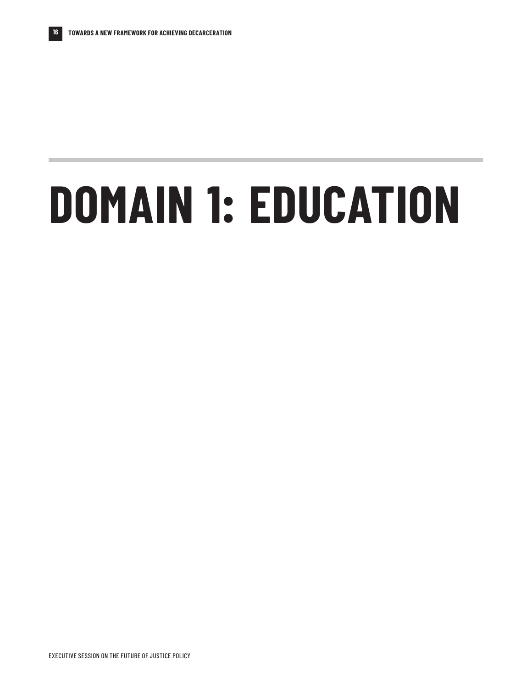# <span id="page-15-0"></span>**DOMAIN 1: EDUCATION**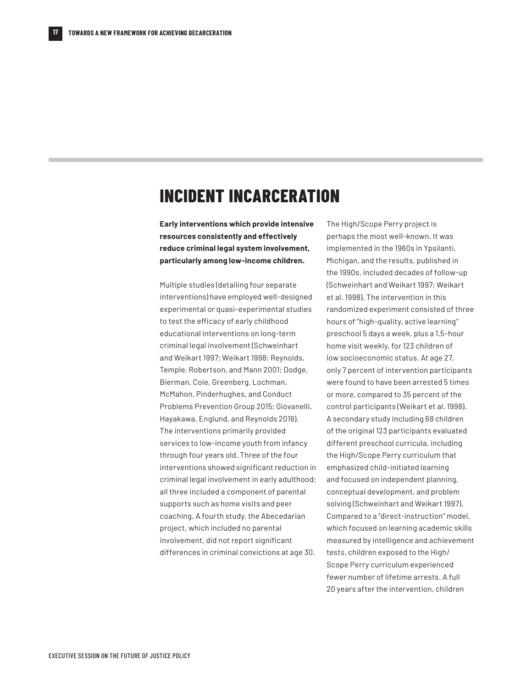### **INCIDENT INCARCERATION**

**Early interventions which provide intensive resources consistently and effectively reduce criminal legal system involvement, particularly among low-income children.**

Multiple studies (detailing four separate interventions) have employed well-designed experimental or quasi-experimental studies to test the efficacy of early childhood educational interventions on long-term criminal legal involvement (Schweinhart and Weikart 1997; Weikart 1998; Reynolds, Temple, Robertson, and Mann 2001; Dodge, Bierman, Coie, Greenberg, Lochman, McMahon, Pinderhughes, and Conduct Problems Prevention Group 2015; Giovanelli, Hayakawa, Englund, and Reynolds 2018). The interventions primarily provided services to low-income youth from infancy through four years old. Three of the four interventions showed significant reduction in criminal legal involvement in early adulthood; all three included a component of parental supports such as home visits and peer coaching. A fourth study, the Abecedarian project, which included no parental involvement, did not report significant differences in criminal convictions at age 30.

The High/Scope Perry project is perhaps the most well-known. It was implemented in the 1960s in Ypsilanti, Michigan, and the results, published in the 1990s, included decades of follow-up (Schweinhart and Weikart 1997; Weikart et al. 1998). The intervention in this randomized experiment consisted of three hours of "high-quality, active learning" preschool 5 days a week, plus a 1.5-hour home visit weekly, for 123 children of low socioeconomic status. At age 27, only 7 percent of intervention participants were found to have been arrested 5 times or more, compared to 35 percent of the control participants (Weikart et al. 1998). A secondary study including 68 children of the original 123 participants evaluated different preschool curricula, including the High/Scope Perry curriculum that emphasized child-initiated learning and focused on independent planning, conceptual development, and problem solving (Schweinhart and Weikart 1997). Compared to a "direct-instruction" model, which focused on learning academic skills measured by intelligence and achievement tests, children exposed to the High/ Scope Perry curriculum experienced fewer number of lifetime arrests. A full 20 years after the intervention, children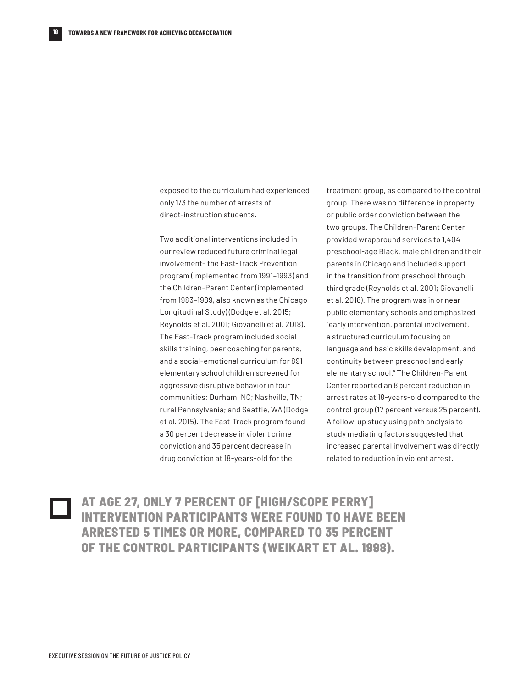exposed to the curriculum had experienced only 1/3 the number of arrests of direct-instruction students.

Two additional interventions included in our review reduced future criminal legal involvement– the Fast-Track Prevention program (implemented from 1991–1993) and the Children-Parent Center (implemented from 1983–1989, also known as the Chicago Longitudinal Study) (Dodge et al. 2015; Reynolds et al. 2001; Giovanelli et al. 2018). The Fast-Track program included social skills training, peer coaching for parents, and a social-emotional curriculum for 891 elementary school children screened for aggressive disruptive behavior in four communities: Durham, NC; Nashville, TN; rural Pennsylvania; and Seattle, WA (Dodge et al. 2015). The Fast-Track program found a 30 percent decrease in violent crime conviction and 35 percent decrease in drug conviction at 18-years-old for the

treatment group, as compared to the control group. There was no difference in property or public order conviction between the two groups. The Children-Parent Center provided wraparound services to 1,404 preschool-age Black, male children and their parents in Chicago and included support in the transition from preschool through third grade (Reynolds et al. 2001; Giovanelli et al. 2018). The program was in or near public elementary schools and emphasized "early intervention, parental involvement, a structured curriculum focusing on language and basic skills development, and continuity between preschool and early elementary school." The Children-Parent Center reported an 8 percent reduction in arrest rates at 18-years-old compared to the control group (17 percent versus 25 percent). A follow-up study using path analysis to study mediating factors suggested that increased parental involvement was directly related to reduction in violent arrest.

**AT AGE 27, ONLY 7 PERCENT OF [HIGH/SCOPE PERRY] INTERVENTION PARTICIPANTS WERE FOUND TO HAVE BEEN ARRESTED 5 TIMES OR MORE, COMPARED TO 35 PERCENT OF THE CONTROL PARTICIPANTS (WEIKART ET AL. 1998).**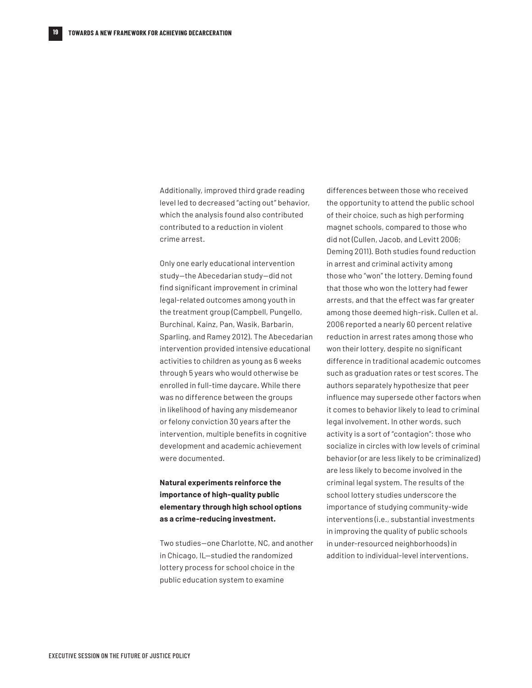Additionally, improved third grade reading level led to decreased "acting out" behavior, which the analysis found also contributed contributed to a reduction in violent crime arrest.

Only one early educational intervention study—the Abecedarian study—did not find significant improvement in criminal legal-related outcomes among youth in the treatment group (Campbell, Pungello, Burchinal, Kainz, Pan, Wasik, Barbarin, Sparling, and Ramey 2012). The Abecedarian intervention provided intensive educational activities to children as young as 6 weeks through 5 years who would otherwise be enrolled in full-time daycare. While there was no difference between the groups in likelihood of having any misdemeanor or felony conviction 30 years after the intervention, multiple benefits in cognitive development and academic achievement were documented.

**Natural experiments reinforce the importance of high-quality public elementary through high school options as a crime-reducing investment.**

Two studies—one Charlotte, NC, and another in Chicago, IL—studied the randomized lottery process for school choice in the public education system to examine

differences between those who received the opportunity to attend the public school of their choice, such as high performing magnet schools, compared to those who did not (Cullen, Jacob, and Levitt 2006; Deming 2011). Both studies found reduction in arrest and criminal activity among those who "won" the lottery. Deming found that those who won the lottery had fewer arrests, and that the effect was far greater among those deemed high-risk. Cullen et al. 2006 reported a nearly 60 percent relative reduction in arrest rates among those who won their lottery, despite no significant difference in traditional academic outcomes such as graduation rates or test scores. The authors separately hypothesize that peer influence may supersede other factors when it comes to behavior likely to lead to criminal legal involvement. In other words, such activity is a sort of "contagion": those who socialize in circles with low levels of criminal behavior (or are less likely to be criminalized) are less likely to become involved in the criminal legal system. The results of the school lottery studies underscore the importance of studying community-wide interventions (i.e., substantial investments in improving the quality of public schools in under-resourced neighborhoods) in addition to individual-level interventions.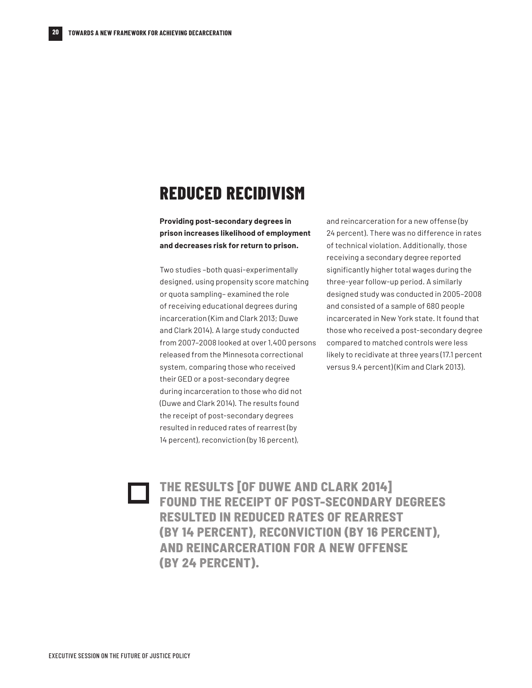### **REDUCED RECIDIVISM**

**Providing post-secondary degrees in prison increases likelihood of employment and decreases risk for return to prison.**

Two studies –both quasi-experimentally designed, using propensity score matching or quota sampling– examined the role of receiving educational degrees during incarceration (Kim and Clark 2013; Duwe and Clark 2014). A large study conducted from 2007–2008 looked at over 1,400 persons released from the Minnesota correctional system, comparing those who received their GED or a post-secondary degree during incarceration to those who did not (Duwe and Clark 2014). The results found the receipt of post-secondary degrees resulted in reduced rates of rearrest (by 14 percent), reconviction (by 16 percent),

and reincarceration for a new offense (by 24 percent). There was no difference in rates of technical violation. Additionally, those receiving a secondary degree reported significantly higher total wages during the three-year follow-up period. A similarly designed study was conducted in 2005–2008 and consisted of a sample of 680 people incarcerated in New York state. It found that those who received a post-secondary degree compared to matched controls were less likely to recidivate at three years (17.1 percent versus 9.4 percent) (Kim and Clark 2013).

**THE RESULTS [OF DUWE AND CLARK 2014] FOUND THE RECEIPT OF POST-SECONDARY DEGREES RESULTED IN REDUCED RATES OF REARREST (BY 14 PERCENT), RECONVICTION (BY 16 PERCENT), AND REINCARCERATION FOR A NEW OFFENSE (BY 24 PERCENT).**

T.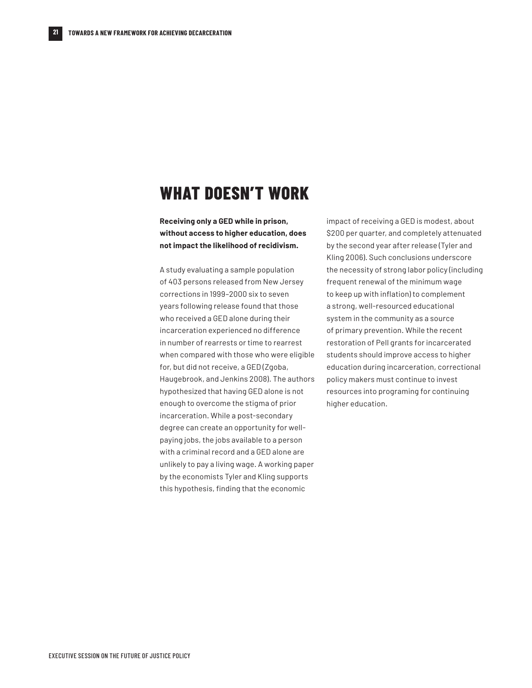### **WHAT DOESN'T WORK**

**Receiving only a GED while in prison, without access to higher education, does not impact the likelihood of recidivism.**

A study evaluating a sample population of 403 persons released from New Jersey corrections in 1999–2000 six to seven years following release found that those who received a GED alone during their incarceration experienced no difference in number of rearrests or time to rearrest when compared with those who were eligible for, but did not receive, a GED (Zgoba, Haugebrook, and Jenkins 2008). The authors hypothesized that having GED alone is not enough to overcome the stigma of prior incarceration. While a post-secondary degree can create an opportunity for wellpaying jobs, the jobs available to a person with a criminal record and a GED alone are unlikely to pay a living wage. A working paper by the economists Tyler and Kling supports this hypothesis, finding that the economic

impact of receiving a GED is modest, about \$200 per quarter, and completely attenuated by the second year after release (Tyler and Kling 2006). Such conclusions underscore the necessity of strong labor policy (including frequent renewal of the minimum wage to keep up with inflation) to complement a strong, well-resourced educational system in the community as a source of primary prevention. While the recent restoration of Pell grants for incarcerated students should improve access to higher education during incarceration, correctional policy makers must continue to invest resources into programing for continuing higher education.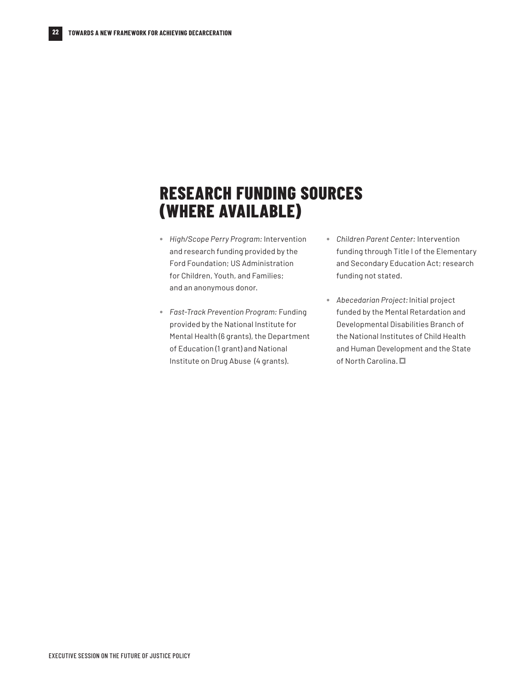### **RESEARCH FUNDING SOURCES (WHERE AVAILABLE)**

- **•** *High/Scope Perry Program:* Intervention and research funding provided by the Ford Foundation; US Administration for Children, Youth, and Families; and an anonymous donor.
- **•** *Fast-Track Prevention Program:* Funding provided by the National Institute for Mental Health (6 grants), the Department of Education (1 grant) and National Institute on Drug Abuse (4 grants).
- **•** *Children Parent Center:* Intervention funding through Title I of the Elementary and Secondary Education Act; research funding not stated.
- **•** *Abecedarian Project:*Initial project funded by the Mental Retardation and Developmental Disabilities Branch of the National Institutes of Child Health and Human Development and the State of North Carolina.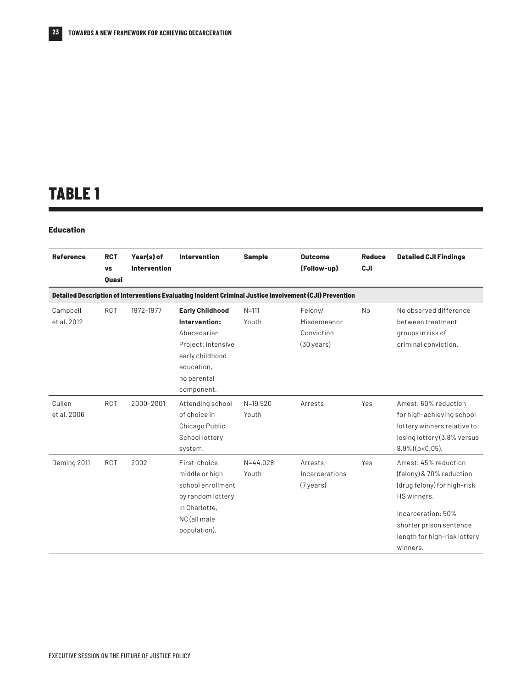### **TABLE 1**

#### **Education**

| <b>Reference</b>        | <b>RCT</b><br><b>VS</b><br><b>Ouasi</b> | Year(s) of<br><b>Intervention</b> | <b>Intervention</b>                                                                                                                        | <b>Sample</b>         | <b>Outcome</b><br>(Follow-up)                                 | <b>Reduce</b><br>CJI | <b>Detailed CJI Findings</b>                                                                                                                                                                 |
|-------------------------|-----------------------------------------|-----------------------------------|--------------------------------------------------------------------------------------------------------------------------------------------|-----------------------|---------------------------------------------------------------|----------------------|----------------------------------------------------------------------------------------------------------------------------------------------------------------------------------------------|
|                         |                                         |                                   | Detailed Description of Interventions Evaluating Incident Criminal Justice Involvement (CJI) Prevention                                    |                       |                                                               |                      |                                                                                                                                                                                              |
| Campbell<br>et al. 2012 | RCT                                     | 1972-1977                         | <b>Early Childhood</b><br>Intervention:<br>Abecedarian<br>Project: Intensive<br>early childhood<br>education,<br>no parental<br>component. | $N = 111$<br>Youth    | Felony/<br>Misdemeanor<br>Conviction<br>$(30 \,\text{years})$ | <b>No</b>            | No observed difference<br>between treatment<br>groups in risk of<br>criminal conviction.                                                                                                     |
| Cullen<br>et al. 2006   | <b>RCT</b>                              | 2000-2001                         | Attending school<br>of choice in<br>Chicago Public<br>School lottery<br>system.                                                            | $N = 19.520$<br>Youth | Arrests                                                       | Yes                  | Arrest: 60% reduction<br>for high-achieving school<br>lottery winners relative to<br>losing lottery (3.8% versus<br>$8.9\%$ )( $p<0.05$ ).                                                   |
| Deming 2011             | <b>RCT</b>                              | 2002                              | First-choice<br>middle or high<br>school enrollment<br>by random lottery<br>in Charlotte,<br>NC (all male<br>population).                  | $N = 44.028$<br>Youth | Arrests,<br>Incarcerations<br>$(7 \,\text{years})$            | Yes                  | Arrest: 45% reduction<br>(felony) & 70% reduction<br>(drug felony) for high-risk<br>HS winners.<br>Incarceration: 50%<br>shorter prison sentence<br>length for high-risk lottery<br>winners. |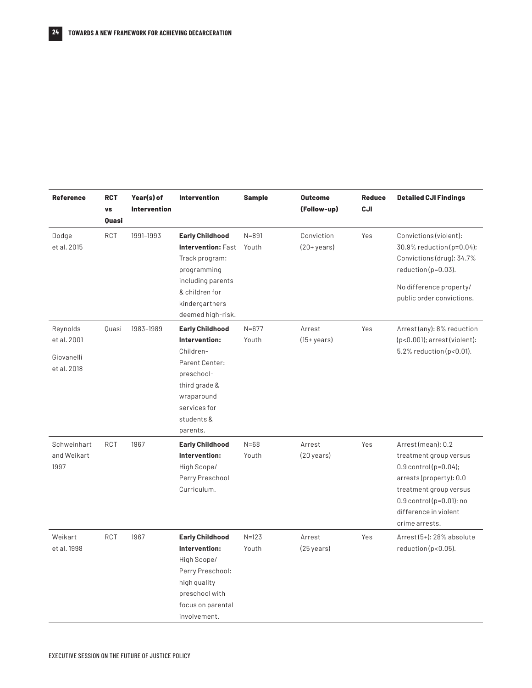| <b>Reference</b>                                     | <b>RCT</b><br><b>VS</b><br><b>Quasi</b> | Year(s) of<br><b>Intervention</b> | <b>Intervention</b>                                                                                                                                           | <b>Sample</b>      | <b>Outcome</b><br>(Follow-up) | <b>Reduce</b><br>CJI | <b>Detailed CJI Findings</b>                                                                                                                                                                             |
|------------------------------------------------------|-----------------------------------------|-----------------------------------|---------------------------------------------------------------------------------------------------------------------------------------------------------------|--------------------|-------------------------------|----------------------|----------------------------------------------------------------------------------------------------------------------------------------------------------------------------------------------------------|
| Dodge<br>et al. 2015                                 | <b>RCT</b>                              | 1991-1993                         | <b>Early Childhood</b><br>Intervention: Fast<br>Track program:<br>programming<br>including parents<br>& children for<br>kindergartners<br>deemed high-risk.   | $N = 891$<br>Youth | Conviction<br>$(20 + years)$  | Yes                  | Convictions (violent):<br>30.9% reduction (p=0.04);<br>Convictions (drug): 34.7%<br>reduction (p=0.03).<br>No difference property/<br>public order convictions.                                          |
| Reynolds<br>et al. 2001<br>Giovanelli<br>et al. 2018 | Quasi                                   | 1983-1989                         | <b>Early Childhood</b><br>Intervention:<br>Children-<br>Parent Center:<br>preschool-<br>third grade &<br>wraparound<br>services for<br>students &<br>parents. | $N = 677$<br>Youth | Arrest<br>$(15 + years)$      | Yes                  | Arrest (any): 8% reduction<br>(p<0.001); arrest (violent):<br>$5.2\%$ reduction (p<0.01).                                                                                                                |
| Schweinhart<br>and Weikart<br>1997                   | <b>RCT</b>                              | 1967                              | <b>Early Childhood</b><br>Intervention:<br>High Scope/<br>Perry Preschool<br>Curriculum.                                                                      | $N = 68$<br>Youth  | Arrest<br>(20 years)          | Yes                  | Arrest (mean): 0.2<br>treatment group versus<br>$0.9$ control(p= $0.04$ );<br>arrests (property): 0.0<br>treatment group versus<br>$0.9$ control (p=0.01); no<br>difference in violent<br>crime arrests. |
| Weikart<br>et al. 1998                               | <b>RCT</b>                              | 1967                              | <b>Early Childhood</b><br>Intervention:<br>High Scope/<br>Perry Preschool:<br>high quality<br>preschool with<br>focus on parental<br>involvement.             | $N = 123$<br>Youth | Arrest<br>(25 years)          | Yes                  | Arrest (5+): 28% absolute<br>reduction ( $p<0.05$ ).                                                                                                                                                     |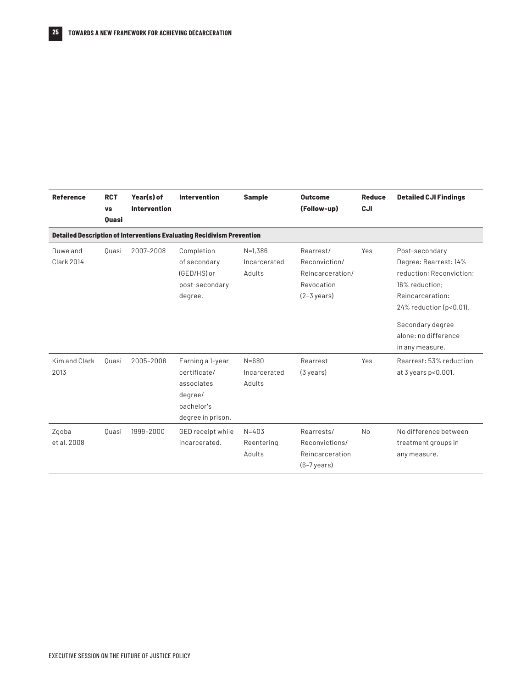| <b>Reference</b>              | <b>RCT</b><br><b>VS</b><br><b>Ouasi</b> | Year(s) of<br><b>Intervention</b> | <b>Intervention</b>                                                                          | <b>Sample</b>                       | <b>Outcome</b><br>(Follow-up)                                                         | <b>Reduce</b><br>CJI | <b>Detailed CJI Findings</b>                                                                                                                                                                        |
|-------------------------------|-----------------------------------------|-----------------------------------|----------------------------------------------------------------------------------------------|-------------------------------------|---------------------------------------------------------------------------------------|----------------------|-----------------------------------------------------------------------------------------------------------------------------------------------------------------------------------------------------|
|                               |                                         |                                   | <b>Detailed Description of Interventions Evaluating Recidivism Prevention</b>                |                                     |                                                                                       |                      |                                                                                                                                                                                                     |
| Duwe and<br><b>Clark 2014</b> | Quasi                                   | 2007-2008                         | Completion<br>of secondary<br>(GED/HS) or<br>post-secondary<br>degree.                       | $N=1,386$<br>Incarcerated<br>Adults | Rearrest/<br>Reconviction/<br>Reincarceration/<br>Revocation<br>$(2-3 \text{ years})$ | Yes                  | Post-secondary<br>Degree: Rearrest: 14%<br>reduction: Reconviction:<br>16% reduction;<br>Reincarceration:<br>24% reduction (p<0.01).<br>Secondary degree<br>alone: no difference<br>in any measure. |
| Kim and Clark<br>2013         | Ouasi                                   | 2005-2008                         | Earning a 1-year<br>certificate/<br>associates<br>degree/<br>bachelor's<br>degree in prison. | $N = 680$<br>Incarcerated<br>Adults | Rearrest<br>(3 years)                                                                 | Yes                  | Rearrest: 53% reduction<br>at $3$ years $p<0.001$ .                                                                                                                                                 |
| Zgoba<br>et al. 2008          | Quasi                                   | 1999-2000                         | GED receipt while<br>incarcerated.                                                           | $N = 403$<br>Reentering<br>Adults   | Rearrests/<br>Reconvictions/<br>Reincarceration<br>$(6-7 \, \text{years})$            | N <sub>0</sub>       | No difference between<br>treatment groups in<br>any measure.                                                                                                                                        |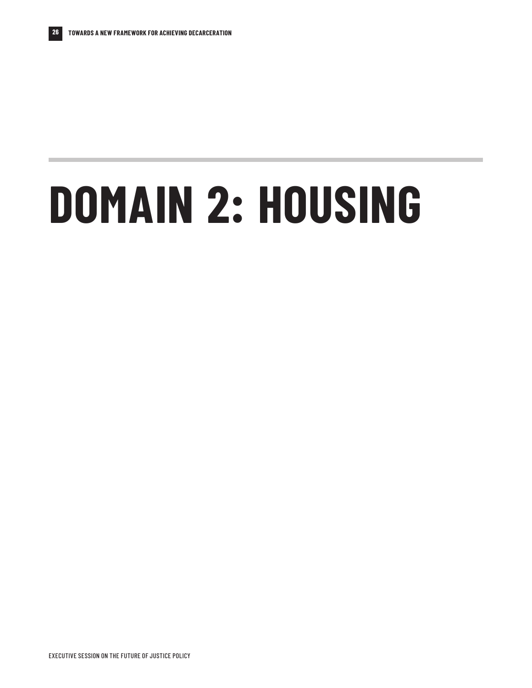# <span id="page-25-0"></span>**DOMAIN 2: HOUSING**

EXECUTIVE SESSION ON THE FUTURE OF JUSTICE POLICY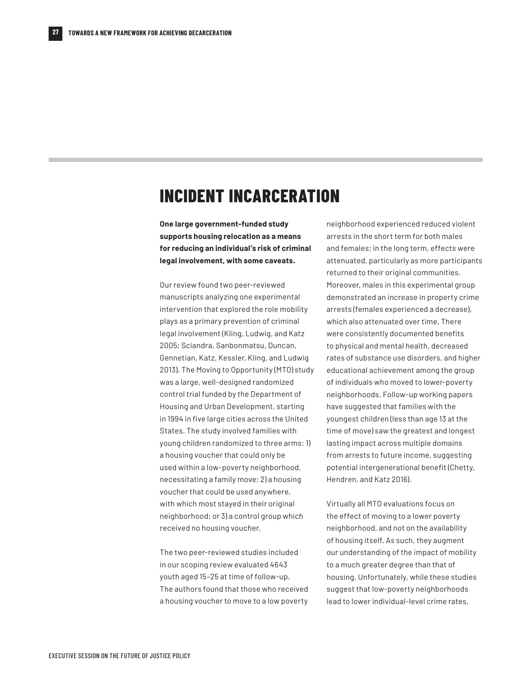### **INCIDENT INCARCERATION**

**One large government-funded study supports housing relocation as a means for reducing an individual's risk of criminal legal involvement, with some caveats.**

Our review found two peer-reviewed manuscripts analyzing one experimental intervention that explored the role mobility plays as a primary prevention of criminal legal involvement (Kling, Ludwig, and Katz 2005; Sciandra, Sanbonmatsu, Duncan, Gennetian, Katz, Kessler, Kling, and Ludwig 2013). The Moving to Opportunity (MTO) study was a large, well-designed randomized control trial funded by the Department of Housing and Urban Development, starting in 1994 in five large cities across the United States. The study involved families with young children randomized to three arms: 1) a housing voucher that could only be used within a low-poverty neighborhood, necessitating a family move; 2) a housing voucher that could be used anywhere, with which most stayed in their original neighborhood; or 3) a control group which received no housing voucher.

The two peer-reviewed studies included in our scoping review evaluated 4643 youth aged 15–25 at time of follow-up. The authors found that those who received a housing voucher to move to a low poverty neighborhood experienced reduced violent arrests in the short term for both males and females; in the long term, effects were attenuated, particularly as more participants returned to their original communities. Moreover, males in this experimental group demonstrated an increase in property crime arrests (females experienced a decrease), which also attenuated over time. There were consistently documented benefits to physical and mental health, decreased rates of substance use disorders, and higher educational achievement among the group of individuals who moved to lower-poverty neighborhoods. Follow-up working papers have suggested that families with the youngest children (less than age 13 at the time of move) saw the greatest and longest lasting impact across multiple domains from arrests to future income, suggesting potential intergenerational benefit (Chetty, Hendren, and Katz 2016).

Virtually all MTO evaluations focus on the effect of moving to a lower poverty neighborhood, and not on the availability of housing itself. As such, they augment our understanding of the impact of mobility to a much greater degree than that of housing. Unfortunately, while these studies suggest that low-poverty neighborhoods lead to lower individual-level crime rates,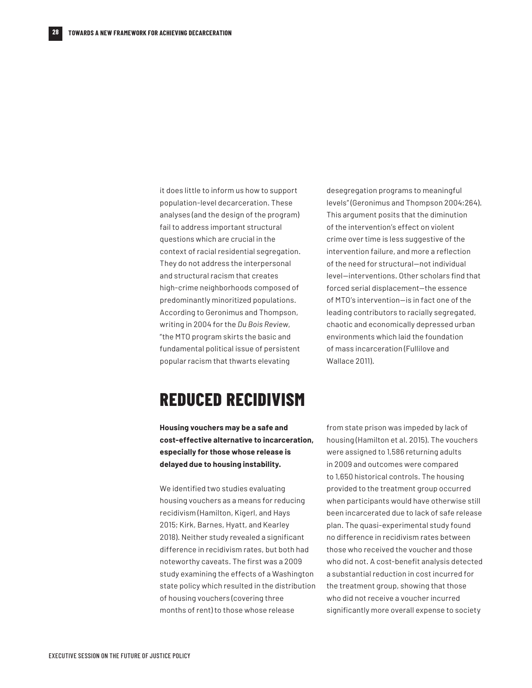it does little to inform us how to support population-level decarceration. These analyses (and the design of the program) fail to address important structural questions which are crucial in the context of racial residential segregation. They do not address the interpersonal and structural racism that creates high-crime neighborhoods composed of predominantly minoritized populations. According to Geronimus and Thompson, writing in 2004 for the *Du Bois Review*, "the MTO program skirts the basic and fundamental political issue of persistent popular racism that thwarts elevating

desegregation programs to meaningful levels" (Geronimus and Thompson 2004:264). This argument posits that the diminution of the intervention's effect on violent crime over time is less suggestive of the intervention failure, and more a reflection of the need for structural—not individual level—interventions. Other scholars find that forced serial displacement—the essence of MTO's intervention—is in fact one of the leading contributors to racially segregated, chaotic and economically depressed urban environments which laid the foundation of mass incarceration (Fullilove and Wallace 2011).

### **REDUCED RECIDIVISM**

**Housing vouchers may be a safe and cost-effective alternative to incarceration, especially for those whose release is delayed due to housing instability.**

We identified two studies evaluating housing vouchers as a means for reducing recidivism (Hamilton, Kigerl, and Hays 2015; Kirk, Barnes, Hyatt, and Kearley 2018). Neither study revealed a significant difference in recidivism rates, but both had noteworthy caveats. The first was a 2009 study examining the effects of a Washington state policy which resulted in the distribution of housing vouchers (covering three months of rent) to those whose release

from state prison was impeded by lack of housing (Hamilton et al. 2015). The vouchers were assigned to 1,586 returning adults in 2009 and outcomes were compared to 1,650 historical controls. The housing provided to the treatment group occurred when participants would have otherwise still been incarcerated due to lack of safe release plan. The quasi-experimental study found no difference in recidivism rates between those who received the voucher and those who did not. A cost-benefit analysis detected a substantial reduction in cost incurred for the treatment group, showing that those who did not receive a voucher incurred significantly more overall expense to society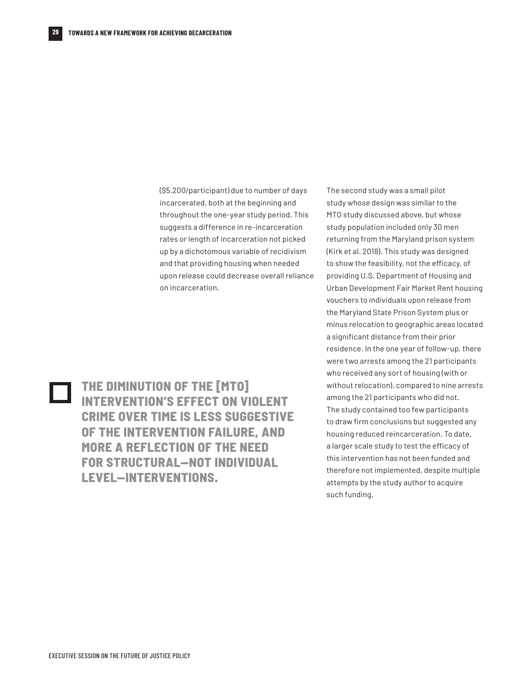(\$5,200/participant) due to number of days incarcerated, both at the beginning and throughout the one-year study period. This suggests a difference in re-incarceration rates or length of incarceration not picked up by a dichotomous variable of recidivism and that providing housing when needed upon release could decrease overall reliance on incarceration.

**THE DIMINUTION OF THE [MTO]**   $\Box$ **INTERVENTION'S EFFECT ON VIOLENT CRIME OVER TIME IS LESS SUGGESTIVE OF THE INTERVENTION FAILURE, AND MORE A REFLECTION OF THE NEED FOR STRUCTURAL—NOT INDIVIDUAL LEVEL—INTERVENTIONS.** 

The second study was a small pilot study whose design was similar to the MTO study discussed above, but whose study population included only 30 men returning from the Maryland prison system (Kirk et al. 2018). This study was designed to show the feasibility, not the efficacy, of providing U.S. Department of Housing and Urban Development Fair Market Rent housing vouchers to individuals upon release from the Maryland State Prison System plus or minus relocation to geographic areas located a significant distance from their prior residence. In the one year of follow-up, there were two arrests among the 21 participants who received any sort of housing (with or without relocation), compared to nine arrests among the 21 participants who did not. The study contained too few participants to draw firm conclusions but suggested any housing reduced reincarceration. To date, a larger scale study to test the efficacy of this intervention has not been funded and therefore not implemented, despite multiple attempts by the study author to acquire such funding.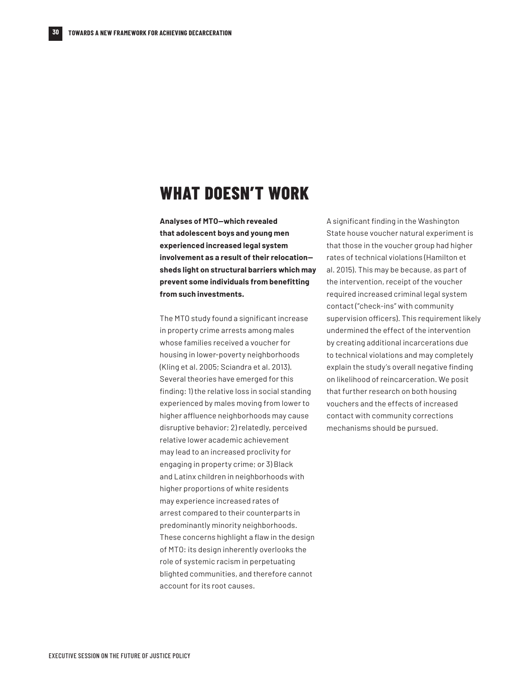### **WHAT DOESN'T WORK**

**Analyses of MTO—which revealed that adolescent boys and young men experienced increased legal system involvement as a result of their relocation sheds light on structural barriers which may prevent some individuals from benefitting from such investments.**

The MTO study found a significant increase in property crime arrests among males whose families received a voucher for housing in lower-poverty neighborhoods (Kling et al. 2005; Sciandra et al. 2013). Several theories have emerged for this finding: 1) the relative loss in social standing experienced by males moving from lower to higher affluence neighborhoods may cause disruptive behavior; 2) relatedly, perceived relative lower academic achievement may lead to an increased proclivity for engaging in property crime; or 3) Black and Latinx children in neighborhoods with higher proportions of white residents may experience increased rates of arrest compared to their counterparts in predominantly minority neighborhoods. These concerns highlight a flaw in the design of MTO: its design inherently overlooks the role of systemic racism in perpetuating blighted communities, and therefore cannot account for its root causes.

A significant finding in the Washington State house voucher natural experiment is that those in the voucher group had higher rates of technical violations (Hamilton et al. 2015). This may be because, as part of the intervention, receipt of the voucher required increased criminal legal system contact ("check-ins" with community supervision officers). This requirement likely undermined the effect of the intervention by creating additional incarcerations due to technical violations and may completely explain the study's overall negative finding on likelihood of reincarceration. We posit that further research on both housing vouchers and the effects of increased contact with community corrections mechanisms should be pursued.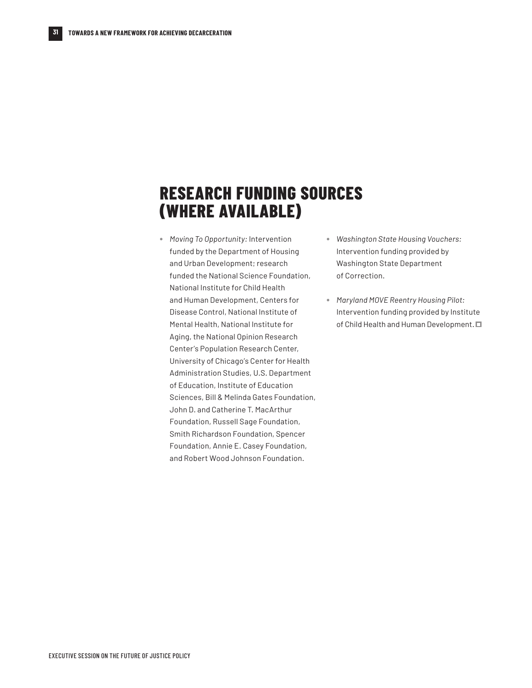### **RESEARCH FUNDING SOURCES (WHERE AVAILABLE)**

- **•** *Moving To Opportunity:* Intervention funded by the Department of Housing and Urban Development; research funded the National Science Foundation, National Institute for Child Health and Human Development, Centers for Disease Control, National Institute of Mental Health, National Institute for Aging, the National Opinion Research Center's Population Research Center, University of Chicago's Center for Health Administration Studies, U.S. Department of Education, Institute of Education Sciences, Bill & Melinda Gates Foundation, John D. and Catherine T. MacArthur Foundation, Russell Sage Foundation, Smith Richardson Foundation, Spencer Foundation, Annie E. Casey Foundation, and Robert Wood Johnson Foundation.
- **•** *Washington State Housing Vouchers:* Intervention funding provided by Washington State Department of Correction.
- **•** *Maryland MOVE Reentry Housing Pilot:*  Intervention funding provided by Institute of Child Health and Human Development.  $\square$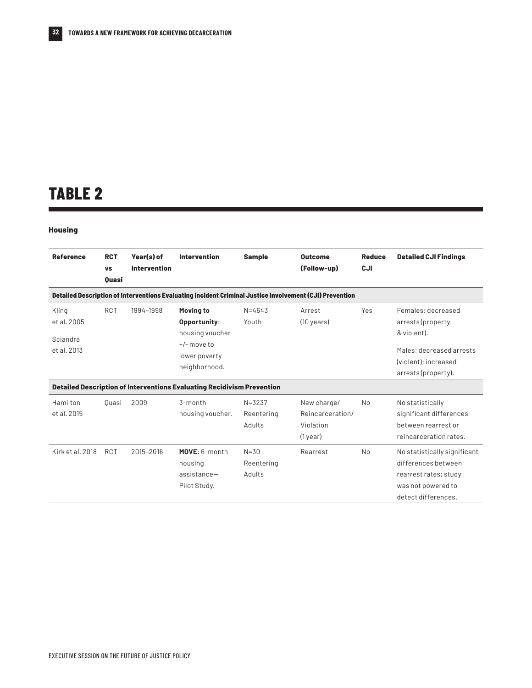### **TABLE 2**

#### **Housing**

| <b>Reference</b>                                | <b>RCT</b><br><b>VS</b><br><b>Quasi</b> | Year(s) of<br><b>Intervention</b> | <b>Intervention</b>                                                                                    | <b>Sample</b>                      | <b>Outcome</b><br>(Follow-up)                                                                           | <b>Reduce</b><br><b>CJI</b> | <b>Detailed CJI Findings</b>                                                                                                      |
|-------------------------------------------------|-----------------------------------------|-----------------------------------|--------------------------------------------------------------------------------------------------------|------------------------------------|---------------------------------------------------------------------------------------------------------|-----------------------------|-----------------------------------------------------------------------------------------------------------------------------------|
|                                                 |                                         |                                   |                                                                                                        |                                    | Detailed Description of Interventions Evaluating Incident Criminal Justice Involvement (CJI) Prevention |                             |                                                                                                                                   |
| Kling<br>et al. 2005<br>Sciandra<br>et al. 2013 | <b>RCT</b>                              | 1994-1998                         | <b>Moving to</b><br>Opportunity:<br>housing voucher<br>$+/-$ move to<br>lower poverty<br>neighborhood. | $N = 4643$<br>Youth                | Arrest<br>$(10 \text{ years})$                                                                          | Yes                         | Females: decreased<br>arrests (property<br>& violent).<br>Males: decreased arrests<br>(violent); increased<br>arrests (property). |
|                                                 |                                         |                                   | Detailed Description of Interventions Evaluating Recidivism Prevention                                 |                                    |                                                                                                         |                             |                                                                                                                                   |
| Hamilton<br>et al. 2015                         | Ouasi                                   | 2009                              | 3-month<br>housing voucher.                                                                            | $N = 3237$<br>Reentering<br>Adults | New charge/<br>Reincarceration/<br>Violation<br>$(1$ year $)$                                           | No                          | No statistically<br>significant differences<br>between rearrest or<br>reincarceration rates.                                      |
| Kirk et al. 2018                                | <b>RCT</b>                              | 2015-2016                         | MOVE: 6-month<br>housing<br>assistance-<br>Pilot Study.                                                | $N = 30$<br>Reentering<br>Adults   | Rearrest                                                                                                | No                          | No statistically significant<br>differences between<br>rearrest rates; study<br>was not powered to<br>detect differences.         |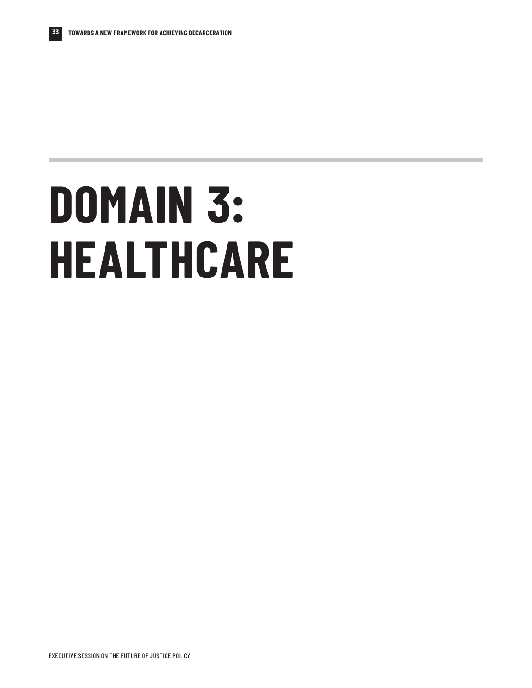# <span id="page-32-0"></span>**DOMAIN 3: HEALTHCARE**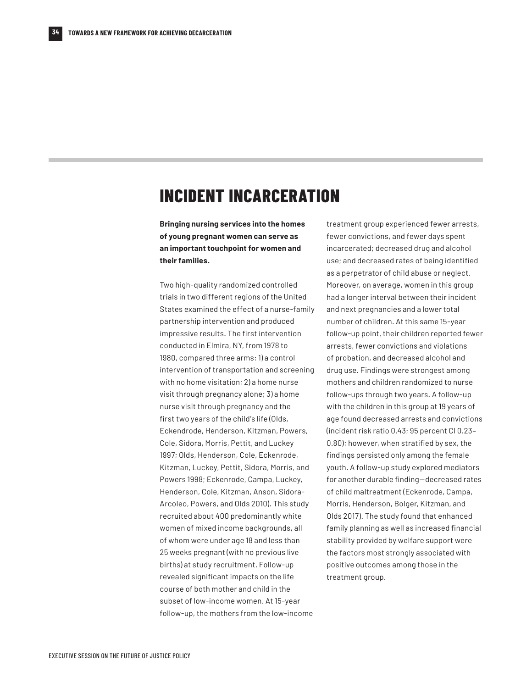### **INCIDENT INCARCERATION**

**Bringing nursing services into the homes of young pregnant women can serve as an important touchpoint for women and their families.**

Two high-quality randomized controlled trials in two different regions of the United States examined the effect of a nurse-family partnership intervention and produced impressive results. The first intervention conducted in Elmira, NY, from 1978 to 1980, compared three arms: 1) a control intervention of transportation and screening with no home visitation; 2) a home nurse visit through pregnancy alone; 3) a home nurse visit through pregnancy and the first two years of the child's life (Olds, Eckendrode, Henderson, Kitzman, Powers, Cole, Sidora, Morris, Pettit, and Luckey 1997; Olds, Henderson, Cole, Eckenrode, Kitzman, Luckey, Pettit, Sidora, Morris, and Powers 1998; Eckenrode, Campa, Luckey, Henderson, Cole, Kitzman, Anson, Sidora-Arcoleo, Powers, and Olds 2010). This study recruited about 400 predominantly white women of mixed income backgrounds, all of whom were under age 18 and less than 25 weeks pregnant (with no previous live births) at study recruitment. Follow-up revealed significant impacts on the life course of both mother and child in the subset of low-income women. At 15-year follow-up, the mothers from the low-income

treatment group experienced fewer arrests, fewer convictions, and fewer days spent incarcerated; decreased drug and alcohol use; and decreased rates of being identified as a perpetrator of child abuse or neglect. Moreover, on average, women in this group had a longer interval between their incident and next pregnancies and a lower total number of children. At this same 15-year follow-up point, their children reported fewer arrests, fewer convictions and violations of probation, and decreased alcohol and drug use. Findings were strongest among mothers and children randomized to nurse follow-ups through two years. A follow-up with the children in this group at 19 years of age found decreased arrests and convictions (incident risk ratio 0.43; 95 percent CI 0.23– 0.80); however, when stratified by sex, the findings persisted only among the female youth. A follow-up study explored mediators for another durable finding—decreased rates of child maltreatment (Eckenrode, Campa, Morris, Henderson, Bolger, Kitzman, and Olds 2017). The study found that enhanced family planning as well as increased financial stability provided by welfare support were the factors most strongly associated with positive outcomes among those in the treatment group.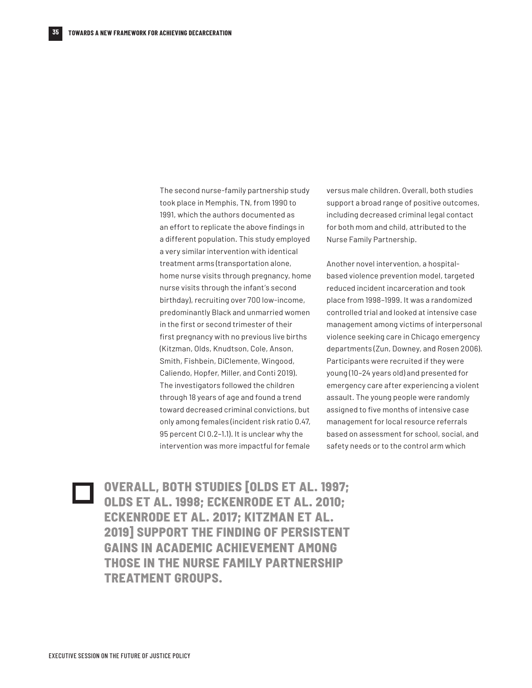The second nurse-family partnership study took place in Memphis, TN, from 1990 to 1991, which the authors documented as an effort to replicate the above findings in a different population. This study employed a very similar intervention with identical treatment arms (transportation alone, home nurse visits through pregnancy, home nurse visits through the infant's second birthday), recruiting over 700 low-income, predominantly Black and unmarried women in the first or second trimester of their first pregnancy with no previous live births (Kitzman, Olds, Knudtson, Cole, Anson, Smith, Fishbein, DiClemente, Wingood, Caliendo, Hopfer, Miller, and Conti 2019). The investigators followed the children through 18 years of age and found a trend toward decreased criminal convictions, but only among females (incident risk ratio 0.47, 95 percent CI 0.2–1.1). It is unclear why the intervention was more impactful for female

versus male children. Overall, both studies support a broad range of positive outcomes, including decreased criminal legal contact for both mom and child, attributed to the Nurse Family Partnership.

Another novel intervention, a hospitalbased violence prevention model, targeted reduced incident incarceration and took place from 1998–1999. It was a randomized controlled trial and looked at intensive case management among victims of interpersonal violence seeking care in Chicago emergency departments (Zun, Downey, and Rosen 2006). Participants were recruited if they were young (10–24 years old) and presented for emergency care after experiencing a violent assault. The young people were randomly assigned to five months of intensive case management for local resource referrals based on assessment for school, social, and safety needs or to the control arm which

**OVERALL, BOTH STUDIES [OLDS ET AL. 1997; OLDS ET AL. 1998; ECKENRODE ET AL. 2010; ECKENRODE ET AL. 2017; KITZMAN ET AL. 2019] SUPPORT THE FINDING OF PERSISTENT GAINS IN ACADEMIC ACHIEVEMENT AMONG THOSE IN THE NURSE FAMILY PARTNERSHIP TREATMENT GROUPS.**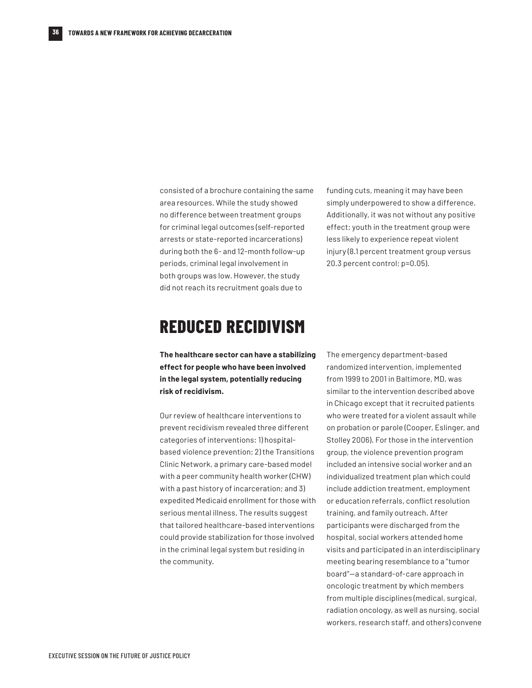consisted of a brochure containing the same area resources. While the study showed no difference between treatment groups for criminal legal outcomes (self-reported arrests or state-reported incarcerations) during both the 6- and 12-month follow-up periods, criminal legal involvement in both groups was low. However, the study did not reach its recruitment goals due to

### **REDUCED RECIDIVISM**

**The healthcare sector can have a stabilizing effect for people who have been involved in the legal system, potentially reducing risk of recidivism.**

Our review of healthcare interventions to prevent recidivism revealed three different categories of interventions: 1) hospitalbased violence prevention; 2) the Transitions Clinic Network, a primary care-based model with a peer community health worker (CHW) with a past history of incarceration; and 3) expedited Medicaid enrollment for those with serious mental illness. The results suggest that tailored healthcare-based interventions could provide stabilization for those involved in the criminal legal system but residing in the community.

funding cuts, meaning it may have been simply underpowered to show a difference. Additionally, it was not without any positive effect; youth in the treatment group were less likely to experience repeat violent injury (8.1 percent treatment group versus 20.3 percent control; p=0.05).

The emergency department-based randomized intervention, implemented from 1999 to 2001 in Baltimore, MD, was similar to the intervention described above in Chicago except that it recruited patients who were treated for a violent assault while on probation or parole (Cooper, Eslinger, and Stolley 2006). For those in the intervention group, the violence prevention program included an intensive social worker and an individualized treatment plan which could include addiction treatment, employment or education referrals, conflict resolution training, and family outreach. After participants were discharged from the hospital, social workers attended home visits and participated in an interdisciplinary meeting bearing resemblance to a "tumor board"—a standard-of-care approach in oncologic treatment by which members from multiple disciplines (medical, surgical, radiation oncology, as well as nursing, social workers, research staff, and others) convene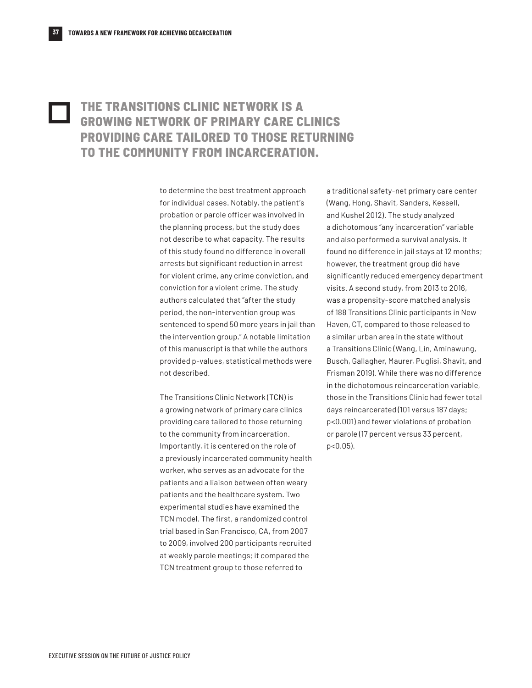#### **THE TRANSITIONS CLINIC NETWORK IS A GROWING NETWORK OF PRIMARY CARE CLINICS PROVIDING CARE TAILORED TO THOSE RETURNING TO THE COMMUNITY FROM INCARCERATION.**

to determine the best treatment approach for individual cases. Notably, the patient's probation or parole officer was involved in the planning process, but the study does not describe to what capacity. The results of this study found no difference in overall arrests but significant reduction in arrest for violent crime, any crime conviction, and conviction for a violent crime. The study authors calculated that "after the study period, the non-intervention group was sentenced to spend 50 more years in jail than the intervention group." A notable limitation of this manuscript is that while the authors provided p-values, statistical methods were not described.

The Transitions Clinic Network (TCN) is a growing network of primary care clinics providing care tailored to those returning to the community from incarceration. Importantly, it is centered on the role of a previously incarcerated community health worker, who serves as an advocate for the patients and a liaison between often weary patients and the healthcare system. Two experimental studies have examined the TCN model. The first, a randomized control trial based in San Francisco, CA, from 2007 to 2009, involved 200 participants recruited at weekly parole meetings; it compared the TCN treatment group to those referred to

a traditional safety-net primary care center (Wang, Hong, Shavit, Sanders, Kessell, and Kushel 2012). The study analyzed a dichotomous "any incarceration" variable and also performed a survival analysis. It found no difference in jail stays at 12 months; however, the treatment group did have significantly reduced emergency department visits. A second study, from 2013 to 2016, was a propensity-score matched analysis of 188 Transitions Clinic participants in New Haven, CT, compared to those released to a similar urban area in the state without a Transitions Clinic (Wang, Lin, Aminawung, Busch, Gallagher, Maurer, Puglisi, Shavit, and Frisman 2019). While there was no difference in the dichotomous reincarceration variable, those in the Transitions Clinic had fewer total days reincarcerated (101 versus 187 days; p<0.001) and fewer violations of probation or parole (17 percent versus 33 percent, p<0.05).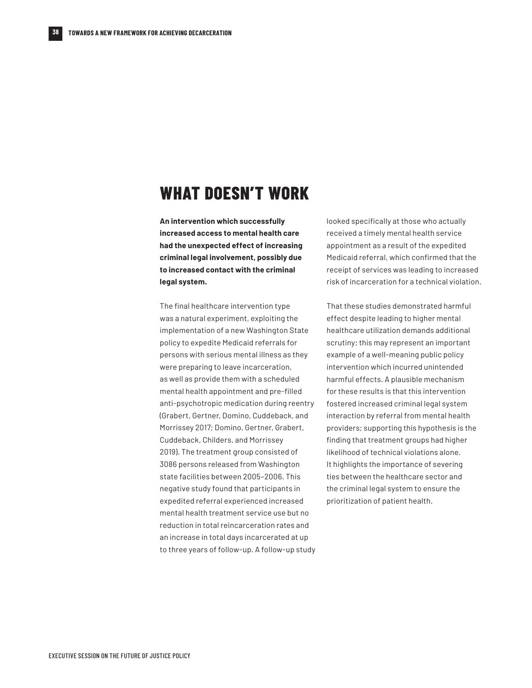#### **WHAT DOESN'T WORK**

**An intervention which successfully increased access to mental health care had the unexpected effect of increasing criminal legal involvement, possibly due to increased contact with the criminal legal system.**

The final healthcare intervention type was a natural experiment, exploiting the implementation of a new Washington State policy to expedite Medicaid referrals for persons with serious mental illness as they were preparing to leave incarceration, as well as provide them with a scheduled mental health appointment and pre-filled anti-psychotropic medication during reentry (Grabert, Gertner, Domino, Cuddeback, and Morrissey 2017; Domino, Gertner, Grabert, Cuddeback, Childers, and Morrissey 2019). The treatment group consisted of 3086 persons released from Washington state facilities between 2005–2006. This negative study found that participants in expedited referral experienced increased mental health treatment service use but no reduction in total reincarceration rates and an increase in total days incarcerated at up to three years of follow-up. A follow-up study looked specifically at those who actually received a timely mental health service appointment as a result of the expedited Medicaid referral, which confirmed that the receipt of services was leading to increased risk of incarceration for a technical violation.

That these studies demonstrated harmful effect despite leading to higher mental healthcare utilization demands additional scrutiny; this may represent an important example of a well-meaning public policy intervention which incurred unintended harmful effects. A plausible mechanism for these results is that this intervention fostered increased criminal legal system interaction by referral from mental health providers; supporting this hypothesis is the finding that treatment groups had higher likelihood of technical violations alone. It highlights the importance of severing ties between the healthcare sector and the criminal legal system to ensure the prioritization of patient health.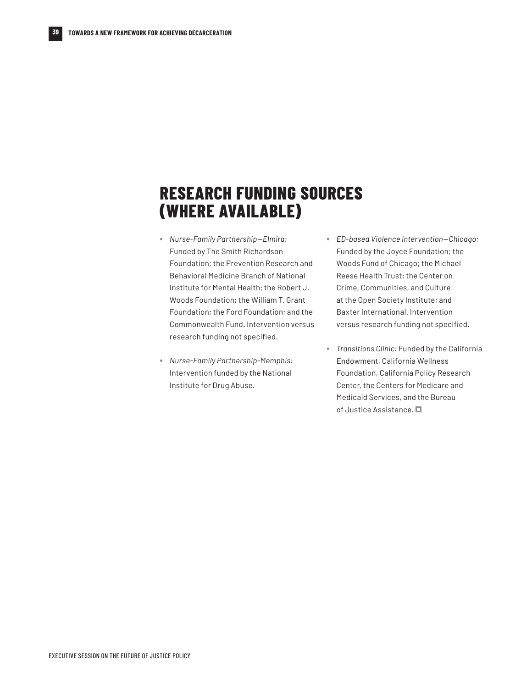# **RESEARCH FUNDING SOURCES (WHERE AVAILABLE)**

- **•** *Nurse-Family Partnership—Elmira:*  Funded by The Smith Richardson Foundation; the Prevention Research and Behavioral Medicine Branch of National Institute for Mental Health; the Robert J. Woods Foundation; the William T. Grant Foundation; the Ford Foundation; and the Commonwealth Fund. Intervention versus research funding not specified.
- **•** *Nurse-Family Partnership-Memphis:*  Intervention funded by the National Institute for Drug Abuse.
- **•** *ED-based Violence Intervention—Chicago:*  Funded by the Joyce Foundation; the Woods Fund of Chicago; the Michael Reese Health Trust; the Center on Crime, Communities, and Culture at the Open Society Institute; and Baxter International. Intervention versus research funding not specified.
- **•** *Transitions Clinic:* Funded by the California Endowment, California Wellness Foundation, California Policy Research Center, the Centers for Medicare and Medicaid Services, and the Bureau of Justice Assistance.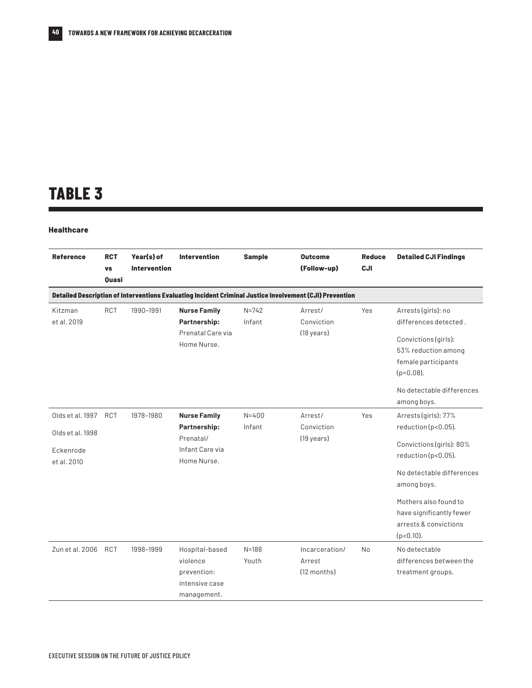# **TABLE 3**

#### **Healthcare**

| <b>Reference</b>                                                                                        | <b>RCT</b><br><b>VS</b><br><b>Ouasi</b> | Year(s) of<br><b>Intervention</b> | <b>Intervention</b>                                                                | <b>Sample</b>       | <b>Outcome</b><br>(Follow-up)                 | <b>Reduce</b><br>CJI | <b>Detailed CJI Findings</b>                                                                                                                                                                                                                 |  |  |  |
|---------------------------------------------------------------------------------------------------------|-----------------------------------------|-----------------------------------|------------------------------------------------------------------------------------|---------------------|-----------------------------------------------|----------------------|----------------------------------------------------------------------------------------------------------------------------------------------------------------------------------------------------------------------------------------------|--|--|--|
| Detailed Description of Interventions Evaluating Incident Criminal Justice Involvement (CJI) Prevention |                                         |                                   |                                                                                    |                     |                                               |                      |                                                                                                                                                                                                                                              |  |  |  |
| Kitzman<br>et al. 2019                                                                                  | <b>RCT</b>                              | 1990-1991                         | <b>Nurse Family</b><br>Partnership:<br>Prenatal Care via<br>Home Nurse.            | $N = 742$<br>Infant | Arrest/<br>Conviction<br>$(18 \text{ years})$ | Yes                  | Arrests (girls): no<br>differences detected.<br>Convictions (girls):<br>53% reduction among<br>female participants<br>$(p=0.08)$ .<br>No detectable differences<br>among boys.                                                               |  |  |  |
| Olds et al. 1997<br>Olds et al. 1998<br>Eckenrode<br>et al. 2010                                        | <b>RCT</b>                              | 1978-1980                         | <b>Nurse Family</b><br>Partnership:<br>Prenatal/<br>Infant Care via<br>Home Nurse. | $N = 400$<br>Infant | Arrest/<br>Conviction<br>(19 years)           | Yes                  | Arrests (girls): 77%<br>reduction ( $p<0.05$ ).<br>Convictions (girls): 80%<br>reduction (p<0.05).<br>No detectable differences<br>among boys.<br>Mothers also found to<br>have significantly fewer<br>arrests & convictions<br>$(p<0.10)$ . |  |  |  |
| Zun et al. 2006                                                                                         | <b>RCT</b>                              | 1998-1999                         | Hospital-based<br>violence<br>prevention:<br>intensive case<br>management.         | $N = 188$<br>Youth  | Incarceration/<br>Arrest<br>(12 months)       | No                   | No detectable<br>differences between the<br>treatment groups.                                                                                                                                                                                |  |  |  |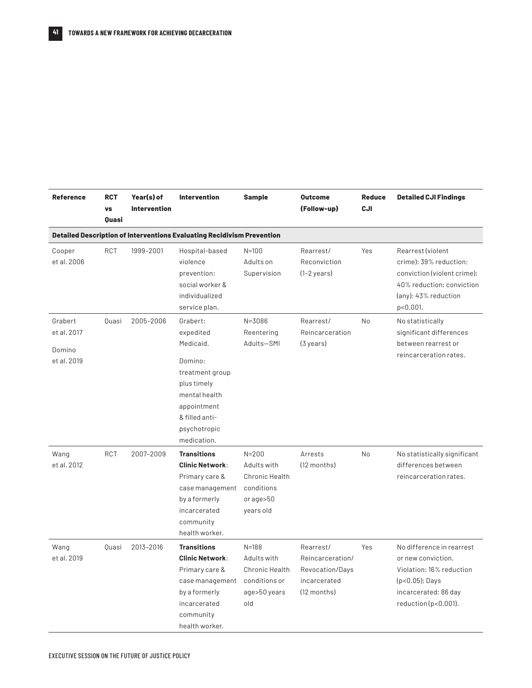| <b>Reference</b>                                | <b>RCT</b><br>VS<br><b>Quasi</b> | Year(s) of<br><b>Intervention</b> | <b>Intervention</b>                                                                                                                                              | Sample                                                                             | <b>Outcome</b><br>(Follow-up)                                                   | <b>Reduce</b><br><b>CJI</b> | <b>Detailed CJI Findings</b>                                                                                                                         |
|-------------------------------------------------|----------------------------------|-----------------------------------|------------------------------------------------------------------------------------------------------------------------------------------------------------------|------------------------------------------------------------------------------------|---------------------------------------------------------------------------------|-----------------------------|------------------------------------------------------------------------------------------------------------------------------------------------------|
|                                                 |                                  |                                   | Detailed Description of Interventions Evaluating Recidivism Prevention                                                                                           |                                                                                    |                                                                                 |                             |                                                                                                                                                      |
| Cooper<br>et al. 2006                           | <b>RCT</b>                       | 1999-2001                         | Hospital-based<br>violence<br>prevention:<br>social worker &<br>individualized<br>service plan.                                                                  | $N = 100$<br>Adults on<br>Supervision                                              | Rearrest/<br>Reconviction<br>$(1-2 \text{ years})$                              | Yes                         | Rearrest (violent<br>crime): 39% reduction;<br>conviction (violent crime):<br>40% reduction: conviction<br>(any): 43% reduction<br>p<0.001.          |
| Grabert<br>et al. 2017<br>Domino<br>et al. 2019 | Ouasi                            | 2005-2006                         | Grabert:<br>expedited<br>Medicaid.<br>Domino:<br>treatment group<br>plus timely<br>mental health<br>appointment<br>& filled anti-<br>psychotropic<br>medication. | $N = 3086$<br>Reentering<br>Adults-SMI                                             | Rearrest/<br>Reincarceration<br>$(3 \text{ years})$                             | No                          | No statistically<br>significant differences<br>between rearrest or<br>reincarceration rates.                                                         |
| Wang<br>et al. 2012                             | <b>RCT</b>                       | 2007-2009                         | <b>Transitions</b><br><b>Clinic Network:</b><br>Primary care &<br>case management<br>by a formerly<br>incarcerated<br>community<br>health worker.                | $N = 200$<br>Adults with<br>Chronic Health<br>conditions<br>or age>50<br>years old | Arrests<br>$(12$ months)                                                        | No                          | No statistically significant<br>differences between<br>reincarceration rates.                                                                        |
| Wang<br>et al. 2019                             | Quasi                            | 2013-2016                         | <b>Transitions</b><br><b>Clinic Network:</b><br>Primary care &<br>case management<br>by a formerly<br>incarcerated<br>community<br>health worker.                | $N = 188$<br>Adults with<br>Chronic Health<br>conditions or<br>age>50 years<br>old | Rearrest/<br>Reincarceration/<br>Revocation/Days<br>incarcerated<br>(12 months) | Yes                         | No difference in rearrest<br>or new conviction.<br>Violation: 16% reduction<br>$(p<0.05)$ ; Days<br>incarcerated: 86 day<br>reduction ( $p<0.001$ ). |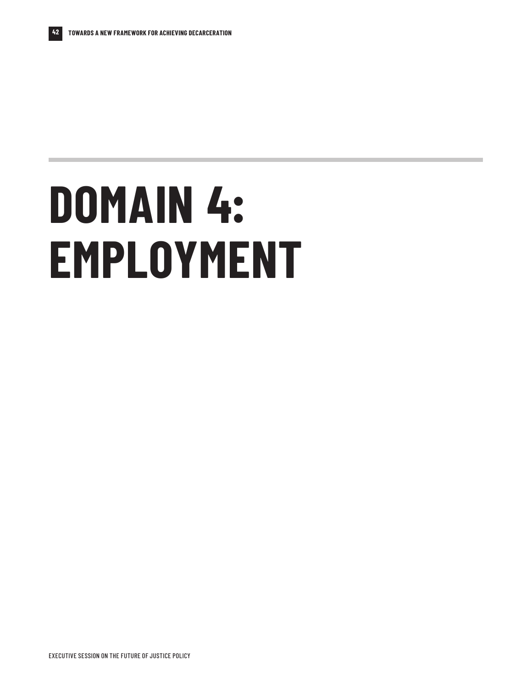# **DOMAIN 4: EMPLOYMENT**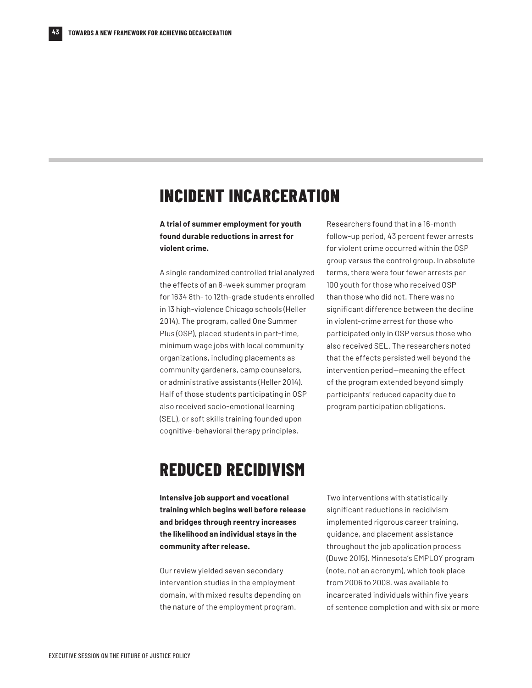# **INCIDENT INCARCERATION**

**A trial of summer employment for youth found durable reductions in arrest for violent crime.**

A single randomized controlled trial analyzed the effects of an 8-week summer program for 1634 8th- to 12th-grade students enrolled in 13 high-violence Chicago schools (Heller 2014). The program, called One Summer Plus (OSP), placed students in part-time, minimum wage jobs with local community organizations, including placements as community gardeners, camp counselors, or administrative assistants (Heller 2014). Half of those students participating in OSP also received socio-emotional learning (SEL), or soft skills training founded upon cognitive-behavioral therapy principles.

Researchers found that in a 16-month follow-up period, 43 percent fewer arrests for violent crime occurred within the OSP group versus the control group. In absolute terms, there were four fewer arrests per 100 youth for those who received OSP than those who did not. There was no significant difference between the decline in violent-crime arrest for those who participated only in OSP versus those who also received SEL. The researchers noted that the effects persisted well beyond the intervention period—meaning the effect of the program extended beyond simply participants' reduced capacity due to program participation obligations.

### **REDUCED RECIDIVISM**

**Intensive job support and vocational training which begins well before release and bridges through reentry increases the likelihood an individual stays in the community after release.**

Our review yielded seven secondary intervention studies in the employment domain, with mixed results depending on the nature of the employment program.

Two interventions with statistically significant reductions in recidivism implemented rigorous career training, guidance, and placement assistance throughout the job application process (Duwe 2015). Minnesota's EMPLOY program (note, not an acronym), which took place from 2006 to 2008, was available to incarcerated individuals within five years of sentence completion and with six or more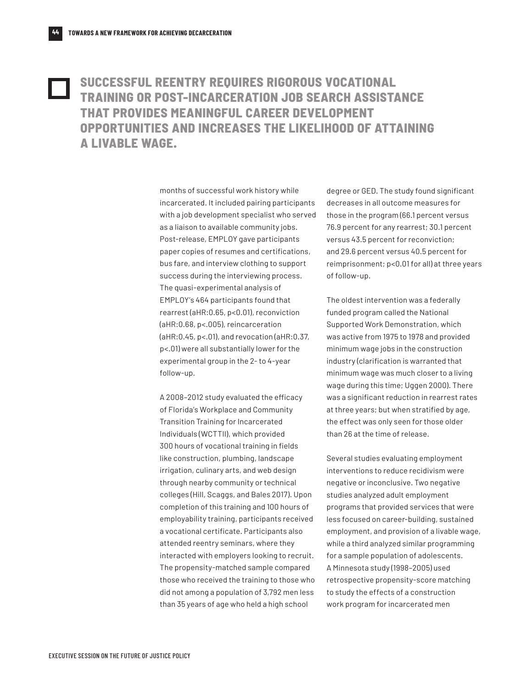#### **SUCCESSFUL REENTRY REQUIRES RIGOROUS VOCATIONAL TRAINING OR POST-INCARCERATION JOB SEARCH ASSISTANCE THAT PROVIDES MEANINGFUL CAREER DEVELOPMENT OPPORTUNITIES AND INCREASES THE LIKELIHOOD OF ATTAINING A LIVABLE WAGE.**

months of successful work history while incarcerated. It included pairing participants with a job development specialist who served as a liaison to available community jobs. Post-release, EMPLOY gave participants paper copies of resumes and certifications, bus fare, and interview clothing to support success during the interviewing process. The quasi-experimental analysis of EMPLOY's 464 participants found that rearrest (aHR:0.65, p<0.01), reconviction (aHR:0.68, p<.005), reincarceration (aHR:0.45, p<.01), and revocation (aHR:0.37, p<.01) were all substantially lower for the experimental group in the 2- to 4-year follow-up.

A 2008–2012 study evaluated the efficacy of Florida's Workplace and Community Transition Training for Incarcerated Individuals (WCTTII), which provided 300 hours of vocational training in fields like construction, plumbing, landscape irrigation, culinary arts, and web design through nearby community or technical colleges (Hill, Scaggs, and Bales 2017). Upon completion of this training and 100 hours of employability training, participants received a vocational certificate. Participants also attended reentry seminars, where they interacted with employers looking to recruit. The propensity-matched sample compared those who received the training to those who did not among a population of 3,792 men less than 35 years of age who held a high school

degree or GED. The study found significant decreases in all outcome measures for those in the program (66.1 percent versus 76.9 percent for any rearrest; 30.1 percent versus 43.5 percent for reconviction; and 29.6 percent versus 40.5 percent for reimprisonment; p<0.01 for all) at three years of follow-up.

The oldest intervention was a federally funded program called the National Supported Work Demonstration, which was active from 1975 to 1978 and provided minimum wage jobs in the construction industry (clarification is warranted that minimum wage was much closer to a living wage during this time; Uggen 2000). There was a significant reduction in rearrest rates at three years; but when stratified by age, the effect was only seen for those older than 26 at the time of release.

Several studies evaluating employment interventions to reduce recidivism were negative or inconclusive. Two negative studies analyzed adult employment programs that provided services that were less focused on career-building, sustained employment, and provision of a livable wage, while a third analyzed similar programming for a sample population of adolescents. A Minnesota study (1998–2005) used retrospective propensity-score matching to study the effects of a construction work program for incarcerated men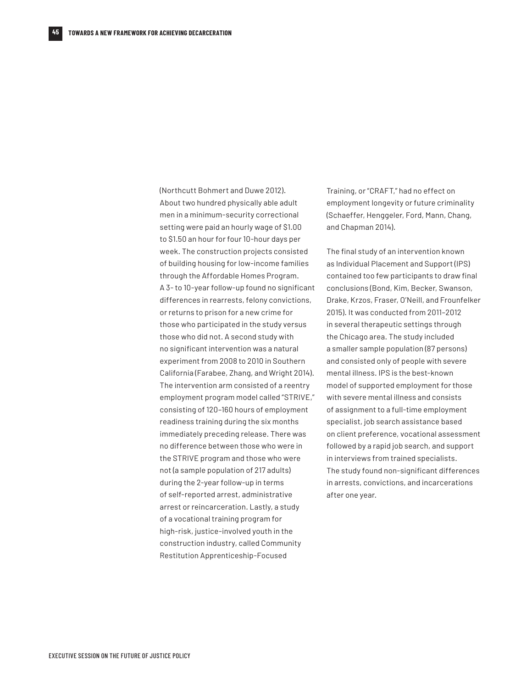(Northcutt Bohmert and Duwe 2012). About two hundred physically able adult men in a minimum-security correctional setting were paid an hourly wage of \$1.00 to \$1.50 an hour for four 10-hour days per week. The construction projects consisted of building housing for low-income families through the Affordable Homes Program. A 3- to 10-year follow-up found no significant differences in rearrests, felony convictions, or returns to prison for a new crime for those who participated in the study versus those who did not. A second study with no significant intervention was a natural experiment from 2008 to 2010 in Southern California (Farabee, Zhang, and Wright 2014). The intervention arm consisted of a reentry employment program model called "STRIVE," consisting of 120–160 hours of employment readiness training during the six months immediately preceding release. There was no difference between those who were in the STRIVE program and those who were not (a sample population of 217 adults) during the 2-year follow-up in terms of self-reported arrest, administrative arrest or reincarceration. Lastly, a study of a vocational training program for high-risk, justice-involved youth in the construction industry, called Community Restitution Apprenticeship-Focused

Training, or "CRAFT," had no effect on employment longevity or future criminality (Schaeffer, Henggeler, Ford, Mann, Chang, and Chapman 2014).

The final study of an intervention known as Individual Placement and Support (IPS) contained too few participants to draw final conclusions (Bond, Kim, Becker, Swanson, Drake, Krzos, Fraser, O'Neill, and Frounfelker 2015). It was conducted from 2011–2012 in several therapeutic settings through the Chicago area. The study included a smaller sample population (87 persons) and consisted only of people with severe mental illness. IPS is the best-known model of supported employment for those with severe mental illness and consists of assignment to a full-time employment specialist, job search assistance based on client preference, vocational assessment followed by a rapid job search, and support in interviews from trained specialists. The study found non-significant differences in arrests, convictions, and incarcerations after one year.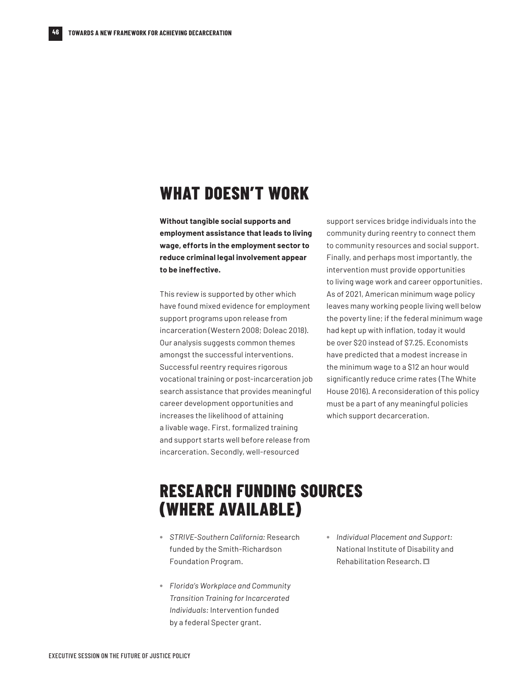#### **WHAT DOESN'T WORK**

**Without tangible social supports and employment assistance that leads to living wage, efforts in the employment sector to reduce criminal legal involvement appear to be ineffective.**

This review is supported by other which have found mixed evidence for employment support programs upon release from incarceration (Western 2008; Doleac 2018). Our analysis suggests common themes amongst the successful interventions. Successful reentry requires rigorous vocational training or post-incarceration job search assistance that provides meaningful career development opportunities and increases the likelihood of attaining a livable wage. First, formalized training and support starts well before release from incarceration. Secondly, well-resourced

support services bridge individuals into the community during reentry to connect them to community resources and social support. Finally, and perhaps most importantly, the intervention must provide opportunities to living wage work and career opportunities. As of 2021, American minimum wage policy leaves many working people living well below the poverty line; if the federal minimum wage had kept up with inflation, today it would be over \$20 instead of \$7.25. Economists have predicted that a modest increase in the minimum wage to a \$12 an hour would significantly reduce crime rates (The White House 2016). A reconsideration of this policy must be a part of any meaningful policies which support decarceration.

## **RESEARCH FUNDING SOURCES (WHERE AVAILABLE)**

- **•** *STRIVE-Southern California:* Research funded by the Smith-Richardson Foundation Program.
- **•** *Florida's Workplace and Community Transition Training for Incarcerated Individuals:* Intervention funded by a federal Specter grant.
- **•** *Individual Placement and Support:*  National Institute of Disability and Rehabilitation Research.  $\Box$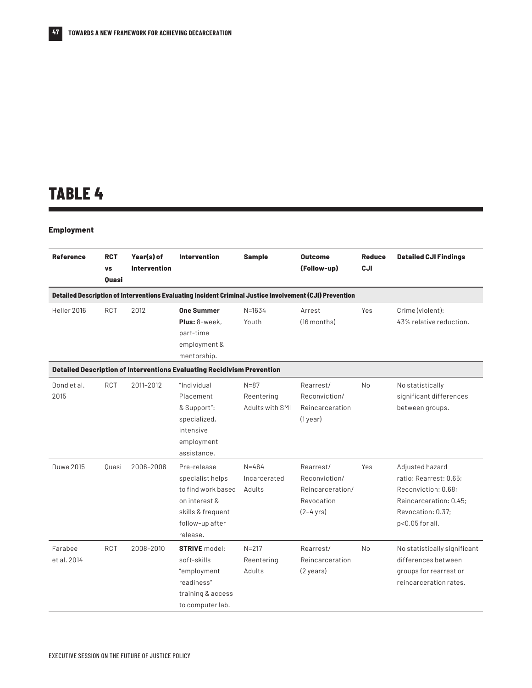## **TABLE 4**

#### **Employment**

| <b>Reference</b>                                                                                        | <b>RCT</b><br><b>VS</b><br><b>Ouasi</b> | Year(s) of<br><b>Intervention</b> | <b>Intervention</b>                                                                                                        | <b>Sample</b>                             | <b>Outcome</b><br>(Follow-up)                                                         | <b>Reduce</b><br><b>CJI</b> | <b>Detailed CJI Findings</b>                                                                                                       |  |  |
|---------------------------------------------------------------------------------------------------------|-----------------------------------------|-----------------------------------|----------------------------------------------------------------------------------------------------------------------------|-------------------------------------------|---------------------------------------------------------------------------------------|-----------------------------|------------------------------------------------------------------------------------------------------------------------------------|--|--|
| Detailed Description of Interventions Evaluating Incident Criminal Justice Involvement (CJI) Prevention |                                         |                                   |                                                                                                                            |                                           |                                                                                       |                             |                                                                                                                                    |  |  |
| Heller 2016                                                                                             | <b>RCT</b>                              | 2012                              | <b>One Summer</b><br>Plus: 8-week.<br>part-time<br>employment &<br>mentorship.                                             | $N = 1634$<br>Youth                       | Arrest<br>(16 months)                                                                 | Yes                         | Crime (violent):<br>43% relative reduction.                                                                                        |  |  |
|                                                                                                         |                                         |                                   | Detailed Description of Interventions Evaluating Recidivism Prevention                                                     |                                           |                                                                                       |                             |                                                                                                                                    |  |  |
| Bond et al.<br>2015                                                                                     | <b>RCT</b>                              | 2011-2012                         | "Individual<br>Placement<br>& Support":<br>specialized,<br>intensive<br>employment<br>assistance.                          | $N = 87$<br>Reentering<br>Adults with SMI | Rearrest/<br>Reconviction/<br>Reincarceration<br>$(1$ year)                           | No                          | No statistically<br>significant differences<br>between groups.                                                                     |  |  |
| <b>Duwe 2015</b>                                                                                        | Quasi                                   | 2006-2008                         | Pre-release<br>specialist helps<br>to find work based<br>on interest &<br>skills & frequent<br>follow-up after<br>release. | $N = 464$<br>Incarcerated<br>Adults       | Rearrest/<br>Reconviction/<br>Reincarceration/<br>Revocation<br>$(2 - 4 \text{ yrs})$ | Yes                         | Adjusted hazard<br>ratio: Rearrest: 0.65:<br>Reconviction: 0.68:<br>Reincarceration: 0.45:<br>Revocation: 0.37:<br>p<0.05 for all. |  |  |
| Farabee<br>et al. 2014                                                                                  | <b>RCT</b>                              | 2008-2010                         | <b>STRIVE</b> model:<br>soft-skills<br>"employment<br>readiness"<br>training & access<br>to computer lab.                  | $N = 217$<br>Reentering<br>Adults         | Rearrest/<br>Reincarceration<br>$(2 \text{ years})$                                   | <b>No</b>                   | No statistically significant<br>differences between<br>groups for rearrest or<br>reincarceration rates.                            |  |  |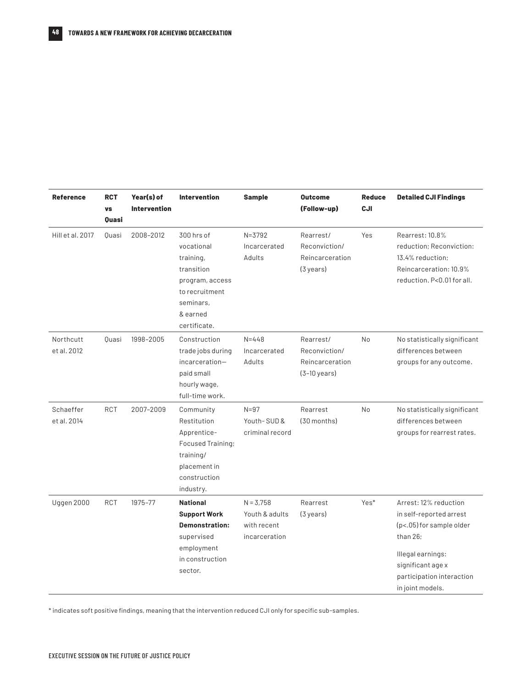| <b>Reference</b>         | <b>RCT</b><br><b>VS</b><br><b>Quasi</b> | Year(s) of<br><b>Intervention</b> | <b>Intervention</b>                                                                                                                 | <b>Sample</b>                                                 | <b>Outcome</b><br>(Follow-up)                                           | <b>Reduce</b><br><b>CJI</b> | <b>Detailed CJI Findings</b>                                                                                                                                                        |
|--------------------------|-----------------------------------------|-----------------------------------|-------------------------------------------------------------------------------------------------------------------------------------|---------------------------------------------------------------|-------------------------------------------------------------------------|-----------------------------|-------------------------------------------------------------------------------------------------------------------------------------------------------------------------------------|
| Hill et al. 2017         | Ouasi                                   | 2008-2012                         | $300$ hrs of<br>vocational<br>training,<br>transition<br>program, access<br>to recruitment<br>seminars,<br>& earned<br>certificate. | $N = 3792$<br>Incarcerated<br>Adults                          | Rearrest/<br>Reconviction/<br>Reincarceration<br>$(3 \text{ years})$    | Yes                         | Rearrest: 10.8%<br>reduction: Reconviction:<br>13.4% reduction:<br>Reincarceration: 10.9%<br>reduction. P<0.01 for all.                                                             |
| Northcutt<br>et al. 2012 | Quasi                                   | 1998-2005                         | Construction<br>trade jobs during<br>incarceration-<br>paid small<br>hourly wage,<br>full-time work.                                | $N = 448$<br>Incarcerated<br>Adults                           | Rearrest/<br>Reconviction/<br>Reincarceration<br>$(3-10 \text{ years})$ | No                          | No statistically significant<br>differences between<br>groups for any outcome.                                                                                                      |
| Schaeffer<br>et al. 2014 | <b>RCT</b>                              | 2007-2009                         | Community<br>Restitution<br>Apprentice-<br>Focused Training;<br>training/<br>placement in<br>construction<br>industry.              | $N = 97$<br>Youth-SUD&<br>criminal record                     | Rearrest<br>(30 months)                                                 | N <sub>o</sub>              | No statistically significant<br>differences between<br>groups for rearrest rates.                                                                                                   |
| Uggen 2000               | RCT                                     | 1975-77                           | <b>National</b><br><b>Support Work</b><br><b>Demonstration:</b><br>supervised<br>employment<br>in construction<br>sector.           | $N = 3,758$<br>Youth & adults<br>with recent<br>incarceration | Rearrest<br>(3 years)                                                   | Yes*                        | Arrest: 12% reduction<br>in self-reported arrest<br>(p<.05) for sample older<br>than 26;<br>Illegal earnings:<br>significant age x<br>participation interaction<br>in joint models. |

\* indicates soft positive findings, meaning that the intervention reduced CJI only for specific sub-samples.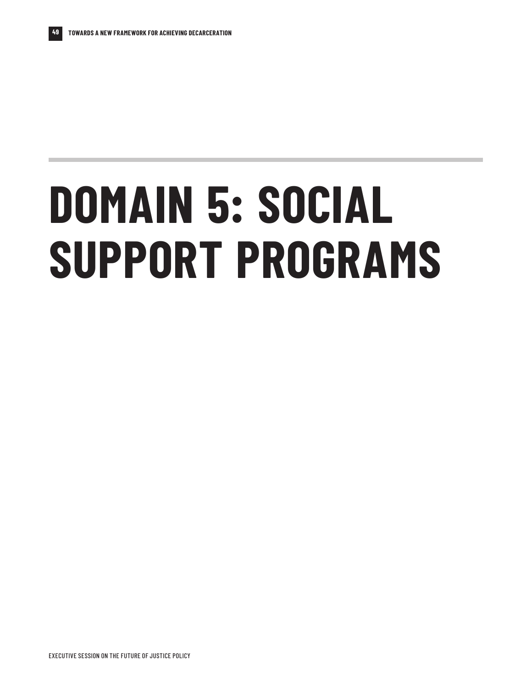# **DOMAIN 5: SOCIAL SUPPORT PROGRAMS**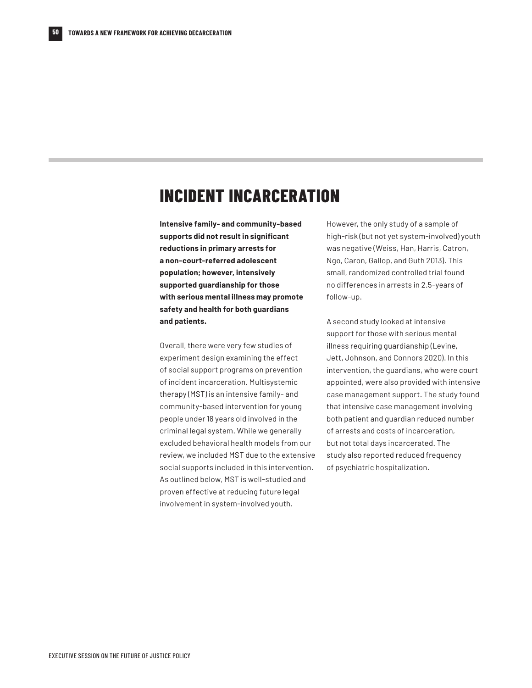## **INCIDENT INCARCERATION**

**Intensive family- and community-based supports did not result in significant reductions in primary arrests for a non-court-referred adolescent population; however, intensively supported guardianship for those with serious mental illness may promote safety and health for both guardians and patients.**

Overall, there were very few studies of experiment design examining the effect of social support programs on prevention of incident incarceration. Multisystemic therapy (MST) is an intensive family- and community-based intervention for young people under 18 years old involved in the criminal legal system. While we generally excluded behavioral health models from our review, we included MST due to the extensive social supports included in this intervention. As outlined below, MST is well-studied and proven effective at reducing future legal involvement in system-involved youth.

However, the only study of a sample of high-risk (but not yet system-involved) youth was negative (Weiss, Han, Harris, Catron, Ngo, Caron, Gallop, and Guth 2013). This small, randomized controlled trial found no differences in arrests in 2.5-years of follow-up.

A second study looked at intensive support for those with serious mental illness requiring guardianship (Levine, Jett, Johnson, and Connors 2020). In this intervention, the guardians, who were court appointed, were also provided with intensive case management support. The study found that intensive case management involving both patient and guardian reduced number of arrests and costs of incarceration, but not total days incarcerated. The study also reported reduced frequency of psychiatric hospitalization.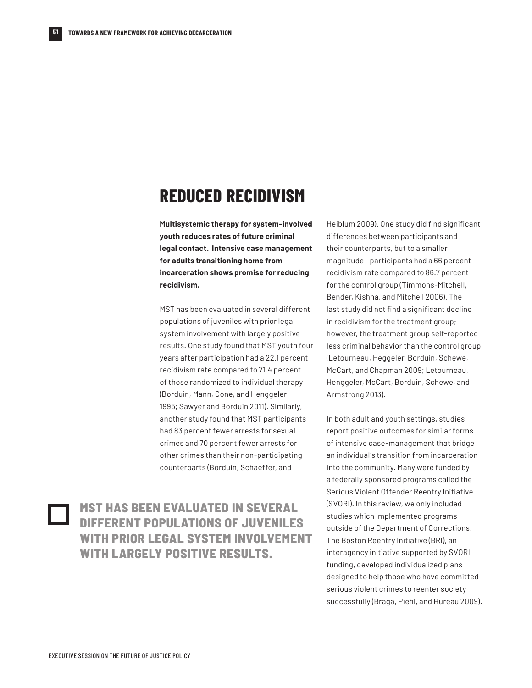### **REDUCED RECIDIVISM**

**Multisystemic therapy for system-involved youth reduces rates of future criminal legal contact. Intensive case management for adults transitioning home from incarceration shows promise for reducing recidivism.**

MST has been evaluated in several different populations of juveniles with prior legal system involvement with largely positive results. One study found that MST youth four years after participation had a 22.1 percent recidivism rate compared to 71.4 percent of those randomized to individual therapy (Borduin, Mann, Cone, and Henggeler 1995; Sawyer and Borduin 2011). Similarly, another study found that MST participants had 83 percent fewer arrests for sexual crimes and 70 percent fewer arrests for other crimes than their non-participating counterparts (Borduin, Schaeffer, and

**MST HAS BEEN EVALUATED IN SEVERAL DIFFERENT POPULATIONS OF JUVENILES WITH PRIOR LEGAL SYSTEM INVOLVEMENT WITH LARGELY POSITIVE RESULTS.**

Heiblum 2009). One study did find significant differences between participants and their counterparts, but to a smaller magnitude—participants had a 66 percent recidivism rate compared to 86.7 percent for the control group (Timmons-Mitchell, Bender, Kishna, and Mitchell 2006). The last study did not find a significant decline in recidivism for the treatment group; however, the treatment group self-reported less criminal behavior than the control group (Letourneau, Heggeler, Borduin, Schewe, McCart, and Chapman 2009; Letourneau, Henggeler, McCart, Borduin, Schewe, and Armstrong 2013).

In both adult and youth settings, studies report positive outcomes for similar forms of intensive case-management that bridge an individual's transition from incarceration into the community. Many were funded by a federally sponsored programs called the Serious Violent Offender Reentry Initiative (SVORI). In this review, we only included studies which implemented programs outside of the Department of Corrections. The Boston Reentry Initiative (BRI), an interagency initiative supported by SVORI funding, developed individualized plans designed to help those who have committed serious violent crimes to reenter society successfully (Braga, Piehl, and Hureau 2009).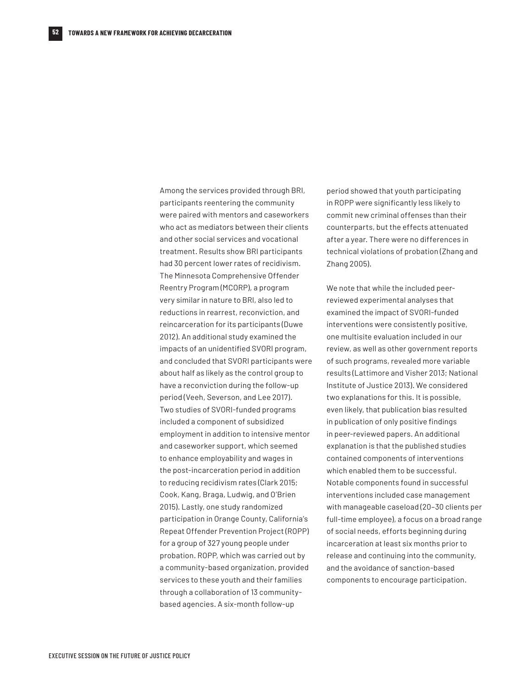Among the services provided through BRI, participants reentering the community were paired with mentors and caseworkers who act as mediators between their clients and other social services and vocational treatment. Results show BRI participants had 30 percent lower rates of recidivism. The Minnesota Comprehensive Offender Reentry Program (MCORP), a program very similar in nature to BRI, also led to reductions in rearrest, reconviction, and reincarceration for its participants (Duwe 2012). An additional study examined the impacts of an unidentified SVORI program, and concluded that SVORI participants were about half as likely as the control group to have a reconviction during the follow-up period (Veeh, Severson, and Lee 2017). Two studies of SVORI-funded programs included a component of subsidized employment in addition to intensive mentor and caseworker support, which seemed to enhance employability and wages in the post-incarceration period in addition to reducing recidivism rates (Clark 2015; Cook, Kang, Braga, Ludwig, and O'Brien 2015). Lastly, one study randomized participation in Orange County, California's Repeat Offender Prevention Project (ROPP) for a group of 327 young people under probation. ROPP, which was carried out by a community-based organization, provided services to these youth and their families through a collaboration of 13 communitybased agencies. A six-month follow-up

period showed that youth participating in ROPP were significantly less likely to commit new criminal offenses than their counterparts, but the effects attenuated after a year. There were no differences in technical violations of probation (Zhang and Zhang 2005).

We note that while the included peerreviewed experimental analyses that examined the impact of SVORI-funded interventions were consistently positive, one multisite evaluation included in our review, as well as other government reports of such programs, revealed more variable results (Lattimore and Visher 2013; National Institute of Justice 2013). We considered two explanations for this. It is possible, even likely, that publication bias resulted in publication of only positive findings in peer-reviewed papers. An additional explanation is that the published studies contained components of interventions which enabled them to be successful. Notable components found in successful interventions included case management with manageable caseload (20–30 clients per full-time employee), a focus on a broad range of social needs, efforts beginning during incarceration at least six months prior to release and continuing into the community, and the avoidance of sanction-based components to encourage participation.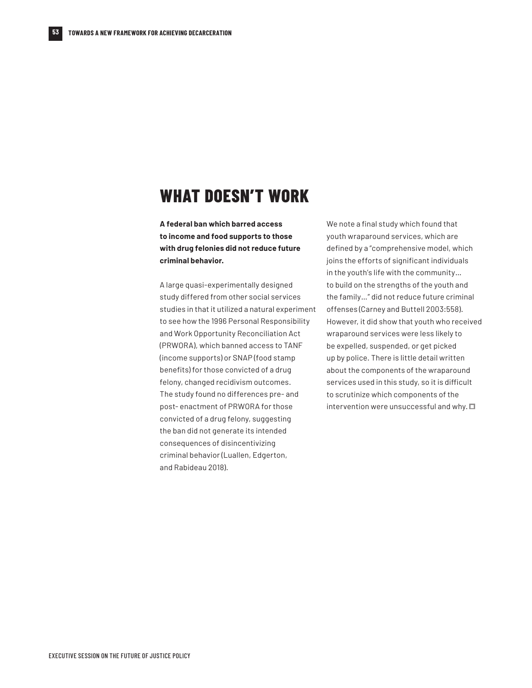### **WHAT DOESN'T WORK**

**A federal ban which barred access to income and food supports to those with drug felonies did not reduce future criminal behavior.**

A large quasi-experimentally designed study differed from other social services studies in that it utilized a natural experiment to see how the 1996 Personal Responsibility and Work Opportunity Reconciliation Act (PRWORA), which banned access to TANF (income supports) or SNAP (food stamp benefits) for those convicted of a drug felony, changed recidivism outcomes. The study found no differences pre- and post- enactment of PRWORA for those convicted of a drug felony, suggesting the ban did not generate its intended consequences of disincentivizing criminal behavior (Luallen, Edgerton, and Rabideau 2018).

We note a final study which found that youth wraparound services, which are defined by a "comprehensive model, which joins the efforts of significant individuals in the youth's life with the community… to build on the strengths of the youth and the family…" did not reduce future criminal offenses (Carney and Buttell 2003:558). However, it did show that youth who received wraparound services were less likely to be expelled, suspended, or get picked up by police. There is little detail written about the components of the wraparound services used in this study, so it is difficult to scrutinize which components of the intervention were unsuccessful and why.  $\square$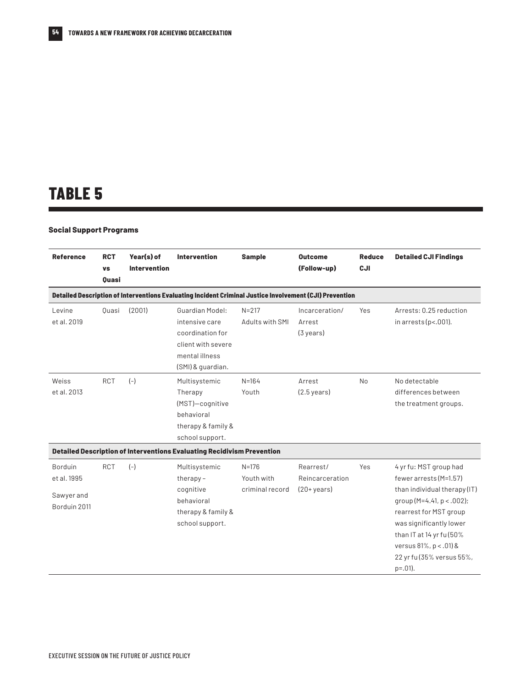# **TABLE 5**

#### **Social Support Programs**

| <b>Reference</b>                                                                                        | <b>RCT</b><br><b>VS</b><br><b>Ouasi</b> | Year(s) of<br><b>Intervention</b> | <b>Intervention</b>                                                                                                                                                          | <b>Sample</b>                              | <b>Outcome</b><br>(Follow-up)                        | <b>Reduce</b><br>CJI | <b>Detailed CJI Findings</b>                                                                                                                                                                                                                                                  |  |  |  |
|---------------------------------------------------------------------------------------------------------|-----------------------------------------|-----------------------------------|------------------------------------------------------------------------------------------------------------------------------------------------------------------------------|--------------------------------------------|------------------------------------------------------|----------------------|-------------------------------------------------------------------------------------------------------------------------------------------------------------------------------------------------------------------------------------------------------------------------------|--|--|--|
| Detailed Description of Interventions Evaluating Incident Criminal Justice Involvement (CJI) Prevention |                                         |                                   |                                                                                                                                                                              |                                            |                                                      |                      |                                                                                                                                                                                                                                                                               |  |  |  |
| Levine<br>et al. 2019                                                                                   | <b>Ouasi</b>                            | (2001)                            | Guardian Model:<br>intensive care<br>coordination for<br>client with severe<br>mental illness<br>(SMI) & quardian.                                                           | $N = 217$<br>Adults with SMI               | Incarceration/<br>Arrest<br>$(3 \text{ years})$      | Yes                  | Arrests: 0.25 reduction<br>in arrests ( $p$ <.001).                                                                                                                                                                                                                           |  |  |  |
| Weiss<br>et al. 2013                                                                                    | <b>RCT</b>                              | $(-)$                             | Multisystemic<br>Therapy<br>(MST)-cognitive<br>behavioral<br>therapy & family &<br>school support.<br>Detailed Description of Interventions Evaluating Recidivism Prevention | $N = 164$<br>Youth                         | Arrest<br>$(2.5 \, \text{years})$                    | <b>No</b>            | No detectable<br>differences between<br>the treatment groups.                                                                                                                                                                                                                 |  |  |  |
| Borduin<br>et al. 1995<br>Sawyer and<br>Borduin 2011                                                    | <b>RCT</b>                              | $(-)$                             | Multisystemic<br>therapy $-$<br>cognitive<br>behavioral<br>therapy & family &<br>school support.                                                                             | $N = 176$<br>Youth with<br>criminal record | Rearrest/<br>Reincarceration<br>$(20 + \gamma ears)$ | Yes                  | 4 yr fu: MST group had<br>fewer arrests (M=1.57)<br>than individual therapy (IT)<br>group (M=4.41, $p < .002$ );<br>rearrest for MST group<br>was significantly lower<br>than IT at 14 yr fu (50%<br>versus $81\%$ , $p < .01$ ) &<br>22 yr fu (35% versus 55%,<br>$p=.01$ ). |  |  |  |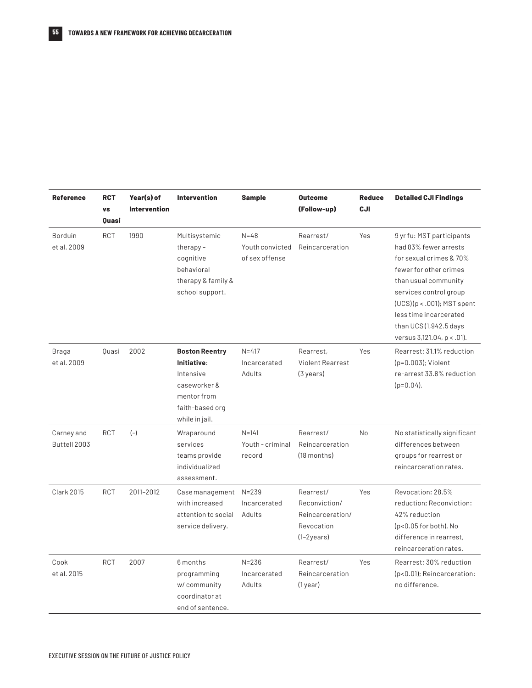| <b>Reference</b>           | <b>RCT</b><br>VS<br><b>Ouasi</b> | Year(s) of<br><b>Intervention</b> | <b>Intervention</b>                                                                                                   | <b>Sample</b>                                 | <b>Outcome</b><br>(Follow-up)                                                 | <b>Reduce</b><br>CJI | <b>Detailed CJI Findings</b>                                                                                                                                                                                                                                              |
|----------------------------|----------------------------------|-----------------------------------|-----------------------------------------------------------------------------------------------------------------------|-----------------------------------------------|-------------------------------------------------------------------------------|----------------------|---------------------------------------------------------------------------------------------------------------------------------------------------------------------------------------------------------------------------------------------------------------------------|
| Borduin<br>et al. 2009     | <b>RCT</b>                       | 1990                              | Multisystemic<br>therapy $-$<br>cognitive<br>behavioral<br>therapy & family &<br>school support.                      | $N = 48$<br>Youth convicted<br>of sex offense | Rearrest/<br>Reincarceration                                                  | Yes                  | 9 yr fu: MST participants<br>had 83% fewer arrests<br>for sexual crimes & 70%<br>fewer for other crimes<br>than usual community<br>services control group<br>(UCS)(p < .001); MST spent<br>less time incarcerated<br>than UCS (1,942.5 days<br>versus 3,121.04, p < .01). |
| Braga<br>et al. 2009       | Quasi                            | 2002                              | <b>Boston Reentry</b><br>Initiative:<br>Intensive<br>caseworker &<br>mentor from<br>faith-based org<br>while in jail. | $N = 417$<br>Incarcerated<br>Adults           | Rearrest,<br><b>Violent Rearrest</b><br>(3 years)                             | Yes                  | Rearrest: 31.1% reduction<br>(p=0.003); Violent<br>re-arrest 33.8% reduction<br>$(p=0.04)$ .                                                                                                                                                                              |
| Carney and<br>Buttell 2003 | <b>RCT</b>                       | $(-)$                             | Wraparound<br>services<br>teams provide<br>individualized<br>assessment.                                              | $N = 141$<br>Youth - criminal<br>record       | Rearrest/<br>Reincarceration<br>(18 months)                                   | No                   | No statistically significant<br>differences between<br>groups for rearrest or<br>reincarceration rates.                                                                                                                                                                   |
| <b>Clark 2015</b>          | <b>RCT</b>                       | 2011-2012                         | Case management<br>with increased<br>attention to social<br>service delivery.                                         | $N = 239$<br>Incarcerated<br>Adults           | Rearrest/<br>Reconviction/<br>Reincarceration/<br>Revocation<br>$(1-2)$ ears) | Yes                  | Revocation: 28.5%<br>reduction: Reconviction:<br>42% reduction<br>(p<0.05 for both). No<br>difference in rearrest,<br>reincarceration rates.                                                                                                                              |
| Cook<br>et al. 2015        | <b>RCT</b>                       | 2007                              | 6 months<br>programming<br>w/community<br>coordinator at<br>end of sentence.                                          | $N = 236$<br>Incarcerated<br>Adults           | Rearrest/<br>Reincarceration<br>$(1$ year)                                    | Yes                  | Rearrest: 30% reduction<br>(p<0.01); Reincarceration:<br>no difference.                                                                                                                                                                                                   |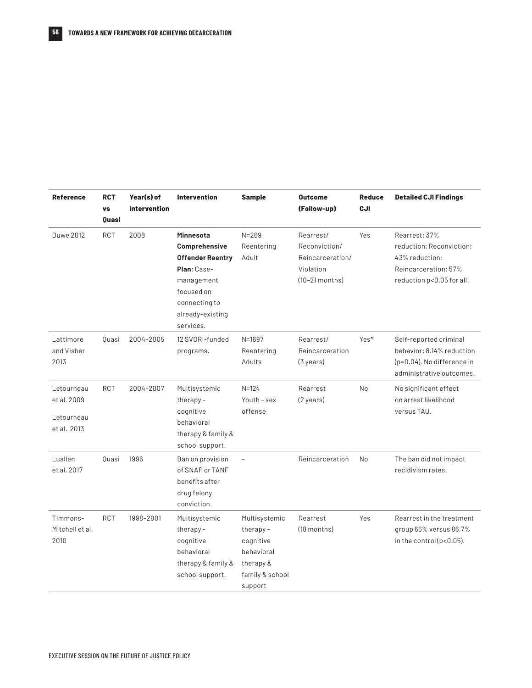| <b>Reference</b>                                       | <b>RCT</b><br><b>VS</b><br>Quasi | Year(s) of<br><b>Intervention</b> | <b>Intervention</b>                                                                                                                                       | <b>Sample</b>                                                                                   | <b>Outcome</b><br>(Follow-up)                                                   | <b>Reduce</b><br>CJI | <b>Detailed CJI Findings</b>                                                                                     |
|--------------------------------------------------------|----------------------------------|-----------------------------------|-----------------------------------------------------------------------------------------------------------------------------------------------------------|-------------------------------------------------------------------------------------------------|---------------------------------------------------------------------------------|----------------------|------------------------------------------------------------------------------------------------------------------|
| <b>Duwe 2012</b>                                       | <b>RCT</b>                       | 2008                              | <b>Minnesota</b><br>Comprehensive<br><b>Offender Reentry</b><br>Plan: Case-<br>management<br>focused on<br>connecting to<br>already-existing<br>services. | $N = 269$<br>Reentering<br>Adult                                                                | Rearrest/<br>Reconviction/<br>Reincarceration/<br>Violation<br>$(10-21$ months) | Yes                  | Rearrest: 37%<br>reduction; Reconviction:<br>43% reduction;<br>Reincarceration: 57%<br>reduction p<0.05 for all. |
| Lattimore<br>and Visher<br>2013                        | Quasi                            | 2004-2005                         | 12 SVORI-funded<br>programs.                                                                                                                              | $N = 1697$<br>Reentering<br>Adults                                                              | Rearrest/<br>Reincarceration<br>$(3 \text{ years})$                             | Yes*                 | Self-reported criminal<br>behavior: 8.14% reduction<br>(p=0.04). No difference in<br>administrative outcomes.    |
| Letourneau<br>et al. 2009<br>Letourneau<br>et al. 2013 | <b>RCT</b>                       | 2004-2007                         | Multisystemic<br>therapy-<br>cognitive<br>behavioral<br>therapy & family &<br>school support.                                                             | $N = 124$<br>Youth - sex<br>offense                                                             | Rearrest<br>(2 years)                                                           | N <sub>o</sub>       | No significant effect<br>on arrest likelihood<br>versus TAU.                                                     |
| Luallen<br>et al. 2017                                 | Quasi                            | 1996                              | Ban on provision<br>of SNAP or TANF<br>benefits after<br>drug felony<br>conviction.                                                                       | $\overline{a}$                                                                                  | Reincarceration                                                                 | No                   | The ban did not impact<br>recidivism rates.                                                                      |
| Timmons-<br>Mitchell et al.<br>2010                    | <b>RCT</b>                       | 1998-2001                         | Multisystemic<br>therapy-<br>cognitive<br>behavioral<br>therapy & family &<br>school support.                                                             | Multisystemic<br>therapy-<br>cognitive<br>behavioral<br>therapy &<br>family & school<br>support | Rearrest<br>(18 months)                                                         | Yes                  | Rearrest in the treatment<br>group 66% versus 86.7%<br>in the control ( $p<0.05$ ).                              |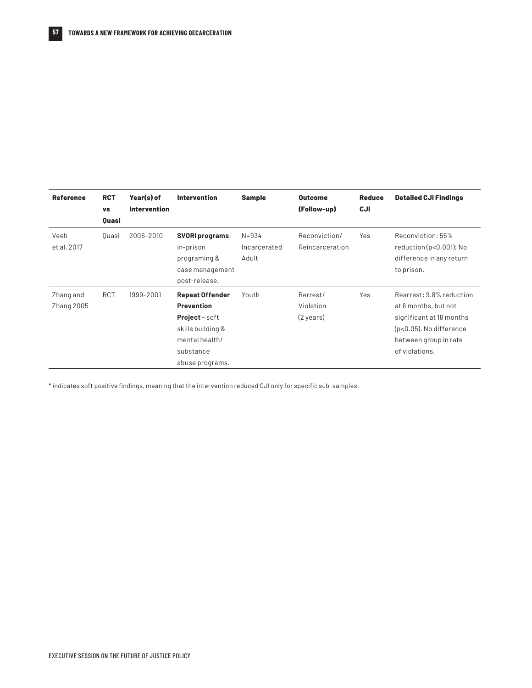| <b>Reference</b>        | <b>RCT</b><br><b>VS</b><br>Quasi | Year(s) of<br><b>Intervention</b> | <b>Intervention</b>                                                                                                                         | <b>Sample</b>                      | <b>Outcome</b><br>(Follow-up)      | <b>Reduce</b><br>CJI | <b>Detailed CJI Findings</b>                                                                                                                          |
|-------------------------|----------------------------------|-----------------------------------|---------------------------------------------------------------------------------------------------------------------------------------------|------------------------------------|------------------------------------|----------------------|-------------------------------------------------------------------------------------------------------------------------------------------------------|
| Veeh<br>et al. 2017     | Ouasi                            | 2006-2010                         | <b>SVORI programs:</b><br>in-prison<br>programing &<br>case management<br>post-release.                                                     | $N = 934$<br>Incarcerated<br>Adult | Reconviction/<br>Reincarceration   | Yes                  | Reconviction: 55%<br>reduction ( $p<0.001$ ); No<br>difference in any return<br>to prison.                                                            |
| Zhang and<br>Zhang 2005 | <b>RCT</b>                       | 1999-2001                         | <b>Repeat Offender</b><br><b>Prevention</b><br><b>Project</b> - soft<br>skills building &<br>mental health/<br>substance<br>abuse programs. | Youth                              | Rerrest/<br>Violation<br>(2 years) | Yes                  | Rearrest: 9.8% reduction<br>at 6 months, but not<br>significant at 18 months<br>$(p<0.05)$ . No difference<br>between group in rate<br>of violations. |

\* indicates soft positive findings, meaning that the intervention reduced CJI only for specific sub-samples.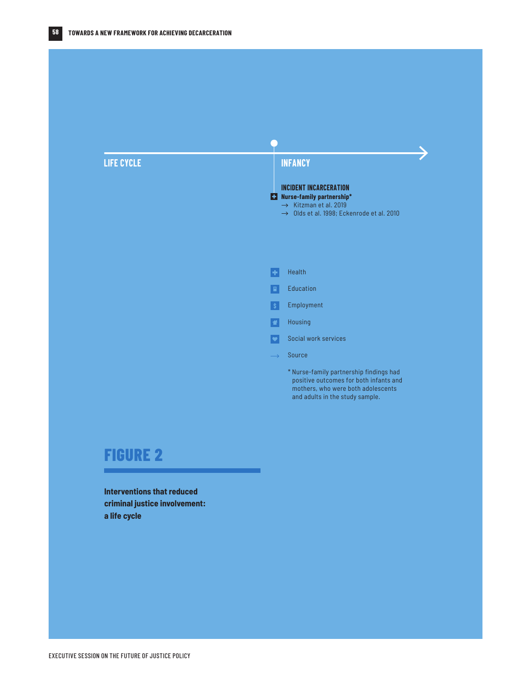

#### **FIGURE 2**

**Interventions that reduced criminal justice involvement: a life cycle**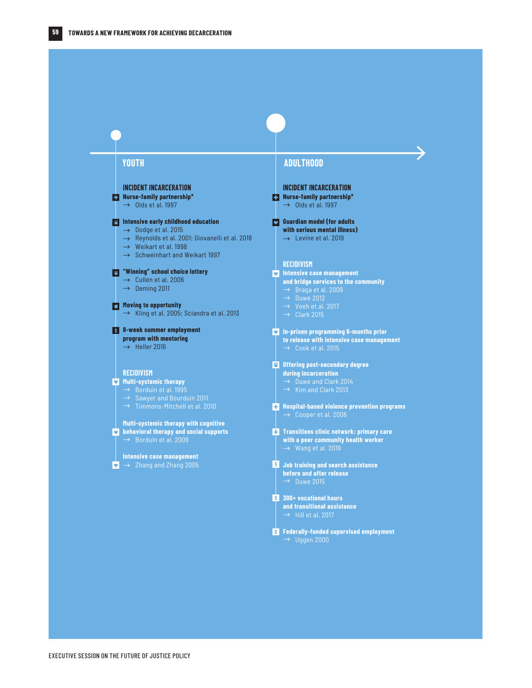

EXECUTIVE SESSION ON THE FUTURE OF JUSTICE POLICY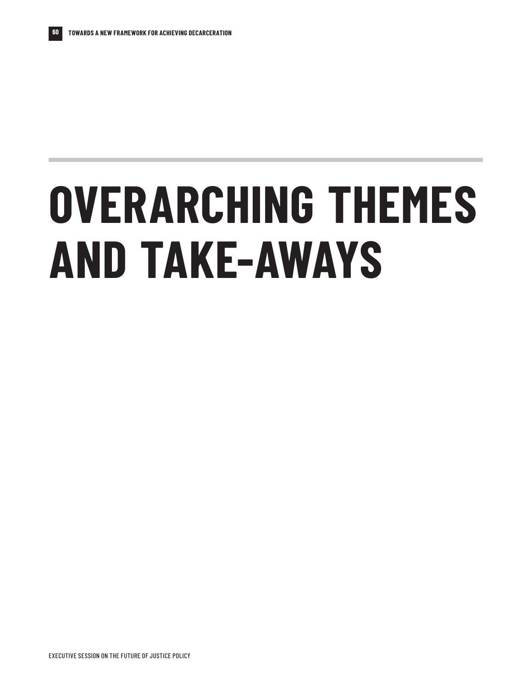# **OVERARCHING THEMES AND TAKE-AWAYS**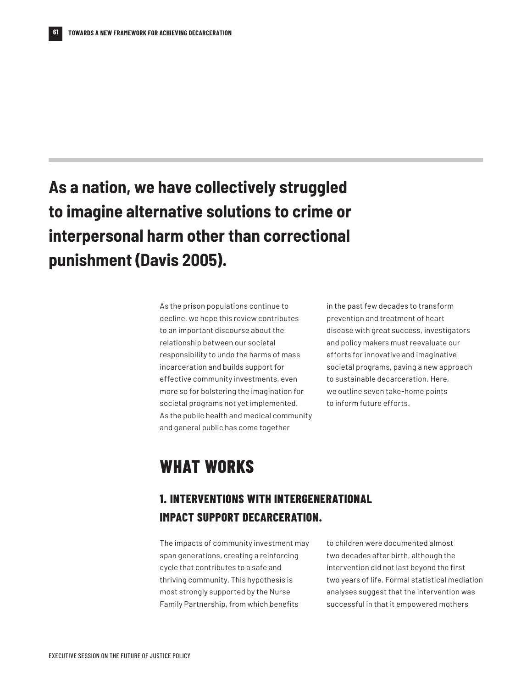# **As a nation, we have collectively struggled to imagine alternative solutions to crime or interpersonal harm other than correctional punishment (Davis 2005).**

As the prison populations continue to decline, we hope this review contributes to an important discourse about the relationship between our societal responsibility to undo the harms of mass incarceration and builds support for effective community investments, even more so for bolstering the imagination for societal programs not yet implemented. As the public health and medical community and general public has come together

in the past few decades to transform prevention and treatment of heart disease with great success, investigators and policy makers must reevaluate our efforts for innovative and imaginative societal programs, paving a new approach to sustainable decarceration. Here, we outline seven take-home points to inform future efforts.

# **WHAT WORKS**

#### **1. INTERVENTIONS WITH INTERGENERATIONAL IMPACT SUPPORT DECARCERATION.**

The impacts of community investment may span generations, creating a reinforcing cycle that contributes to a safe and thriving community. This hypothesis is most strongly supported by the Nurse Family Partnership, from which benefits

to children were documented almost two decades after birth, although the intervention did not last beyond the first two years of life. Formal statistical mediation analyses suggest that the intervention was successful in that it empowered mothers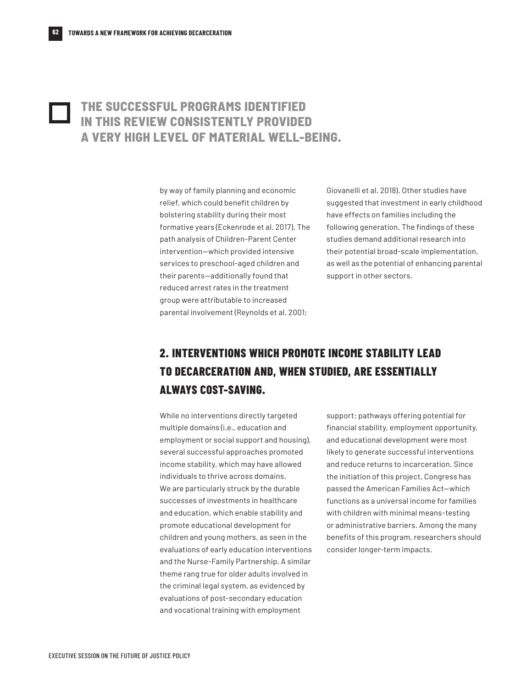#### **THE SUCCESSFUL PROGRAMS IDENTIFIED IN THIS REVIEW CONSISTENTLY PROVIDED A VERY HIGH LEVEL OF MATERIAL WELL-BEING.**

by way of family planning and economic relief, which could benefit children by bolstering stability during their most formative years (Eckenrode et al. 2017). The path analysis of Children-Parent Center intervention—which provided intensive services to preschool-aged children and their parents—additionally found that reduced arrest rates in the treatment group were attributable to increased parental involvement (Reynolds et al. 2001;

Giovanelli et al. 2018). Other studies have suggested that investment in early childhood have effects on families including the following generation. The findings of these studies demand additional research into their potential broad-scale implementation, as well as the potential of enhancing parental support in other sectors.

#### **2. INTERVENTIONS WHICH PROMOTE INCOME STABILITY LEAD TO DECARCERATION AND, WHEN STUDIED, ARE ESSENTIALLY ALWAYS COST-SAVING.**

While no interventions directly targeted multiple domains (i.e., education and employment or social support and housing), several successful approaches promoted income stability, which may have allowed individuals to thrive across domains. We are particularly struck by the durable successes of investments in healthcare and education, which enable stability and promote educational development for children and young mothers, as seen in the evaluations of early education interventions and the Nurse-Family Partnership. A similar theme rang true for older adults involved in the criminal legal system, as evidenced by evaluations of post-secondary education and vocational training with employment

support: pathways offering potential for financial stability, employment opportunity, and educational development were most likely to generate successful interventions and reduce returns to incarceration. Since the initiation of this project, Congress has passed the American Families Act—which functions as a universal income for families with children with minimal means-testing or administrative barriers. Among the many benefits of this program, researchers should consider longer-term impacts.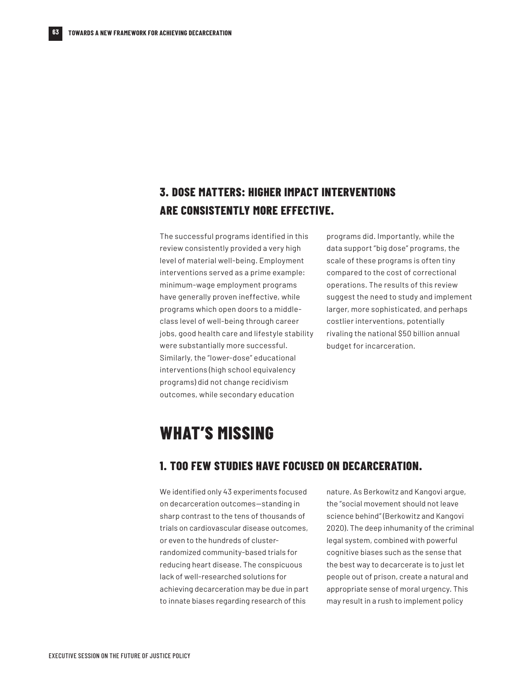#### **3. DOSE MATTERS: HIGHER IMPACT INTERVENTIONS ARE CONSISTENTLY MORE EFFECTIVE.**

The successful programs identified in this review consistently provided a very high level of material well-being. Employment interventions served as a prime example: minimum-wage employment programs have generally proven ineffective, while programs which open doors to a middleclass level of well-being through career jobs, good health care and lifestyle stability were substantially more successful. Similarly, the "lower-dose" educational interventions (high school equivalency programs) did not change recidivism outcomes, while secondary education

programs did. Importantly, while the data support "big dose" programs, the scale of these programs is often tiny compared to the cost of correctional operations. The results of this review suggest the need to study and implement larger, more sophisticated, and perhaps costlier interventions, potentially rivaling the national \$50 billion annual budget for incarceration.

#### **WHAT'S MISSING**

#### **1. TOO FEW STUDIES HAVE FOCUSED ON DECARCERATION.**

We identified only 43 experiments focused on decarceration outcomes—standing in sharp contrast to the tens of thousands of trials on cardiovascular disease outcomes, or even to the hundreds of clusterrandomized community-based trials for reducing heart disease. The conspicuous lack of well-researched solutions for achieving decarceration may be due in part to innate biases regarding research of this

nature. As Berkowitz and Kangovi argue, the "social movement should not leave science behind" (Berkowitz and Kangovi 2020). The deep inhumanity of the criminal legal system, combined with powerful cognitive biases such as the sense that the best way to decarcerate is to just let people out of prison, create a natural and appropriate sense of moral urgency. This may result in a rush to implement policy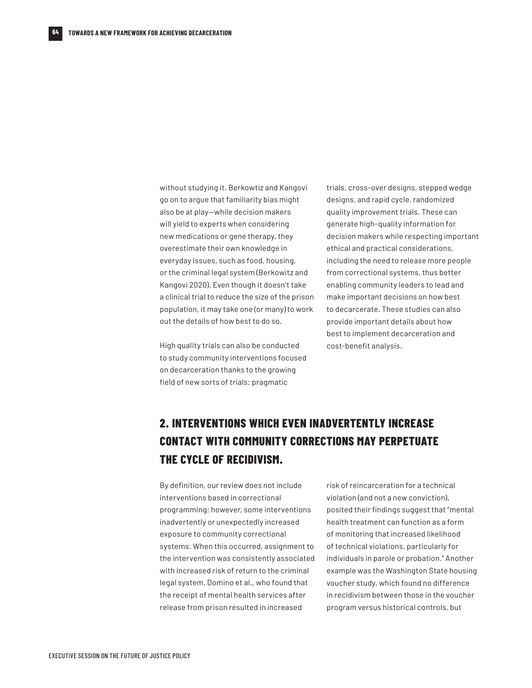without studying it. Berkowtiz and Kangovi go on to argue that familiarity bias might also be at play—while decision makers will yield to experts when considering new medications or gene therapy, they overestimate their own knowledge in everyday issues, such as food, housing, or the criminal legal system (Berkowitz and Kangovi 2020). Even though it doesn't take a clinical trial to reduce the size of the prison population, it may take one (or many) to work out the details of how best to do so.

High quality trials can also be conducted to study community interventions focused on decarceration thanks to the growing field of new sorts of trials: pragmatic

trials, cross-over designs, stepped wedge designs, and rapid cycle, randomized quality improvement trials. These can generate high-quality information for decision makers while respecting important ethical and practical considerations, including the need to release more people from correctional systems, thus better enabling community leaders to lead and make important decisions on how best to decarcerate. These studies can also provide important details about how best to implement decarceration and cost-benefit analysis.

#### **2. INTERVENTIONS WHICH EVEN INADVERTENTLY INCREASE CONTACT WITH COMMUNITY CORRECTIONS MAY PERPETUATE THE CYCLE OF RECIDIVISM.**

By definition, our review does not include interventions based in correctional programming; however, some interventions inadvertently or unexpectedly increased exposure to community correctional systems. When this occurred, assignment to the intervention was consistently associated with increased risk of return to the criminal legal system. Domino et al., who found that the receipt of mental health services after release from prison resulted in increased

risk of reincarceration for a technical violation (and not a new conviction), posited their findings suggest that "mental health treatment can function as a form of monitoring that increased likelihood of technical violations, particularly for individuals in parole or probation." Another example was the Washington State housing voucher study, which found no difference in recidivism between those in the voucher program versus historical controls, but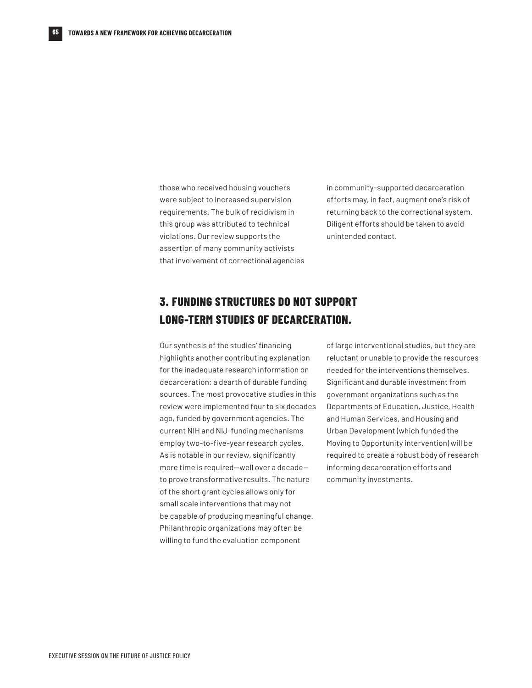those who received housing vouchers were subject to increased supervision requirements. The bulk of recidivism in this group was attributed to technical violations. Our review supports the assertion of many community activists that involvement of correctional agencies in community-supported decarceration efforts may, in fact, augment one's risk of returning back to the correctional system. Diligent efforts should be taken to avoid unintended contact.

#### **3. FUNDING STRUCTURES DO NOT SUPPORT LONG-TERM STUDIES OF DECARCERATION.**

Our synthesis of the studies' financing highlights another contributing explanation for the inadequate research information on decarceration: a dearth of durable funding sources. The most provocative studies in this review were implemented four to six decades ago, funded by government agencies. The current NIH and NIJ-funding mechanisms employ two-to-five-year research cycles. As is notable in our review, significantly more time is required—well over a decade to prove transformative results. The nature of the short grant cycles allows only for small scale interventions that may not be capable of producing meaningful change. Philanthropic organizations may often be willing to fund the evaluation component

of large interventional studies, but they are reluctant or unable to provide the resources needed for the interventions themselves. Significant and durable investment from government organizations such as the Departments of Education, Justice, Health and Human Services, and Housing and Urban Development (which funded the Moving to Opportunity intervention) will be required to create a robust body of research informing decarceration efforts and community investments.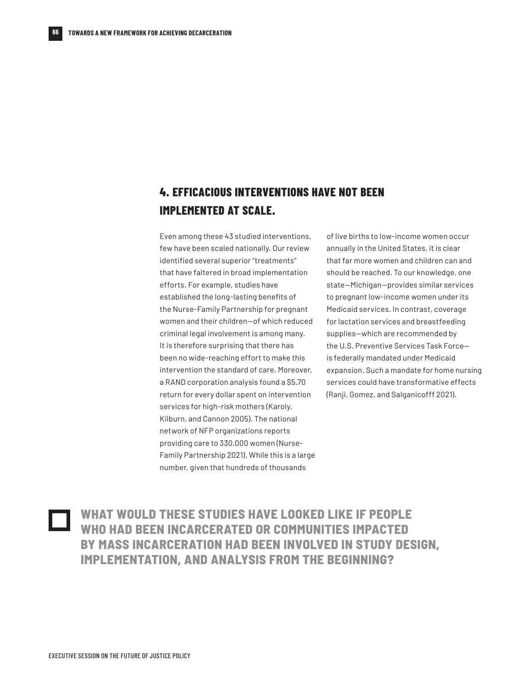#### **4. EFFICACIOUS INTERVENTIONS HAVE NOT BEEN IMPLEMENTED AT SCALE.**

Even among these 43 studied interventions, few have been scaled nationally. Our review identified several superior "treatments" that have faltered in broad implementation efforts. For example, studies have established the long-lasting benefits of the Nurse-Family Partnership for pregnant women and their children—of which reduced criminal legal involvement is among many. It is therefore surprising that there has been no wide-reaching effort to make this intervention the standard of care. Moreover, a RAND corporation analysis found a \$5.70 return for every dollar spent on intervention services for high-risk mothers (Karoly, Kilburn, and Cannon 2005). The national network of NFP organizations reports providing care to 330,000 women (Nurse-Family Partnership 2021). While this is a large number, given that hundreds of thousands

of live births to low-income women occur annually in the United States, it is clear that far more women and children can and should be reached. To our knowledge, one state—Michigan—provides similar services to pregnant low-income women under its Medicaid services. In contrast, coverage for lactation services and breastfeeding supplies—which are recommended by the U.S. Preventive Services Task Force is federally mandated under Medicaid expansion. Such a mandate for home nursing services could have transformative effects (Ranji, Gomez, and Salganicofff 2021).

**WHAT WOULD THESE STUDIES HAVE LOOKED LIKE IF PEOPLE WHO HAD BEEN INCARCERATED OR COMMUNITIES IMPACTED BY MASS INCARCERATION HAD BEEN INVOLVED IN STUDY DESIGN, IMPLEMENTATION, AND ANALYSIS FROM THE BEGINNING?**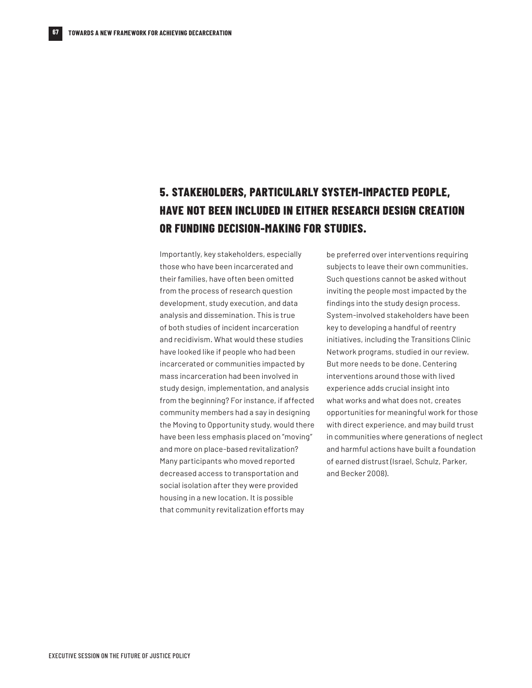#### **5. STAKEHOLDERS, PARTICULARLY SYSTEM-IMPACTED PEOPLE, HAVE NOT BEEN INCLUDED IN EITHER RESEARCH DESIGN CREATION OR FUNDING DECISION-MAKING FOR STUDIES.**

Importantly, key stakeholders, especially those who have been incarcerated and their families, have often been omitted from the process of research question development, study execution, and data analysis and dissemination. This is true of both studies of incident incarceration and recidivism. What would these studies have looked like if people who had been incarcerated or communities impacted by mass incarceration had been involved in study design, implementation, and analysis from the beginning? For instance, if affected community members had a say in designing the Moving to Opportunity study, would there have been less emphasis placed on "moving" and more on place-based revitalization? Many participants who moved reported decreased access to transportation and social isolation after they were provided housing in a new location. It is possible that community revitalization efforts may

be preferred over interventions requiring subjects to leave their own communities. Such questions cannot be asked without inviting the people most impacted by the findings into the study design process. System-involved stakeholders have been key to developing a handful of reentry initiatives, including the Transitions Clinic Network programs, studied in our review. But more needs to be done. Centering interventions around those with lived experience adds crucial insight into what works and what does not, creates opportunities for meaningful work for those with direct experience, and may build trust in communities where generations of neglect and harmful actions have built a foundation of earned distrust (Israel, Schulz, Parker, and Becker 2008).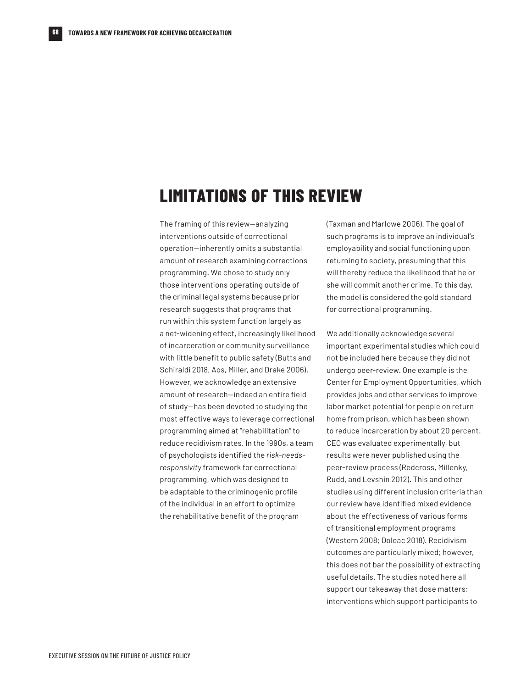# **LIMITATIONS OF THIS REVIEW**

The framing of this review—analyzing interventions outside of correctional operation—inherently omits a substantial amount of research examining corrections programming. We chose to study only those interventions operating outside of the criminal legal systems because prior research suggests that programs that run within this system function largely as a net-widening effect, increasingly likelihood of incarceration or community surveillance with little benefit to public safety (Butts and Schiraldi 2018, Aos, Miller, and Drake 2006). However, we acknowledge an extensive amount of research—indeed an entire field of study—has been devoted to studying the most effective ways to leverage correctional programming aimed at "rehabilitation" to reduce recidivism rates. In the 1990s, a team of psychologists identified the *risk-needsresponsivity* framework for correctional programming, which was designed to be adaptable to the criminogenic profile of the individual in an effort to optimize the rehabilitative benefit of the program

(Taxman and Marlowe 2006). The goal of such programs is to improve an individual's employability and social functioning upon returning to society, presuming that this will thereby reduce the likelihood that he or she will commit another crime. To this day, the model is considered the gold standard for correctional programming.

We additionally acknowledge several important experimental studies which could not be included here because they did not undergo peer-review. One example is the Center for Employment Opportunities, which provides jobs and other services to improve labor market potential for people on return home from prison, which has been shown to reduce incarceration by about 20 percent. CEO was evaluated experimentally, but results were never published using the peer-review process (Redcross, Millenky, Rudd, and Levshin 2012). This and other studies using different inclusion criteria than our review have identified mixed evidence about the effectiveness of various forms of transitional employment programs (Western 2008; Doleac 2018). Recidivism outcomes are particularly mixed; however, this does not bar the possibility of extracting useful details. The studies noted here all support our takeaway that dose matters: interventions which support participants to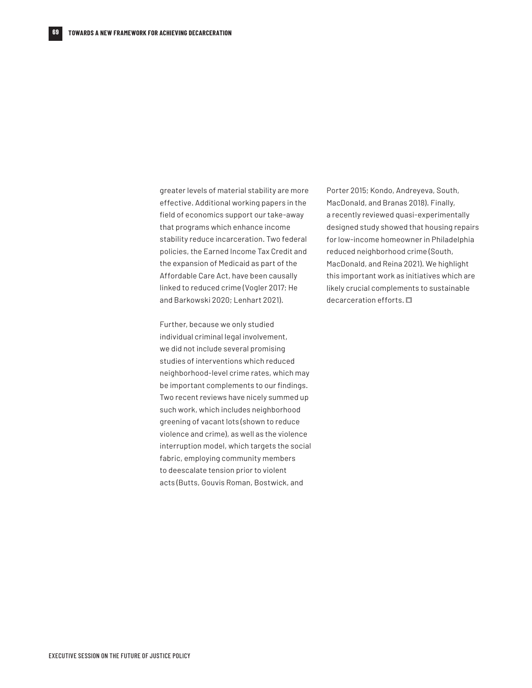greater levels of material stability are more effective. Additional working papers in the field of economics support our take-away that programs which enhance income stability reduce incarceration. Two federal policies, the Earned Income Tax Credit and the expansion of Medicaid as part of the Affordable Care Act, have been causally linked to reduced crime (Vogler 2017; He and Barkowski 2020; Lenhart 2021).

Further, because we only studied individual criminal legal involvement, we did not include several promising studies of interventions which reduced neighborhood-level crime rates, which may be important complements to our findings. Two recent reviews have nicely summed up such work, which includes neighborhood greening of vacant lots (shown to reduce violence and crime), as well as the violence interruption model, which targets the social fabric, employing community members to deescalate tension prior to violent acts (Butts, Gouvis Roman, Bostwick, and

Porter 2015; Kondo, Andreyeva, South, MacDonald, and Branas 2018). Finally, a recently reviewed quasi-experimentally designed study showed that housing repairs for low-income homeowner in Philadelphia reduced neighborhood crime (South, MacDonald, and Reina 2021). We highlight this important work as initiatives which are likely crucial complements to sustainable decarceration efforts.  $\square$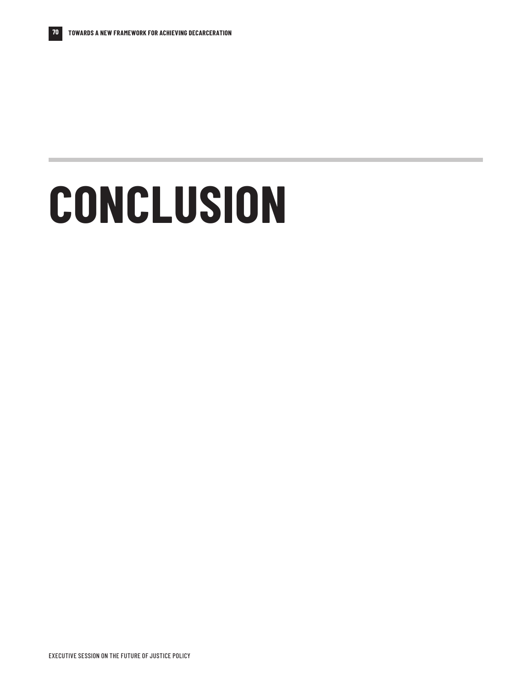# **CONCLUSION**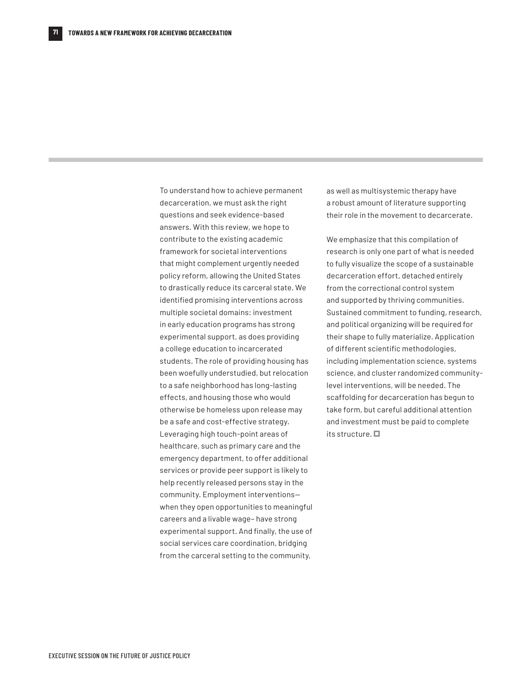To understand how to achieve permanent decarceration, we must ask the right questions and seek evidence-based answers. With this review, we hope to contribute to the existing academic framework for societal interventions that might complement urgently needed policy reform, allowing the United States to drastically reduce its carceral state. We identified promising interventions across multiple societal domains: investment in early education programs has strong experimental support, as does providing a college education to incarcerated students. The role of providing housing has been woefully understudied, but relocation to a safe neighborhood has long-lasting effects, and housing those who would otherwise be homeless upon release may be a safe and cost-effective strategy. Leveraging high touch-point areas of healthcare, such as primary care and the emergency department, to offer additional services or provide peer support is likely to help recently released persons stay in the community. Employment interventions when they open opportunities to meaningful careers and a livable wage– have strong experimental support. And finally, the use of social services care coordination, bridging from the carceral setting to the community,

as well as multisystemic therapy have a robust amount of literature supporting their role in the movement to decarcerate.

We emphasize that this compilation of research is only one part of what is needed to fully visualize the scope of a sustainable decarceration effort, detached entirely from the correctional control system and supported by thriving communities. Sustained commitment to funding, research, and political organizing will be required for their shape to fully materialize. Application of different scientific methodologies, including implementation science, systems science, and cluster randomized communitylevel interventions, will be needed. The scaffolding for decarceration has begun to take form, but careful additional attention and investment must be paid to complete its structure.  $\square$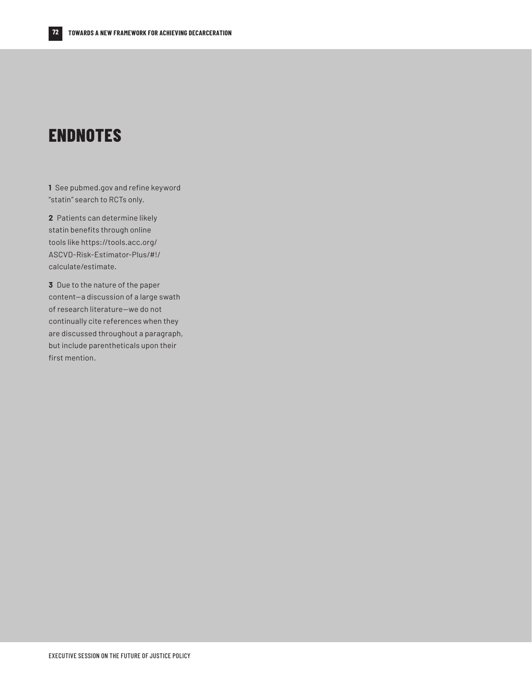### **ENDNOTES**

**1** See [pubmed.gov](http://pubmed.gov) and refine keyword "statin" search to RCTs only.

**2** Patients can determine likely statin benefits through online tools like [https://tools.acc.org/](https://tools.acc.org/ASCVD-Risk-Estimator-Plus/#!/calculate/estimate/) [ASCVD-Risk-Estimator-Plus/#!/](https://tools.acc.org/ASCVD-Risk-Estimator-Plus/#!/calculate/estimate/) [calculate/estimate.](https://tools.acc.org/ASCVD-Risk-Estimator-Plus/#!/calculate/estimate/)

**3** Due to the nature of the paper content—a discussion of a large swath of research literature—we do not continually cite references when they are discussed throughout a paragraph, but include parentheticals upon their first mention.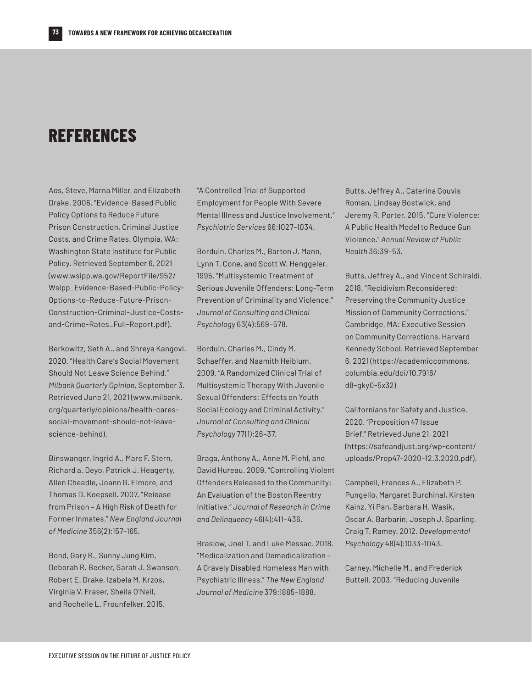## **REFERENCES**

Aos, Steve, Marna Miller, and Elizabeth Drake. 2006. "Evidence-Based Public Policy Options to Reduce Future Prison Construction, Criminal Justice Costs, and Crime Rates. Olympia, WA: Washington State Institute for Public Policy. Retrieved September 6, 2021 [\(www.wsipp.wa.gov/ReportFile/952/](https://www.wsipp.wa.gov/ReportFile/952/Wsipp_Evidence-Based-Public-Policy-Options-to-Reduce-Future-Prison-Construction-Criminal-Justice-Costs-and-Crime-Rates_Full-Report.pdf) [Wsipp\\_Evidence-Based-Public-Policy-](https://www.wsipp.wa.gov/ReportFile/952/Wsipp_Evidence-Based-Public-Policy-Options-to-Reduce-Future-Prison-Construction-Criminal-Justice-Costs-and-Crime-Rates_Full-Report.pdf)[Options-to-Reduce-Future-Prison-](https://www.wsipp.wa.gov/ReportFile/952/Wsipp_Evidence-Based-Public-Policy-Options-to-Reduce-Future-Prison-Construction-Criminal-Justice-Costs-and-Crime-Rates_Full-Report.pdf)[Construction-Criminal-Justice-Costs](https://www.wsipp.wa.gov/ReportFile/952/Wsipp_Evidence-Based-Public-Policy-Options-to-Reduce-Future-Prison-Construction-Criminal-Justice-Costs-and-Crime-Rates_Full-Report.pdf)[and-Crime-Rates\\_Full-Report.pdf\)](https://www.wsipp.wa.gov/ReportFile/952/Wsipp_Evidence-Based-Public-Policy-Options-to-Reduce-Future-Prison-Construction-Criminal-Justice-Costs-and-Crime-Rates_Full-Report.pdf).

Berkowitz, Seth A., and Shreya Kangovi. 2020. "Health Care's Social Movement Should Not Leave Science Behind." *Milbank Quarterly Opinion,* September 3. Retrieved June 21, 2021 [\(www.milbank.](https://www.milbank.org/quarterly/opinions/health-cares-social-movement-should-not-leave-science-behind/) [org/quarterly/opinions/health-cares](https://www.milbank.org/quarterly/opinions/health-cares-social-movement-should-not-leave-science-behind/)[social-movement-should-not-leave](https://www.milbank.org/quarterly/opinions/health-cares-social-movement-should-not-leave-science-behind/)[science-behind\)](https://www.milbank.org/quarterly/opinions/health-cares-social-movement-should-not-leave-science-behind/).

Binswanger, Ingrid A., Marc F. Stern, Richard a. Deyo, Patrick J. Heagerty, Allen Cheadle, Joann G. Elmore, and Thomas D. Koepsell. 2007. "Release from Prison – A High Risk of Death for Former Inmates." *New England Journal of Medicine* 356(2):157–165.

Bond, Gary R., Sunny Jung Kim, Deborah R. Becker, Sarah J. Swanson, Robert E. Drake, Izabela M. Krzos, Virginia V. Fraser, Sheila O'Neil, and Rochelle L. Frounfelker. 2015.

"A Controlled Trial of Supported Employment for People With Severe Mental Illness and Justice Involvement." *Psychiatric Services* 66:1027–1034.

Borduin, Charles M., Barton J. Mann, Lynn T. Cone, and Scott W. Henggeler. 1995. "Multisystemic Treatment of Serious Juvenile Offenders: Long-Term Prevention of Criminality and Violence." *Journal of Consulting and Clinical Psychology* 63(4):569–578.

Borduin, Charles M., Cindy M. Schaeffer, and Naamith Heiblum. 2009. "A Randomized Clinical Trial of Multisystemic Therapy With Juvenile Sexual Offenders: Effects on Youth Social Ecology and Criminal Activity." *Journal of Consulting and Clinical Psychology* 77(1):26–37.

Braga, Anthony A., Anne M. Piehl, and David Hureau. 2009. "Controlling Violent Offenders Released to the Community: An Evaluation of the Boston Reentry Initiative." *Journal of Research in Crime and Delinquency* 46(4):411–436.

Braslow, Joel T. and Luke Messac. 2018. "Medicalization and Demedicalization – A Gravely Disabled Homeless Man with Psychiatric Illness." *The New England Journal of Medicine* 379:1885–1888.

Butts, Jeffrey A., Caterina Gouvis Roman, Lindsay Bostwick, and Jeremy R. Porter. 2015. "Cure Violence: A Public Health Model to Reduce Gun Violence." *Annual Review of Public Health* 36:39–53.

Butts, Jeffrey A., and Vincent Schiraldi. 2018. "Recidivism Reconsidered: Preserving the Community Justice Mission of Community Corrections." Cambridge, MA: Executive Session on Community Corrections, Harvard Kennedy School. Retrieved September 6, 2021 ([https://academiccommons.](https://academiccommons.columbia.edu/doi/10.7916/d8-gky0-5x32) [columbia.edu/doi/10.7916/](https://academiccommons.columbia.edu/doi/10.7916/d8-gky0-5x32) [d8-gky0-5x32](https://academiccommons.columbia.edu/doi/10.7916/d8-gky0-5x32))

Californians for Safety and Justice. 2020. "Proposition 47 Issue Brief." Retrieved June 21, 2021 ([https://safeandjust.org/wp-content/](https://safeandjust.org/wp-content/uploads/Prop47-2020-12.3.2020..pdf) [uploads/Prop47–2020–12.3.2020.pdf\)](https://safeandjust.org/wp-content/uploads/Prop47-2020-12.3.2020..pdf).

Campbell, Frances A., Elizabeth P. Pungello, Margaret Burchinal, Kirsten Kainz, Yi Pan, Barbara H. Wasik, Oscar A. Barbarin, Joseph J. Sparling, Craig T. Ramey. 2012. *Developmental Psychology* 48(4):1033–1043.

Carney, Michelle M., and Frederick Buttell. 2003. "Reducing Juvenile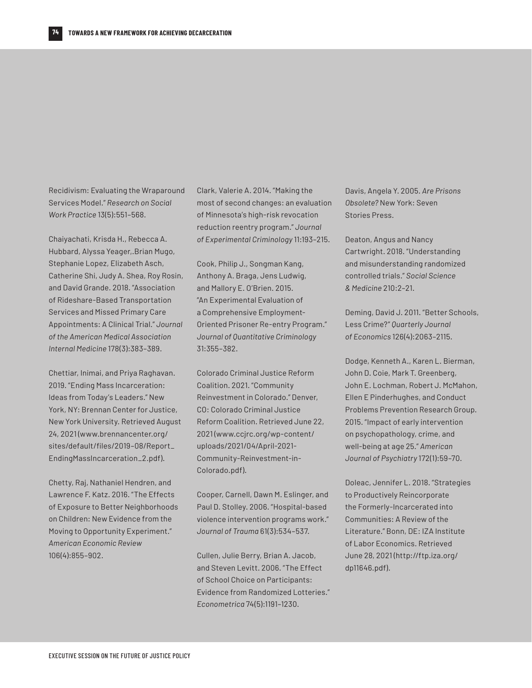Recidivism: Evaluating the Wraparound Services Model." *Research on Social Work Practice* 13(5):551–568.

Chaiyachati, Krisda H., Rebecca A. Hubbard, Alyssa Yeager,.Brian Mugo, Stephanie Lopez, Elizabeth Asch, Catherine Shi, Judy A. Shea, Roy Rosin, and David Grande. 2018. "Association of Rideshare-Based Transportation Services and Missed Primary Care Appointments: A Clinical Trial." *Journal of the American Medical Association Internal Medicine* 178(3):383–389.

Chettiar, Inimai, and Priya Raghavan. 2019. "Ending Mass Incarceration: Ideas from Today's Leaders." New York, NY: Brennan Center for Justice, New York University. Retrieved August 24, 2021 [\(www.brennancenter.org/](https://www.brennancenter.org/sites/default/files/2019-08/Report_EndingMassIncarceration_2.pdf) [sites/default/files/2019–08/Report\\_](https://www.brennancenter.org/sites/default/files/2019-08/Report_EndingMassIncarceration_2.pdf) [EndingMassIncarceration\\_2.pdf\)](https://www.brennancenter.org/sites/default/files/2019-08/Report_EndingMassIncarceration_2.pdf).

Chetty, Raj, Nathaniel Hendren, and Lawrence F. Katz. 2016. "The Effects of Exposure to Better Neighborhoods on Children: New Evidence from the Moving to Opportunity Experiment." *American Economic Review*  106(4):855–902.

Clark, Valerie A. 2014. "Making the most of second changes: an evaluation of Minnesota's high-risk revocation reduction reentry program." *Journal of Experimental Criminology* 11:193–215.

Cook, Philip J., Songman Kang, Anthony A. Braga, Jens Ludwig, and Mallory E. O'Brien. 2015. "An Experimental Evaluation of a Comprehensive Employment-Oriented Prisoner Re-entry Program." *Journal of Quantitative Criminology*  31:355–382.

Colorado Criminal Justice Reform Coalition. 2021. "Community Reinvestment in Colorado." Denver, CO: Colorado Criminal Justice Reform Coalition. Retrieved June 22, 2021 [\(www.ccjrc.org/wp-content/](https://www.ccjrc.org/wp-content/uploads/2021/04/April-2021-Community-Reinvestment-in-Colorado.pdf) [uploads/2021/04/April-2021-](https://www.ccjrc.org/wp-content/uploads/2021/04/April-2021-Community-Reinvestment-in-Colorado.pdf) [Community-Reinvestment-in-](https://www.ccjrc.org/wp-content/uploads/2021/04/April-2021-Community-Reinvestment-in-Colorado.pdf)[Colorado.pdf\)](https://www.ccjrc.org/wp-content/uploads/2021/04/April-2021-Community-Reinvestment-in-Colorado.pdf).

Cooper, Carnell, Dawn M. Eslinger, and Paul D. Stolley. 2006. "Hospital-based violence intervention programs work." *Journal of Trauma* 61(3):534–537.

Cullen, Julie Berry, Brian A. Jacob, and Steven Levitt. 2006. "The Effect of School Choice on Participants: Evidence from Randomized Lotteries." *Econometrica* 74(5):1191–1230.

Davis, Angela Y. 2005. *Are Prisons Obsolete?* New York: Seven Stories Press.

Deaton, Angus and Nancy Cartwright. 2018. "Understanding and misunderstanding randomized controlled trials." *Social Science & Medicine* 210:2–21.

Deming, David J. 2011. "Better Schools, Less Crime?" *Quarterly Journal of Economics* 126(4):2063–2115.

Dodge, Kenneth A., Karen L. Bierman, John D. Coie, Mark T. Greenberg, John E. Lochman, Robert J. McMahon, Ellen E Pinderhughes, and Conduct Problems Prevention Research Group. 2015. "Impact of early intervention on psychopathology, crime, and well-being at age 25." *American Journal of Psychiatry* 172(1):59–70.

Doleac, Jennifer L. 2018. "Strategies to Productively Reincorporate the Formerly-Incarcerated into Communities: A Review of the Literature." Bonn, DE: IZA Institute of Labor Economics. Retrieved June 28, 2021 ([http://ftp.iza.org/](http://ftp.iza.org/dp11646.pdf) [dp11646.pdf](http://ftp.iza.org/dp11646.pdf)).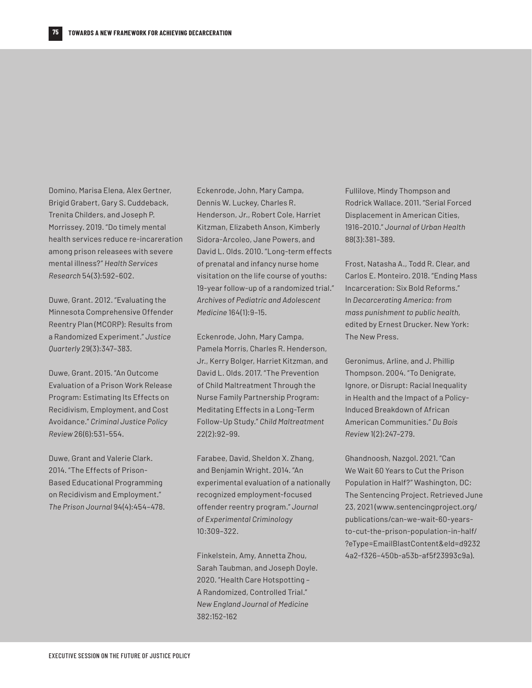Domino, Marisa Elena, Alex Gertner, Brigid Grabert, Gary S. Cuddeback, Trenita Childers, and Joseph P. Morrissey. 2019. "Do timely mental health services reduce re-incareration among prison releasees with severe mental illness?" *Health Services Research* 54(3):592–602.

Duwe, Grant. 2012. "Evaluating the Minnesota Comprehensive Offender Reentry Plan (MCORP): Results from a Randomized Experiment." *Justice Quarterly* 29(3):347–383.

Duwe, Grant. 2015. "An Outcome Evaluation of a Prison Work Release Program: Estimating Its Effects on Recidivism, Employment, and Cost Avoidance." *Criminal Justice Policy Review* 26(6):531–554.

Duwe, Grant and Valerie Clark. 2014. "The Effects of Prison-Based Educational Programming on Recidivism and Employment." *The Prison Journal* 94(4):454–478. Eckenrode, John, Mary Campa, Dennis W. Luckey, Charles R. Henderson, Jr., Robert Cole, Harriet Kitzman, Elizabeth Anson, Kimberly Sidora-Arcoleo, Jane Powers, and David L. Olds. 2010. "Long-term effects of prenatal and infancy nurse home visitation on the life course of youths: 19-year follow-up of a randomized trial." *Archives of Pediatric and Adolescent Medicine* 164(1):9–15.

Eckenrode, John, Mary Campa, Pamela Morris, Charles R. Henderson, Jr., Kerry Bolger, Harriet Kitzman, and David L. Olds. 2017. "The Prevention of Child Maltreatment Through the Nurse Family Partnership Program: Meditating Effects in a Long-Term Follow-Up Study." *Child Maltreatment*  22(2):92–99.

Farabee, David, Sheldon X. Zhang, and Benjamin Wright. 2014. "An experimental evaluation of a nationally recognized employment-focused offender reentry program." *Journal of Experimental Criminology*  10:309–322.

Finkelstein, Amy, Annetta Zhou, Sarah Taubman, and Joseph Doyle. 2020. "Health Care Hotspotting – A Randomized, Controlled Trial." *New England Journal of Medicine* 382:152-162

Fullilove, Mindy Thompson and Rodrick Wallace. 2011. "Serial Forced Displacement in American Cities, 1916–2010." *Journal of Urban Health*  88(3):381–389.

Frost, Natasha A., Todd R. Clear, and Carlos E. Monteiro. 2018. "Ending Mass Incarceration: Six Bold Reforms." In *Decarcerating America: from mass punishment to public health,*  edited by Ernest Drucker. New York: The New Press.

Geronimus, Arline, and J. Phillip Thompson. 2004. "To Denigrate, Ignore, or Disrupt: Racial Inequality in Health and the Impact of a Policy-Induced Breakdown of African American Communities." *Du Bois Review* 1(2):247–279.

Ghandnoosh, Nazgol. 2021. "Can We Wait 60 Years to Cut the Prison Population in Half?" Washington, DC: The Sentencing Project. Retrieved June 23, 2021 ([www.sentencingproject.org/](https://www.sentencingproject.org/publications/can-we-wait-60-years-to-cut-the-prison-population-in-half/?eType=EmailBlastContent&eId=d92324a2-f326-450b-a53b-af5f23993c9a) [publications/can-we-wait-60-years](https://www.sentencingproject.org/publications/can-we-wait-60-years-to-cut-the-prison-population-in-half/?eType=EmailBlastContent&eId=d92324a2-f326-450b-a53b-af5f23993c9a)[to-cut-the-prison-population-in-half/](https://www.sentencingproject.org/publications/can-we-wait-60-years-to-cut-the-prison-population-in-half/?eType=EmailBlastContent&eId=d92324a2-f326-450b-a53b-af5f23993c9a) [?eType=EmailBlastContent&eId=d9232](https://www.sentencingproject.org/publications/can-we-wait-60-years-to-cut-the-prison-population-in-half/?eType=EmailBlastContent&eId=d92324a2-f326-450b-a53b-af5f23993c9a) [4a2-f326–450b-a53b-af5f23993c9a](https://www.sentencingproject.org/publications/can-we-wait-60-years-to-cut-the-prison-population-in-half/?eType=EmailBlastContent&eId=d92324a2-f326-450b-a53b-af5f23993c9a)).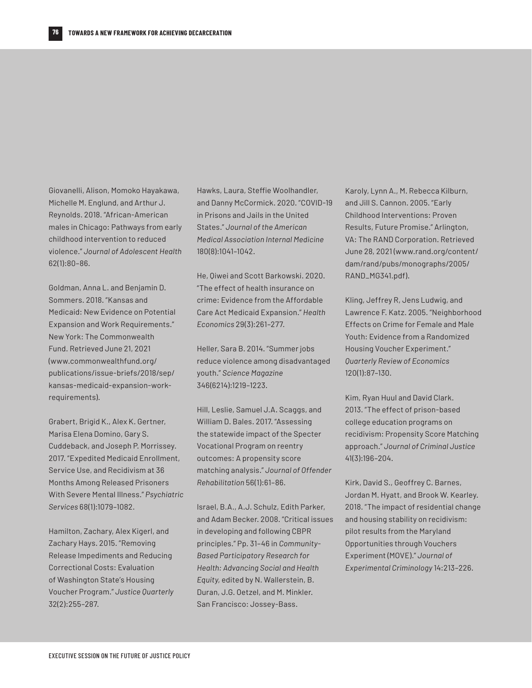Giovanelli, Alison, Momoko Hayakawa, Michelle M. Englund, and Arthur J. Reynolds. 2018. "African-American males in Chicago: Pathways from early childhood intervention to reduced violence." *Journal of Adolescent Health*  62(1):80–86.

Goldman, Anna L. and Benjamin D. Sommers. 2018. "Kansas and Medicaid: New Evidence on Potential Expansion and Work Requirements." New York: The Commonwealth Fund. Retrieved June 21, 2021 [\(www.commonwealthfund.org/](https://www.commonwealthfund.org/publications/issue-briefs/2018/sep/kansas-medicaid-expansion-work-requirements) [publications/issue-briefs/2018/sep/](https://www.commonwealthfund.org/publications/issue-briefs/2018/sep/kansas-medicaid-expansion-work-requirements) [kansas-medicaid-expansion-work](https://www.commonwealthfund.org/publications/issue-briefs/2018/sep/kansas-medicaid-expansion-work-requirements)[requirements](https://www.commonwealthfund.org/publications/issue-briefs/2018/sep/kansas-medicaid-expansion-work-requirements)).

Grabert, Brigid K., Alex K. Gertner, Marisa Elena Domino, Gary S. Cuddeback, and Joseph P. Morrissey. 2017. "Expedited Medicaid Enrollment, Service Use, and Recidivism at 36 Months Among Released Prisoners With Severe Mental Illness." *Psychiatric Services* 68(1):1079–1082.

Hamilton, Zachary, Alex Kigerl, and Zachary Hays. 2015. "Removing Release Impediments and Reducing Correctional Costs: Evaluation of Washington State's Housing Voucher Program." *Justice Quarterly*  32(2):255–287.

Hawks, Laura, Steffie Woolhandler, and Danny McCormick. 2020. "COVID-19 in Prisons and Jails in the United States." *Journal of the American Medical Association Internal Medicine*  180(8):1041–1042.

He, Qiwei and Scott Barkowski. 2020. "The effect of health insurance on crime: Evidence from the Affordable Care Act Medicaid Expansion." *Health Economics* 29(3):261–277.

Heller, Sara B. 2014. "Summer jobs reduce violence among disadvantaged youth." *Science Magazine*  346(6214):1219–1223.

Hill, Leslie, Samuel J.A. Scaggs, and William D. Bales. 2017. "Assessing the statewide impact of the Specter Vocational Program on reentry outcomes: A propensity score matching analysis." *Journal of Offender Rehabilitation* 56(1):61–86.

Israel, B.A., A.J. Schulz, Edith Parker, and Adam Becker. 2008. "Critical issues in developing and following CBPR principles." Pp. 31–46 in *Community-Based Participatory Research for Health: Advancing Social and Health Equity,* edited by N. Wallerstein, B. Duran, J.G. Oetzel, and M. Minkler. San Francisco: Jossey-Bass.

Karoly, Lynn A., M. Rebecca Kilburn, and Jill S. Cannon. 2005. "Early Childhood Interventions: Proven Results, Future Promise." Arlington, VA: The RAND Corporation. Retrieved June 28, 2021 ([www.rand.org/content/](https://www.rand.org/content/dam/rand/pubs/monographs/2005/RAND_MG341.pdf) [dam/rand/pubs/monographs/2005/](https://www.rand.org/content/dam/rand/pubs/monographs/2005/RAND_MG341.pdf) [RAND\\_MG341.pdf\)](https://www.rand.org/content/dam/rand/pubs/monographs/2005/RAND_MG341.pdf).

Kling, Jeffrey R, Jens Ludwig, and Lawrence F. Katz. 2005. "Neighborhood Effects on Crime for Female and Male Youth: Evidence from a Randomized Housing Voucher Experiment." *Quarterly Review of Economics*  120(1):87–130.

Kim, Ryan Huul and David Clark. 2013. "The effect of prison-based college education programs on recidivism: Propensity Score Matching approach." *Journal of Criminal Justice*  41(3):196–204.

Kirk, David S., Geoffrey C. Barnes, Jordan M. Hyatt, and Brook W. Kearley. 2018. "The impact of residential change and housing stability on recidivism: pilot results from the Maryland Opportunities through Vouchers Experiment (MOVE)." *Journal of Experimental Criminology* 14:213–226.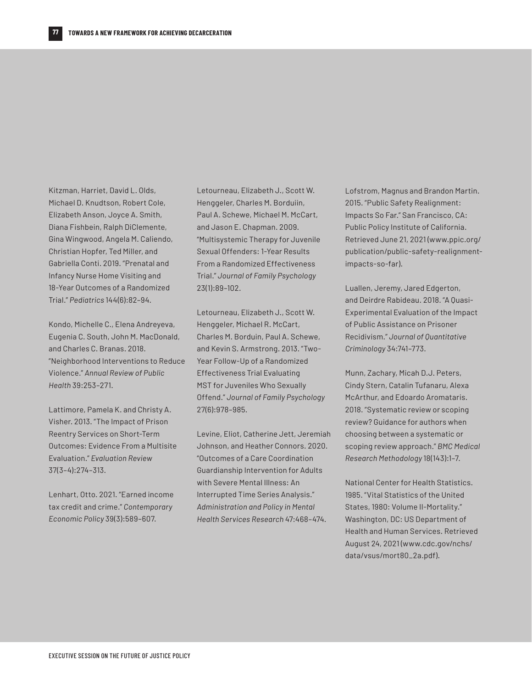Kitzman, Harriet, David L. Olds, Michael D. Knudtson, Robert Cole, Elizabeth Anson, Joyce A. Smith, Diana Fishbein, Ralph DiClemente, Gina Wingwood, Angela M. Caliendo, Christian Hopfer, Ted Miller, and Gabriella Conti. 2019. "Prenatal and Infancy Nurse Home Visiting and 18-Year Outcomes of a Randomized Trial." *Pediatrics* 144(6):82–94.

Kondo, Michelle C., Elena Andreyeva, Eugenia C. South, John M. MacDonald, and Charles C. Branas. 2018. "Neighborhood Interventions to Reduce Violence." *Annual Review of Public Health* 39:253–271.

Lattimore, Pamela K. and Christy A. Visher. 2013. "The Impact of Prison Reentry Services on Short-Term Outcomes: Evidence From a Multisite Evaluation." *Evaluation Review* 37(3–4):274–313.

Lenhart, Otto. 2021. "Earned income tax credit and crime." *Contemporary Economic Policy* 39(3):589–607.

Letourneau, Elizabeth J., Scott W. Henggeler, Charles M. Borduiin, Paul A. Schewe, Michael M. McCart, and Jason E. Chapman. 2009. "Multisystemic Therapy for Juvenile Sexual Offenders: 1-Year Results From a Randomized Effectiveness Trial." *Journal of Family Psychology*  23(1):89–102.

Letourneau, Elizabeth J., Scott W. Henggeler, Michael R. McCart, Charles M. Borduin, Paul A. Schewe, and Kevin S. Armstrong. 2013. "Two-Year Follow-Up of a Randomized Effectiveness Trial Evaluating MST for Juveniles Who Sexually Offend." *Journal of Family Psychology*  27(6):978–985.

Levine, Eliot, Catherine Jett, Jeremiah Johnson, and Heather Connors. 2020. "Outcomes of a Care Coordination Guardianship Intervention for Adults with Severe Mental Illness: An Interrupted Time Series Analysis." *Administration and Policy in Mental Health Services Research* 47:468–474.

Lofstrom, Magnus and Brandon Martin. 2015. "Public Safety Realignment: Impacts So Far." San Francisco, CA: Public Policy Institute of California. Retrieved June 21, 2021 [\(www.ppic.org/](https://www.ppic.org/publication/public-safety-realignment-impacts-so-far/) [publication/public-safety-realignment](https://www.ppic.org/publication/public-safety-realignment-impacts-so-far/)[impacts-so-far\)](https://www.ppic.org/publication/public-safety-realignment-impacts-so-far/).

Luallen, Jeremy, Jared Edgerton, and Deirdre Rabideau. 2018. "A Quasi-Experimental Evaluation of the Impact of Public Assistance on Prisoner Recidivism." *Journal of Quantitative Criminology* 34:741–773.

Munn, Zachary, Micah D.J. Peters, Cindy Stern, Catalin Tufanaru, Alexa McArthur, and Edoardo Aromataris. 2018. "Systematic review or scoping review? Guidance for authors when choosing between a systematic or scoping review approach." *BMC Medical Research Methodology* 18(143):1–7.

National Center for Health Statistics. 1985. "Vital Statistics of the United States, 1980: Volume II-Mortality." Washington, DC: US Department of Health and Human Services. Retrieved August 24, 2021 ([www.cdc.gov/nchs/](https://www.cdc.gov/nchs/data/vsus/mort80_2a.pdf) [data/vsus/mort80\\_2a.pdf](https://www.cdc.gov/nchs/data/vsus/mort80_2a.pdf)).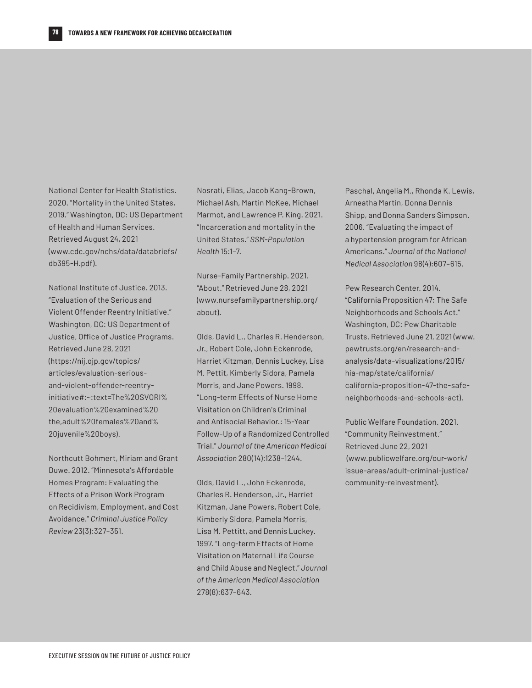National Center for Health Statistics. 2020. "Mortality in the United States, 2019." Washington, DC: US Department of Health and Human Services. Retrieved August 24, 2021 [\(www.cdc.gov/nchs/data/databriefs/](https://www.cdc.gov/nchs/data/databriefs/db395-H.pdf) [db395-H.pdf\)](https://www.cdc.gov/nchs/data/databriefs/db395-H.pdf).

National Institute of Justice. 2013. "Evaluation of the Serious and Violent Offender Reentry Initiative." Washington, DC: US Department of Justice, Office of Justice Programs. Retrieved June 28, 2021 [\(https://nij.ojp.gov/topics/](https://nij.ojp.gov/topics/articles/evaluation-serious-and-violent-offender-reentry-initiative#:~:text=The%20SVORI%20evaluation%20examined%20the,adult%20females%20and%20juvenile%20boys) [articles/evaluation-serious](https://nij.ojp.gov/topics/articles/evaluation-serious-and-violent-offender-reentry-initiative#:~:text=The%20SVORI%20evaluation%20examined%20the,adult%20females%20and%20juvenile%20boys)[and-violent-offender-reentry](https://nij.ojp.gov/topics/articles/evaluation-serious-and-violent-offender-reentry-initiative#:~:text=The%20SVORI%20evaluation%20examined%20the,adult%20females%20and%20juvenile%20boys)[initiative#:~:text=The%20SVORI%](https://nij.ojp.gov/topics/articles/evaluation-serious-and-violent-offender-reentry-initiative#:~:text=The%20SVORI%20evaluation%20examined%20the,adult%20females%20and%20juvenile%20boys) [20evaluation%20examined%20](https://nij.ojp.gov/topics/articles/evaluation-serious-and-violent-offender-reentry-initiative#:~:text=The%20SVORI%20evaluation%20examined%20the,adult%20females%20and%20juvenile%20boys) [the,adult%20females%20and%](https://nij.ojp.gov/topics/articles/evaluation-serious-and-violent-offender-reentry-initiative#:~:text=The%20SVORI%20evaluation%20examined%20the,adult%20females%20and%20juvenile%20boys) [20juvenile%20boys](https://nij.ojp.gov/topics/articles/evaluation-serious-and-violent-offender-reentry-initiative#:~:text=The%20SVORI%20evaluation%20examined%20the,adult%20females%20and%20juvenile%20boys)).

Northcutt Bohmert, Miriam and Grant Duwe. 2012. "Minnesota's Affordable Homes Program: Evaluating the Effects of a Prison Work Program on Recidivism, Employment, and Cost Avoidance." *Criminal Justice Policy Review* 23(3):327–351.

Nosrati, Elias, Jacob Kang-Brown, Michael Ash, Martin McKee, Michael Marmot, and Lawrence P. King. 2021. "Incarceration and mortality in the United States." *SSM-Population Health* 15:1–7.

Nurse-Family Partnership. 2021. "About." Retrieved June 28, 2021 [\(www.nursefamilypartnership.org/](https://www.nursefamilypartnership.org/about/) [about\)](https://www.nursefamilypartnership.org/about/).

Olds, David L., Charles R. Henderson, Jr., Robert Cole, John Eckenrode, Harriet Kitzman, Dennis Luckey, Lisa M. Pettit, Kimberly Sidora, Pamela Morris, and Jane Powers. 1998. "Long-term Effects of Nurse Home Visitation on Children's Criminal and Antisocial Behavior.: 15-Year Follow-Up of a Randomized Controlled Trial." *Journal of the American Medical Association* 280(14):1238–1244.

Olds, David L., John Eckenrode, Charles R. Henderson, Jr., Harriet Kitzman, Jane Powers, Robert Cole, Kimberly Sidora, Pamela Morris, Lisa M. Pettitt, and Dennis Luckey. 1997. "Long-term Effects of Home Visitation on Maternal Life Course and Child Abuse and Neglect." *Journal of the American Medical Association*  278(8):637–643.

Paschal, Angelia M., Rhonda K. Lewis, Arneatha Martin, Donna Dennis Shipp, and Donna Sanders Simpson. 2006. "Evaluating the impact of a hypertension program for African Americans." *Journal of the National Medical Association* 98(4):607–615.

Pew Research Center. 2014. "California Proposition 47: The Safe Neighborhoods and Schools Act." Washington, DC: Pew Charitable Trusts. Retrieved June 21, 2021 [\(www.](https://www.pewtrusts.org/en/research-and-analysis/data-visualizations/2015/hia-map/state/california/california-proposition-47-the-safe-neighborhoods-and-schools-act) [pewtrusts.org/en/research-and](https://www.pewtrusts.org/en/research-and-analysis/data-visualizations/2015/hia-map/state/california/california-proposition-47-the-safe-neighborhoods-and-schools-act)[analysis/data-visualizations/2015/](https://www.pewtrusts.org/en/research-and-analysis/data-visualizations/2015/hia-map/state/california/california-proposition-47-the-safe-neighborhoods-and-schools-act) [hia-map/state/california/](https://www.pewtrusts.org/en/research-and-analysis/data-visualizations/2015/hia-map/state/california/california-proposition-47-the-safe-neighborhoods-and-schools-act) [california-proposition-47-the-safe](https://www.pewtrusts.org/en/research-and-analysis/data-visualizations/2015/hia-map/state/california/california-proposition-47-the-safe-neighborhoods-and-schools-act)[neighborhoods-and-schools-act](https://www.pewtrusts.org/en/research-and-analysis/data-visualizations/2015/hia-map/state/california/california-proposition-47-the-safe-neighborhoods-and-schools-act)).

Public Welfare Foundation. 2021. "Community Reinvestment." Retrieved June 22, 2021 [\(www.publicwelfare.org/our-work/](https://www.publicwelfare.org/our-work/issue-areas/adult-criminal-justice/community-reinvestment/) [issue-areas/adult-criminal-justice/](https://www.publicwelfare.org/our-work/issue-areas/adult-criminal-justice/community-reinvestment/) [community-reinvestment\).](https://www.publicwelfare.org/our-work/issue-areas/adult-criminal-justice/community-reinvestment/)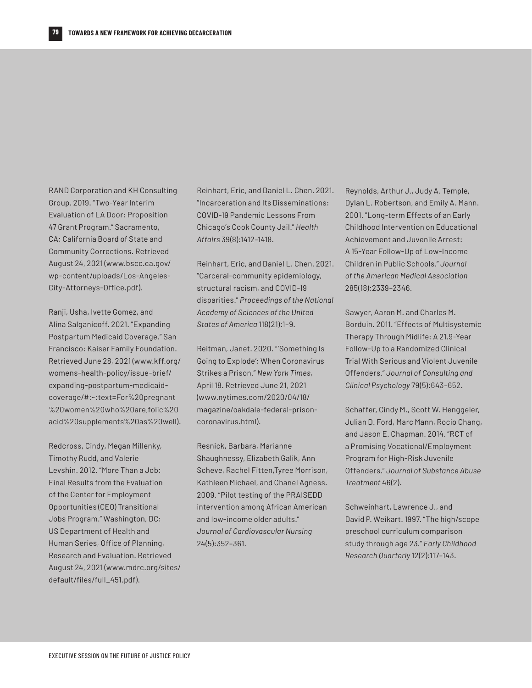RAND Corporation and KH Consulting Group. 2019. "Two-Year Interim Evaluation of LA Door: Proposition 47 Grant Program." Sacramento, CA: California Board of State and Community Corrections. Retrieved August 24, 2021 [\(www.bscc.ca.gov/](http://www.bscc.ca.gov/wp-content/uploads/Los-Angeles-City-Attorneys-Office.pdf) [wp-content/uploads/Los-Angeles-](http://www.bscc.ca.gov/wp-content/uploads/Los-Angeles-City-Attorneys-Office.pdf)[City-Attorneys-Office.pdf](http://www.bscc.ca.gov/wp-content/uploads/Los-Angeles-City-Attorneys-Office.pdf)).

Ranji, Usha, Ivette Gomez, and Alina Salganicoff. 2021. "Expanding Postpartum Medicaid Coverage." San Francisco: Kaiser Family Foundation. Retrieved June 28, 2021 ([www.kff.org/](https://www.kff.org/womens-health-policy/issue-brief/expanding-postpartum-medicaid-coverage/#) [womens-health-policy/issue-brief/](https://www.kff.org/womens-health-policy/issue-brief/expanding-postpartum-medicaid-coverage/#) [expanding-postpartum-medicaid](https://www.kff.org/womens-health-policy/issue-brief/expanding-postpartum-medicaid-coverage/#)[coverage/#](https://www.kff.org/womens-health-policy/issue-brief/expanding-postpartum-medicaid-coverage/#):~:text=For%20pregnant %20women%20who%20are,folic%20 acid%20supplements%20as%20well).

Redcross, Cindy, Megan Millenky, Timothy Rudd, and Valerie Levshin. 2012. "More Than a Job: Final Results from the Evaluation of the Center for Employment Opportunities (CEO) Transitional Jobs Program." Washington, DC: US Department of Health and Human Series, Office of Planning, Research and Evaluation. Retrieved August 24, 2021 [\(www.mdrc.org/sites/](https://www.mdrc.org/sites/default/files/full_451.pdf) [default/files/full\\_451.pdf](https://www.mdrc.org/sites/default/files/full_451.pdf)).

Reinhart, Eric, and Daniel L. Chen. 2021. "Incarceration and Its Disseminations: COVID-19 Pandemic Lessons From Chicago's Cook County Jail." *Health Affairs* 39(8):1412–1418.

Reinhart, Eric, and Daniel L. Chen. 2021. "Carceral-community epidemiology, structural racism, and COVID-19 disparities." *Proceedings of the National Academy of Sciences of the United States of America* 118(21):1–9.

Reitman, Janet. 2020. "'Something Is Going to Explode': When Coronavirus Strikes a Prison." *New York Times,*  April 18. Retrieved June 21, 2021 [\(www.nytimes.com/2020/04/18/](https://www.nytimes.com/2020/04/18/magazine/oakdale-federal-prison-coronavirus.html) [magazine/oakdale-federal-prison](https://www.nytimes.com/2020/04/18/magazine/oakdale-federal-prison-coronavirus.html)[coronavirus.html](https://www.nytimes.com/2020/04/18/magazine/oakdale-federal-prison-coronavirus.html)).

Resnick, Barbara, Marianne Shaughnessy, Elizabeth Galik, Ann Scheve, Rachel Fitten,Tyree Morrison, Kathleen Michael, and Chanel Agness. 2009. "Pilot testing of the PRAISEDD intervention among African American and low-income older adults." *Journal of Cardiovascular Nursing*  24(5):352–361.

Reynolds, Arthur J., Judy A. Temple, Dylan L. Robertson, and Emily A. Mann. 2001. "Long-term Effects of an Early Childhood Intervention on Educational Achievement and Juvenile Arrest: A 15-Year Follow-Up of Low-Income Children in Public Schools." *Journal of the American Medical Association*  285(18):2339–2346.

Sawyer, Aaron M. and Charles M. Borduin. 2011. "Effects of Multisystemic Therapy Through Midlife: A 21.9-Year Follow-Up to a Randomized Clinical Trial With Serious and Violent Juvenile Offenders." *Journal of Consulting and Clinical Psychology* 79(5):643–652.

Schaffer, Cindy M., Scott W. Henggeler, Julian D. Ford, Marc Mann, Rocio Chang, and Jason E. Chapman. 2014. "RCT of a Promising Vocational/Employment Program for High-Risk Juvenile Offenders." *Journal of Substance Abuse Treatment* 46(2).

Schweinhart, Lawrence J., and David P. Weikart. 1997. "The high/scope preschool curriculum comparison study through age 23." *Early Childhood Research Quarterly* 12(2):117–143.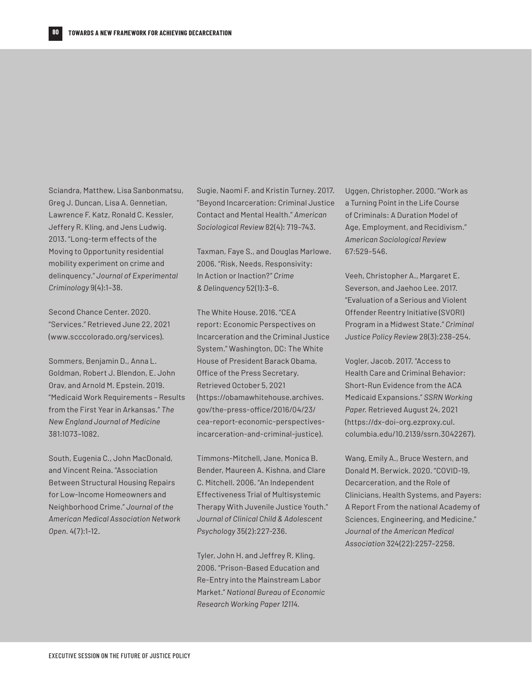Sciandra, Matthew, Lisa Sanbonmatsu, Greg J. Duncan, Lisa A. Gennetian, Lawrence F. Katz, Ronald C. Kessler, Jeffery R. Kling, and Jens Ludwig. 2013. "Long-term effects of the Moving to Opportunity residential mobility experiment on crime and delinquency." *Journal of Experimental Criminology* 9(4):1–38.

Second Chance Center. 2020. "Services." Retrieved June 22, 2021 [\(www.scccolorado.org/services\)](https://www.scccolorado.org/services).

Sommers, Benjamin D., Anna L. Goldman, Robert J. Blendon, E. John Orav, and Arnold M. Epstein. 2019. "Medicaid Work Requirements – Results from the First Year in Arkansas." *The New England Journal of Medicine*  381:1073–1082.

South, Eugenia C., John MacDonald, and Vincent Reina. "Association Between Structural Housing Repairs for Low-Income Homeowners and Neighborhood Crime." *Journal of the American Medical Association Network Open.* 4(7):1-12.

Sugie, Naomi F. and Kristin Turney. 2017. "Beyond Incarceration: Criminal Justice Contact and Mental Health." *American Sociological Review* 82(4): 719–743.

Taxman, Faye S., and Douglas Marlowe. 2006. "Risk, Needs, Responsivity: In Action or Inaction?" *Crime & Delinquency* 52(1):3–6.

The White House. 2016. "CEA report: Economic Perspectives on Incarceration and the Criminal Justice System." Washington, DC: The White House of President Barack Obama, Office of the Press Secretary. Retrieved October 5, 2021 (https://obamawhitehouse.archives. gov/the-press-office/2016/04/23/ cea-report-economic-perspectivesincarceration-and-criminal-justice).

Timmons-Mitchell, Jane, Monica B. Bender, Maureen A. Kishna, and Clare C. Mitchell. 2006. "An Independent Effectiveness Trial of Multisystemic Therapy With Juvenile Justice Youth." *Journal of Clinical Child & Adolescent Psychology* 35(2):227-236.

Tyler, John H. and Jeffrey R. Kling. 2006. "Prison-Based Education and Re-Entry into the Mainstream Labor Market." *National Bureau of Economic Research Working Paper 12114.*

Uggen, Christopher. 2000. "Work as a Turning Point in the Life Course of Criminals: A Duration Model of Age, Employment, and Recidivism." *American Sociological Review*  67:529–546.

Veeh, Christopher A., Margaret E. Severson, and Jaehoo Lee. 2017. "Evaluation of a Serious and Violent Offender Reentry Initiative (SVORI) Program in a Midwest State." *Criminal Justice Policy Review* 28(3):238–254.

Vogler, Jacob. 2017. "Access to Health Care and Criminal Behavior: Short-Run Evidence from the ACA Medicaid Expansions." *SSRN Working Paper.* Retrieved August 24, 2021 ([https://dx-doi-org.ezproxy.cul.](https://dx-doi-org.ezproxy.cul.columbia.edu/10.2139/ssrn.3042267) [columbia.edu/10.2139/ssrn.3042267](https://dx-doi-org.ezproxy.cul.columbia.edu/10.2139/ssrn.3042267)).

Wang, Emily A., Bruce Western, and Donald M. Berwick. 2020. "COVID-19, Decarceration, and the Role of Clinicians, Health Systems, and Payers: A Report From the national Academy of Sciences, Engineering, and Medicine." *Journal of the American Medical Association* 324(22):2257–2258.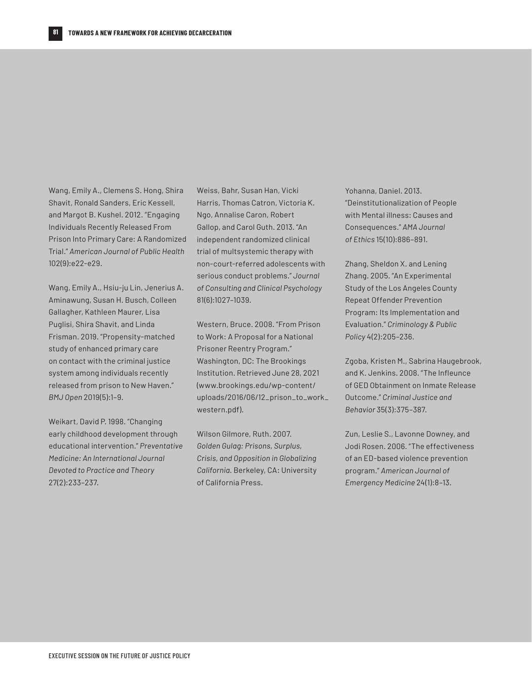Wang, Emily A., Clemens S. Hong, Shira Shavit, Ronald Sanders, Eric Kessell, and Margot B. Kushel. 2012. "Engaging Individuals Recently Released From Prison Into Primary Care: A Randomized Trial." *American Journal of Public Health*  102(9):e22-e29.

Wang, Emily A., Hsiu-ju Lin, Jenerius A. Aminawung, Susan H. Busch, Colleen Gallagher, Kathleen Maurer, Lisa Puglisi, Shira Shavit, and Linda Frisman. 2019. "Propensity-matched study of enhanced primary care on contact with the criminal justice system among individuals recently released from prison to New Haven." *BMJ Open* 2019(5):1–9.

Weikart, David P. 1998. "Changing early childhood development through educational intervention." *Preventative Medicine: An International Journal Devoted to Practice and Theory*  27(2):233–237.

Weiss, Bahr, Susan Han, Vicki Harris, Thomas Catron, Victoria K. Ngo, Annalise Caron, Robert Gallop, and Carol Guth. 2013. "An independent randomized clinical trial of multsystemic therapy with non-court-referred adolescents with serious conduct problems." *Journal of Consulting and Clinical Psychology*  81(6):1027–1039.

Western, Bruce. 2008. "From Prison to Work: A Proposal for a National Prisoner Reentry Program." Washington, DC: The Brookings Institution. Retrieved June 28, 2021 [\(www.brookings.edu/wp-content/](https://www.brookings.edu/wp-content/uploads/2016/06/12_prison_to_work_western.pdf) [uploads/2016/06/12\\_prison\\_to\\_work\\_](https://www.brookings.edu/wp-content/uploads/2016/06/12_prison_to_work_western.pdf) [western.pdf\)](https://www.brookings.edu/wp-content/uploads/2016/06/12_prison_to_work_western.pdf).

Wilson Gilmore, Ruth. 2007. *Golden Gulag: Prisons, Surplus, Crisis, and Opposition in Globalizing California.* Berkeley, CA: University of California Press.

Yohanna, Daniel. 2013. "Deinstitutionalization of People with Mental illness: Causes and Consequences." *AMA Journal of Ethics* 15(10):886–891.

Zhang, Sheldon X. and Lening Zhang. 2005. "An Experimental Study of the Los Angeles County Repeat Offender Prevention Program: Its Implementation and Evaluation." *Criminology & Public Policy* 4(2):205–236.

Zgoba, Kristen M., Sabrina Haugebrook, and K. Jenkins. 2008. "The Infleunce of GED Obtainment on Inmate Release Outcome." *Criminal Justice and Behavior* 35(3):375–387.

Zun, Leslie S., Lavonne Downey, and Jodi Rosen. 2006. "The effectiveness of an ED-based violence prevention program." *American Journal of Emergency Medicine* 24(1):8–13.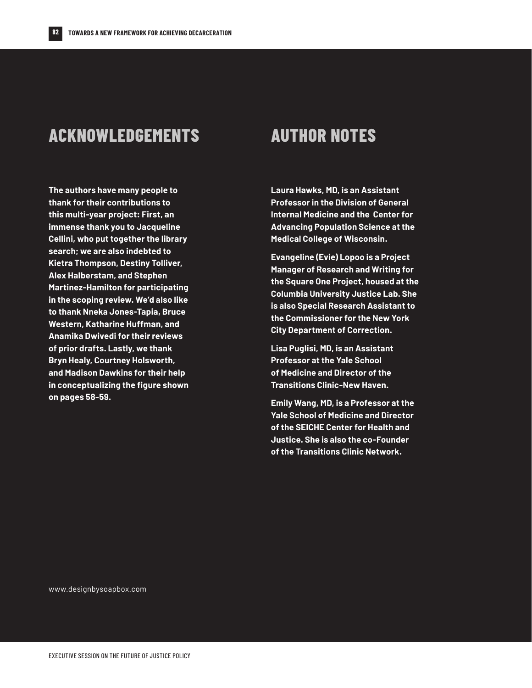## **ACKNOWLEDGEMENTS AUTHOR NOTES**

**The authors have many people to thank for their contributions to this multi-year project: First, an immense thank you to Jacqueline Cellini, who put together the library search; we are also indebted to Kietra Thompson, Destiny Tolliver, Alex Halberstam, and Stephen Martinez-Hamilton for participating in the scoping review. We'd also like to thank Nneka Jones-Tapia, Bruce Western, Katharine Huffman, and Anamika Dwivedi for their reviews of prior drafts. Lastly, we thank Bryn Healy, Courtney Holsworth, and Madison Dawkins for their help in conceptualizing the figure shown on pages 58-59.**

**Laura Hawks, MD, is an Assistant Professor in the Division of General Internal Medicine and the Center for Advancing Population Science at the Medical College of Wisconsin.** 

**Evangeline (Evie) Lopoo is a Project Manager of Research and Writing for the Square One Project, housed at the Columbia University Justice Lab. She is also Special Research Assistant to the Commissioner for the New York City Department of Correction.**

**Lisa Puglisi, MD, is an Assistant Professor at the Yale School of Medicine and Director of the Transitions Clinic-New Haven.**

**Emily Wang, MD, is a Professor at the Yale School of Medicine and Director of the SEICHE Center for Health and Justice. She is also the co-Founder of the Transitions Clinic Network.**

[www.designbysoapbox.com](http://www.designbysoapbox.com)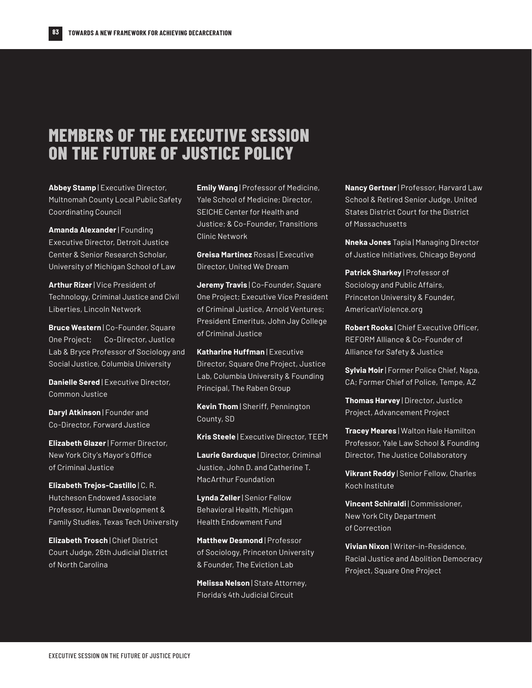## **MEMBERS OF THE EXECUTIVE SESSION ON THE FUTURE OF JUSTICE POLICY**

**Abbey Stamp** | Executive Director, Multnomah County Local Public Safety Coordinating Council

**Amanda Alexander** | Founding Executive Director, Detroit Justice Center & Senior Research Scholar, University of Michigan School of Law

**Arthur Rizer** | Vice President of Technology, Criminal Justice and Civil Liberties, Lincoln Network

**Bruce Western** | Co-Founder, Square One Project; Co-Director, Justice Lab & Bryce Professor of Sociology and Social Justice, Columbia University

**Danielle Sered** | Executive Director, Common Justice

**Daryl Atkinson** | Founder and Co-Director, Forward Justice

**Elizabeth Glazer** | Former Director, New York City's Mayor's Office of Criminal Justice

**Elizabeth Trejos-Castillo** | C. R. Hutcheson Endowed Associate Professor, Human Development & Family Studies, Texas Tech University

**Elizabeth Trosch** | Chief District Court Judge, 26th Judicial District of North Carolina

**Emily Wang** | Professor of Medicine, Yale School of Medicine; Director, SEICHE Center for Health and Justice; & Co-Founder, Transitions Clinic Network

**Greisa Martinez** Rosas | Executive Director, United We Dream

**Jeremy Travis | Co-Founder, Square** One Project; Executive Vice President of Criminal Justice, Arnold Ventures; President Emeritus, John Jay College of Criminal Justice

**Katharine Huffman** | Executive Director, Square One Project, Justice Lab, Columbia University & Founding Principal, The Raben Group

**Kevin Thom** | Sheriff, Pennington County, SD

**Kris Steele** | Executive Director, TEEM

**Laurie Garduque** | Director, Criminal Justice, John D. and Catherine T. MacArthur Foundation

**Lynda Zeller** | Senior Fellow Behavioral Health, Michigan Health Endowment Fund

**Matthew Desmond** | Professor of Sociology, Princeton University & Founder, The Eviction Lab

**Melissa Nelson** | State Attorney, Florida's 4th Judicial Circuit

**Nancy Gertner** | Professor, Harvard Law School & Retired Senior Judge, United States District Court for the District of Massachusetts

**Nneka Jones** Tapia | Managing Director of Justice Initiatives, Chicago Beyond

**Patrick Sharkey** | Professor of Sociology and Public Affairs, Princeton University & Founder, [AmericanViolence.org](http://AmericanViolence.org)

**Robert Rooks** | Chief Executive Officer, REFORM Alliance & Co-Founder of Alliance for Safety & Justice

**Sylvia Moir** | Former Police Chief, Napa, CA; Former Chief of Police, Tempe, AZ

**Thomas Harvey** | Director, Justice Project, Advancement Project

**Tracey Meares** | Walton Hale Hamilton Professor, Yale Law School & Founding Director, The Justice Collaboratory

**Vikrant Reddy** | Senior Fellow, Charles Koch Institute

**Vincent Schiraldi** | Commissioner, New York City Department of Correction

**Vivian Nixon** | Writer-in-Residence, Racial Justice and Abolition Democracy Project, Square One Project